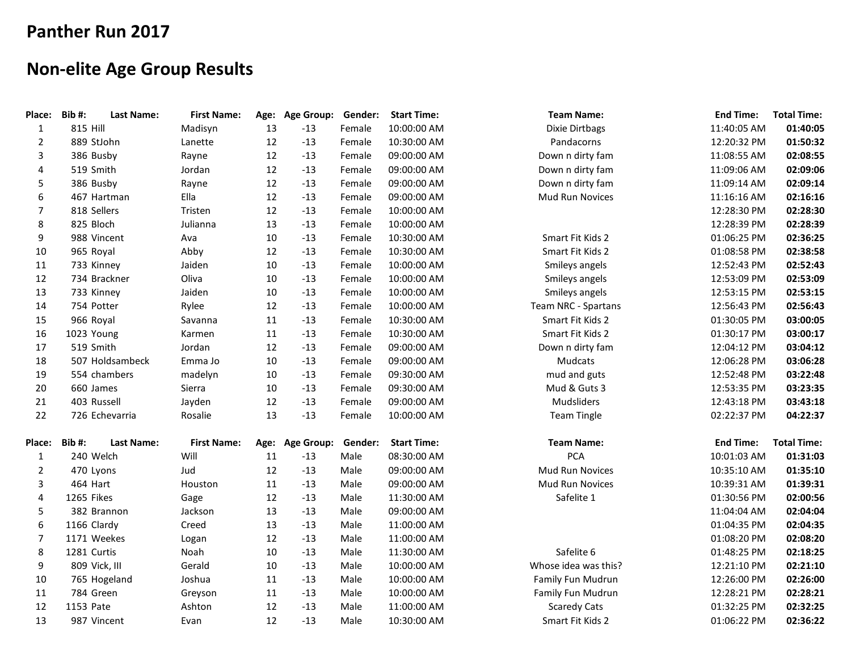## **Panther Run 2017**

## **Non-elite Age Group Results**

| Place:         | Bib#:       | <b>Last Name:</b> | <b>First Name:</b> |    | Age: Age Group: | Gender: | <b>Start Time:</b> | <b>Team Name:</b>     | <b>End Time:</b> | <b>Total Time:</b> |
|----------------|-------------|-------------------|--------------------|----|-----------------|---------|--------------------|-----------------------|------------------|--------------------|
| $\mathbf{1}$   | 815 Hill    |                   | Madisyn            | 13 | $-13$           | Female  | 10:00:00 AM        | <b>Dixie Dirtbags</b> | 11:40:05 AM      | 01:40:05           |
| $\overline{2}$ |             | 889 StJohn        | Lanette            | 12 | $-13$           | Female  | 10:30:00 AM        | Pandacorns            | 12:20:32 PM      | 01:50:32           |
| 3              |             | 386 Busby         | Rayne              | 12 | $-13$           | Female  | 09:00:00 AM        | Down n dirty fam      | 11:08:55 AM      | 02:08:55           |
| 4              |             | 519 Smith         | Jordan             | 12 | $-13$           | Female  | 09:00:00 AM        | Down n dirty fam      | 11:09:06 AM      | 02:09:06           |
| 5              |             | 386 Busby         | Rayne              | 12 | $-13$           | Female  | 09:00:00 AM        | Down n dirty fam      | 11:09:14 AM      | 02:09:14           |
| 6              |             | 467 Hartman       | Ella               | 12 | $-13$           | Female  | 09:00:00 AM        | Mud Run Novices       | 11:16:16 AM      | 02:16:16           |
| $\overline{7}$ |             | 818 Sellers       | Tristen            | 12 | $-13$           | Female  | 10:00:00 AM        |                       | 12:28:30 PM      | 02:28:30           |
| 8              |             | 825 Bloch         | Julianna           | 13 | $-13$           | Female  | 10:00:00 AM        |                       | 12:28:39 PM      | 02:28:39           |
| 9              |             | 988 Vincent       | Ava                | 10 | $-13$           | Female  | 10:30:00 AM        | Smart Fit Kids 2      | 01:06:25 PM      | 02:36:25           |
| 10             |             | 965 Royal         | Abby               | 12 | $-13$           | Female  | 10:30:00 AM        | Smart Fit Kids 2      | 01:08:58 PM      | 02:38:58           |
| 11             |             | 733 Kinney        | Jaiden             | 10 | $-13$           | Female  | 10:00:00 AM        | Smileys angels        | 12:52:43 PM      | 02:52:43           |
| 12             |             | 734 Brackner      | Oliva              | 10 | $-13$           | Female  | 10:00:00 AM        | Smileys angels        | 12:53:09 PM      | 02:53:09           |
| 13             |             | 733 Kinney        | Jaiden             | 10 | $-13$           | Female  | 10:00:00 AM        | Smileys angels        | 12:53:15 PM      | 02:53:15           |
| 14             |             | 754 Potter        | Rylee              | 12 | $-13$           | Female  | 10:00:00 AM        | Team NRC - Spartans   | 12:56:43 PM      | 02:56:43           |
| 15             |             | 966 Royal         | Savanna            | 11 | $-13$           | Female  | 10:30:00 AM        | Smart Fit Kids 2      | 01:30:05 PM      | 03:00:05           |
| 16             | 1023 Young  |                   | Karmen             | 11 | $-13$           | Female  | 10:30:00 AM        | Smart Fit Kids 2      | 01:30:17 PM      | 03:00:17           |
| 17             |             | 519 Smith         | Jordan             | 12 | $-13$           | Female  | 09:00:00 AM        | Down n dirty fam      | 12:04:12 PM      | 03:04:12           |
| 18             |             | 507 Holdsambeck   | Emma Jo            | 10 | $-13$           | Female  | 09:00:00 AM        | Mudcats               | 12:06:28 PM      | 03:06:28           |
| 19             |             | 554 chambers      | madelyn            | 10 | $-13$           | Female  | 09:30:00 AM        | mud and guts          | 12:52:48 PM      | 03:22:48           |
| 20             |             | 660 James         | Sierra             | 10 | $-13$           | Female  | 09:30:00 AM        | Mud & Guts 3          | 12:53:35 PM      | 03:23:35           |
| 21             |             | 403 Russell       | Jayden             | 12 | $-13$           | Female  | 09:00:00 AM        | Mudsliders            | 12:43:18 PM      | 03:43:18           |
| 22             |             | 726 Echevarria    | Rosalie            | 13 | $-13$           | Female  | 10:00:00 AM        | <b>Team Tingle</b>    | 02:22:37 PM      | 04:22:37           |
| Place:         | Bib#:       | <b>Last Name:</b> | <b>First Name:</b> |    | Age: Age Group: | Gender: | <b>Start Time:</b> | <b>Team Name:</b>     | <b>End Time:</b> | <b>Total Time:</b> |
| $\mathbf{1}$   |             | 240 Welch         | Will               | 11 | $-13$           | Male    | 08:30:00 AM        | <b>PCA</b>            | 10:01:03 AM      | 01:31:03           |
| $\overline{2}$ |             | 470 Lyons         | Jud                | 12 | $-13$           | Male    | 09:00:00 AM        | Mud Run Novices       | 10:35:10 AM      | 01:35:10           |
| 3              | 464 Hart    |                   | Houston            | 11 | $-13$           | Male    | 09:00:00 AM        | Mud Run Novices       | 10:39:31 AM      | 01:39:31           |
| 4              | 1265 Fikes  |                   | Gage               | 12 | $-13$           | Male    | 11:30:00 AM        | Safelite 1            | 01:30:56 PM      | 02:00:56           |
| 5              |             | 382 Brannon       | Jackson            | 13 | $-13$           | Male    | 09:00:00 AM        |                       | 11:04:04 AM      | 02:04:04           |
| 6              | 1166 Clardy |                   | Creed              | 13 | $-13$           | Male    | 11:00:00 AM        |                       | 01:04:35 PM      | 02:04:35           |
| $\overline{7}$ |             | 1171 Weekes       | Logan              | 12 | $-13$           | Male    | 11:00:00 AM        |                       | 01:08:20 PM      | 02:08:20           |
| 8              | 1281 Curtis |                   | Noah               | 10 | $-13$           | Male    | 11:30:00 AM        | Safelite 6            | 01:48:25 PM      | 02:18:25           |
| 9              |             | 809 Vick, III     | Gerald             | 10 | $-13$           | Male    | 10:00:00 AM        | Whose idea was this?  | 12:21:10 PM      | 02:21:10           |
| 10             |             | 765 Hogeland      | Joshua             | 11 | $-13$           | Male    | 10:00:00 AM        | Family Fun Mudrun     | 12:26:00 PM      | 02:26:00           |
| 11             |             | 784 Green         | Greyson            | 11 | $-13$           | Male    | 10:00:00 AM        | Family Fun Mudrun     | 12:28:21 PM      | 02:28:21           |
| 12             | 1153 Pate   |                   | Ashton             | 12 | $-13$           | Male    | 11:00:00 AM        | <b>Scaredy Cats</b>   | 01:32:25 PM      | 02:32:25           |
| 13             |             | 987 Vincent       | Evan               | 12 | $-13$           | Male    | 10:30:00 AM        | Smart Fit Kids 2      | 01:06:22 PM      | 02:36:22           |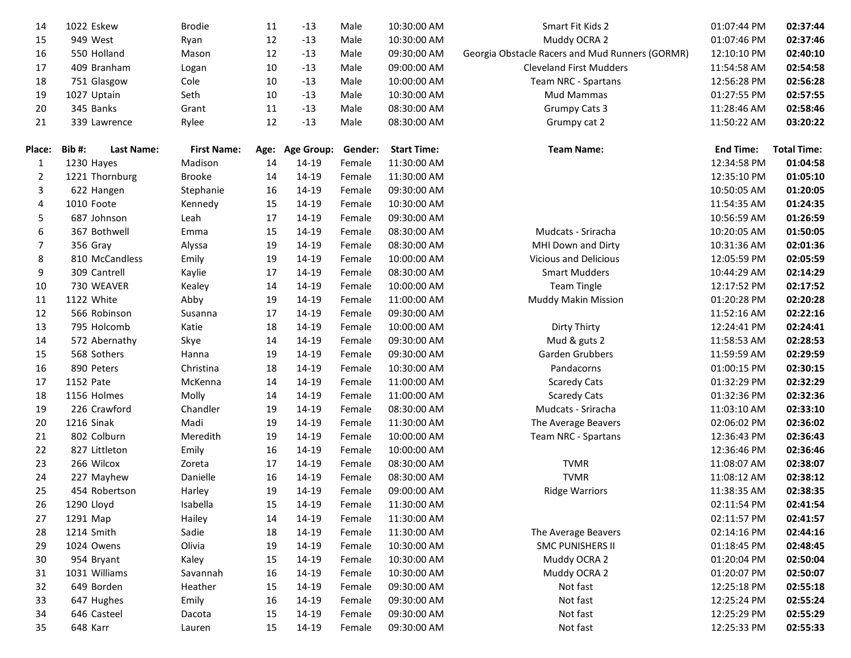| 14             | 1022 Eskew                 | <b>Brodie</b>      | 11 | $-13$           | Male    | 10:30:00 AM        | Smart Fit Kids 2                                | 01:07:44 PM      | 02:37:44           |
|----------------|----------------------------|--------------------|----|-----------------|---------|--------------------|-------------------------------------------------|------------------|--------------------|
| 15             | 949 West                   | Ryan               | 12 | $-13$           | Male    | 10:30:00 AM        | Muddy OCRA 2                                    | 01:07:46 PM      | 02:37:46           |
| 16             | 550 Holland                | Mason              | 12 | $-13$           | Male    | 09:30:00 AM        | Georgia Obstacle Racers and Mud Runners (GORMR) | 12:10:10 PM      | 02:40:10           |
| 17             | 409 Branham                | Logan              | 10 | $-13$           | Male    | 09:00:00 AM        | <b>Cleveland First Mudders</b>                  | 11:54:58 AM      | 02:54:58           |
| 18             | 751 Glasgow                | Cole               | 10 | $-13$           | Male    | 10:00:00 AM        | Team NRC - Spartans                             | 12:56:28 PM      | 02:56:28           |
| 19             | 1027 Uptain                | Seth               | 10 | $-13$           | Male    | 10:30:00 AM        | Mud Mammas                                      | 01:27:55 PM      | 02:57:55           |
| 20             | 345 Banks                  | Grant              | 11 | $-13$           | Male    | 08:30:00 AM        | <b>Grumpy Cats 3</b>                            | 11:28:46 AM      | 02:58:46           |
| 21             | 339 Lawrence               | Rylee              | 12 | $-13$           | Male    | 08:30:00 AM        | Grumpy cat 2                                    | 11:50:22 AM      | 03:20:22           |
|                |                            |                    |    |                 |         |                    |                                                 |                  |                    |
| Place:         | Bib#:<br><b>Last Name:</b> | <b>First Name:</b> |    | Age: Age Group: | Gender: | <b>Start Time:</b> | <b>Team Name:</b>                               | <b>End Time:</b> | <b>Total Time:</b> |
| 1              | 1230 Hayes                 | Madison            | 14 | 14-19           | Female  | 11:30:00 AM        |                                                 | 12:34:58 PM      | 01:04:58           |
| $\overline{2}$ | 1221 Thornburg             | <b>Brooke</b>      | 14 | 14-19           | Female  | 11:30:00 AM        |                                                 | 12:35:10 PM      | 01:05:10           |
| 3              | 622 Hangen                 | Stephanie          | 16 | 14-19           | Female  | 09:30:00 AM        |                                                 | 10:50:05 AM      | 01:20:05           |
| 4              | 1010 Foote                 | Kennedy            | 15 | 14-19           | Female  | 10:30:00 AM        |                                                 | 11:54:35 AM      | 01:24:35           |
| 5              | 687 Johnson                | Leah               | 17 | 14-19           | Female  | 09:30:00 AM        |                                                 | 10:56:59 AM      | 01:26:59           |
| 6              | 367 Bothwell               | Emma               | 15 | 14-19           | Female  | 08:30:00 AM        | Mudcats - Sriracha                              | 10:20:05 AM      | 01:50:05           |
| 7              | 356 Gray                   | Alyssa             | 19 | 14-19           | Female  | 08:30:00 AM        | MHI Down and Dirty                              | 10:31:36 AM      | 02:01:36           |
| 8              | 810 McCandless             | Emily              | 19 | 14-19           | Female  | 10:00:00 AM        | Vicious and Delicious                           | 12:05:59 PM      | 02:05:59           |
| 9              | 309 Cantrell               | Kaylie             | 17 | 14-19           | Female  | 08:30:00 AM        | <b>Smart Mudders</b>                            | 10:44:29 AM      | 02:14:29           |
| 10             | 730 WEAVER                 | Kealey             | 14 | 14-19           | Female  | 10:00:00 AM        | Team Tingle                                     | 12:17:52 PM      | 02:17:52           |
| 11             | 1122 White                 | Abby               | 19 | 14-19           | Female  | 11:00:00 AM        | <b>Muddy Makin Mission</b>                      | 01:20:28 PM      | 02:20:28           |
| 12             | 566 Robinson               | Susanna            | 17 | 14-19           | Female  | 09:30:00 AM        |                                                 | 11:52:16 AM      | 02:22:16           |
| 13             | 795 Holcomb                | Katie              | 18 | 14-19           | Female  | 10:00:00 AM        | Dirty Thirty                                    | 12:24:41 PM      | 02:24:41           |
| 14             | 572 Abernathy              | Skye               | 14 | 14-19           | Female  | 09:30:00 AM        | Mud & guts 2                                    | 11:58:53 AM      | 02:28:53           |
| 15             | 568 Sothers                | Hanna              | 19 | 14-19           | Female  | 09:30:00 AM        | Garden Grubbers                                 | 11:59:59 AM      | 02:29:59           |
| 16             | 890 Peters                 | Christina          | 18 | 14-19           | Female  | 10:30:00 AM        | Pandacorns                                      | 01:00:15 PM      | 02:30:15           |
| 17             | 1152 Pate                  | McKenna            | 14 | 14-19           | Female  | 11:00:00 AM        | <b>Scaredy Cats</b>                             | 01:32:29 PM      | 02:32:29           |
| 18             | 1156 Holmes                | Molly              | 14 | 14-19           | Female  | 11:00:00 AM        | <b>Scaredy Cats</b>                             | 01:32:36 PM      | 02:32:36           |
| 19             | 226 Crawford               | Chandler           | 19 | 14-19           | Female  | 08:30:00 AM        | Mudcats - Sriracha                              | 11:03:10 AM      | 02:33:10           |
| 20             | 1216 Sinak                 | Madi               | 19 | 14-19           | Female  | 11:30:00 AM        | The Average Beavers                             | 02:06:02 PM      | 02:36:02           |
| 21             | 802 Colburn                | Meredith           | 19 | 14-19           | Female  | 10:00:00 AM        | Team NRC - Spartans                             | 12:36:43 PM      | 02:36:43           |
| 22             | 827 Littleton              | Emily              | 16 | 14-19           | Female  | 10:00:00 AM        |                                                 | 12:36:46 PM      | 02:36:46           |
| 23             | 266 Wilcox                 | Zoreta             | 17 | 14-19           | Female  | 08:30:00 AM        | <b>TVMR</b>                                     | 11:08:07 AM      | 02:38:07           |
| 24             | 227 Mayhew                 | Danielle           | 16 | 14-19           | Female  | 08:30:00 AM        | <b>TVMR</b>                                     | 11:08:12 AM      | 02:38:12           |
| 25             | 454 Robertson              | Harley             | 19 | 14-19           | Female  | 09:00:00 AM        | <b>Ridge Warriors</b>                           | 11:38:35 AM      | 02:38:35           |
| 26             | 1290 Lloyd                 | Isabella           | 15 | 14-19           | Female  | 11:30:00 AM        |                                                 | 02:11:54 PM      | 02:41:54           |
| 27             | 1291 Map                   | Hailey             | 14 | 14-19           | Female  | 11:30:00 AM        |                                                 | 02:11:57 PM      | 02:41:57           |
| 28             | 1214 Smith                 | Sadie              | 18 | 14-19           | Female  | 11:30:00 AM        | The Average Beavers                             | 02:14:16 PM      | 02:44:16           |
| 29             | 1024 Owens                 | Olivia             | 19 | 14-19           | Female  | 10:30:00 AM        | <b>SMC PUNISHERS II</b>                         | 01:18:45 PM      | 02:48:45           |
| 30             | 954 Bryant                 | Kaley              | 15 | 14-19           | Female  | 10:30:00 AM        | Muddy OCRA 2                                    | 01:20:04 PM      | 02:50:04           |
| 31             | 1031 Williams              | Savannah           | 16 | 14-19           | Female  | 10:30:00 AM        | Muddy OCRA 2                                    | 01:20:07 PM      | 02:50:07           |
| 32             | 649 Borden                 | Heather            | 15 | 14-19           | Female  | 09:30:00 AM        | Not fast                                        | 12:25:18 PM      | 02:55:18           |
| 33             | 647 Hughes                 | Emily              | 16 | 14-19           | Female  | 09:30:00 AM        | Not fast                                        | 12:25:24 PM      | 02:55:24           |
| 34             | 646 Casteel                | Dacota             | 15 | 14-19           | Female  | 09:30:00 AM        | Not fast                                        | 12:25:29 PM      | 02:55:29           |
| 35             | 648 Karr                   | Lauren             | 15 | 14-19           | Female  | 09:30:00 AM        | Not fast                                        | 12:25:33 PM      | 02:55:33           |
|                |                            |                    |    |                 |         |                    |                                                 |                  |                    |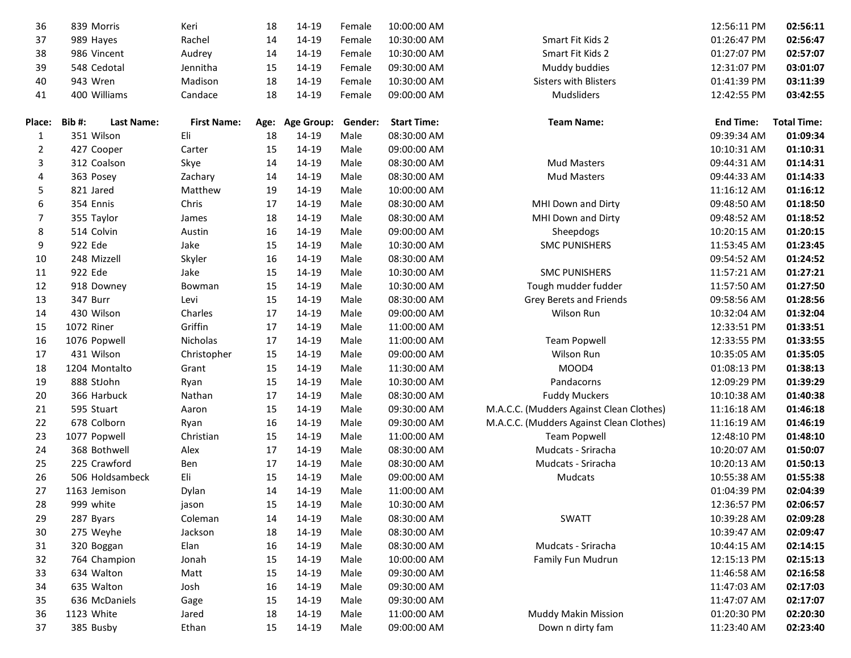| 36             | 839 Morris                 | Keri               | 18 | 14-19           | Female  | 10:00:00 AM        |                                          | 12:56:11 PM      | 02:56:11           |
|----------------|----------------------------|--------------------|----|-----------------|---------|--------------------|------------------------------------------|------------------|--------------------|
| 37             | 989 Hayes                  | Rachel             | 14 | 14-19           | Female  | 10:30:00 AM        | Smart Fit Kids 2                         | 01:26:47 PM      | 02:56:47           |
| 38             | 986 Vincent                | Audrey             | 14 | 14-19           | Female  | 10:30:00 AM        | Smart Fit Kids 2                         | 01:27:07 PM      | 02:57:07           |
| 39             | 548 Cedotal                | Jennitha           | 15 | 14-19           | Female  | 09:30:00 AM        | Muddy buddies                            | 12:31:07 PM      | 03:01:07           |
| 40             | 943 Wren                   | Madison            | 18 | 14-19           | Female  | 10:30:00 AM        | <b>Sisters with Blisters</b>             | 01:41:39 PM      | 03:11:39           |
| 41             | 400 Williams               | Candace            | 18 | 14-19           | Female  | 09:00:00 AM        | Mudsliders                               | 12:42:55 PM      | 03:42:55           |
| <b>Place:</b>  | Bib#:<br><b>Last Name:</b> | <b>First Name:</b> |    | Age: Age Group: | Gender: | <b>Start Time:</b> | <b>Team Name:</b>                        | <b>End Time:</b> | <b>Total Time:</b> |
| 1              | 351 Wilson                 | Eli                | 18 | 14-19           | Male    | 08:30:00 AM        |                                          | 09:39:34 AM      | 01:09:34           |
| $\overline{2}$ | 427 Cooper                 | Carter             | 15 | 14-19           | Male    | 09:00:00 AM        |                                          | 10:10:31 AM      | 01:10:31           |
| 3              | 312 Coalson                | Skye               | 14 | 14-19           | Male    | 08:30:00 AM        | <b>Mud Masters</b>                       | 09:44:31 AM      | 01:14:31           |
| 4              | 363 Posey                  | Zachary            | 14 | 14-19           | Male    | 08:30:00 AM        | <b>Mud Masters</b>                       | 09:44:33 AM      | 01:14:33           |
| 5              | 821 Jared                  | Matthew            | 19 | 14-19           | Male    | 10:00:00 AM        |                                          | 11:16:12 AM      | 01:16:12           |
| 6              | 354 Ennis                  | Chris              | 17 | 14-19           | Male    | 08:30:00 AM        | MHI Down and Dirty                       | 09:48:50 AM      | 01:18:50           |
| $\overline{7}$ | 355 Taylor                 | James              | 18 | 14-19           | Male    | 08:30:00 AM        | MHI Down and Dirty                       | 09:48:52 AM      | 01:18:52           |
| 8              | 514 Colvin                 | Austin             | 16 | 14-19           | Male    | 09:00:00 AM        | Sheepdogs                                | 10:20:15 AM      | 01:20:15           |
| 9              | 922 Ede                    | Jake               | 15 | 14-19           | Male    | 10:30:00 AM        | <b>SMC PUNISHERS</b>                     | 11:53:45 AM      | 01:23:45           |
| 10             | 248 Mizzell                | Skyler             | 16 | 14-19           | Male    | 08:30:00 AM        |                                          | 09:54:52 AM      | 01:24:52           |
| 11             | 922 Ede                    | Jake               | 15 | 14-19           | Male    | 10:30:00 AM        | <b>SMC PUNISHERS</b>                     | 11:57:21 AM      | 01:27:21           |
| 12             | 918 Downey                 | Bowman             | 15 | 14-19           | Male    | 10:30:00 AM        | Tough mudder fudder                      | 11:57:50 AM      | 01:27:50           |
| 13             | 347 Burr                   | Levi               | 15 | 14-19           | Male    | 08:30:00 AM        | Grey Berets and Friends                  | 09:58:56 AM      | 01:28:56           |
| 14             | 430 Wilson                 | Charles            | 17 | 14-19           | Male    | 09:00:00 AM        | Wilson Run                               | 10:32:04 AM      | 01:32:04           |
| 15             | 1072 Riner                 | Griffin            | 17 | 14-19           | Male    | 11:00:00 AM        |                                          | 12:33:51 PM      | 01:33:51           |
| 16             | 1076 Popwell               | Nicholas           | 17 | 14-19           | Male    | 11:00:00 AM        | <b>Team Popwell</b>                      | 12:33:55 PM      | 01:33:55           |
| 17             | 431 Wilson                 | Christopher        | 15 | 14-19           | Male    | 09:00:00 AM        | Wilson Run                               | 10:35:05 AM      | 01:35:05           |
| 18             | 1204 Montalto              | Grant              | 15 | 14-19           | Male    | 11:30:00 AM        | MOOD4                                    | 01:08:13 PM      | 01:38:13           |
| 19             | 888 StJohn                 | Ryan               | 15 | 14-19           | Male    | 10:30:00 AM        | Pandacorns                               | 12:09:29 PM      | 01:39:29           |
| 20             | 366 Harbuck                | Nathan             | 17 | 14-19           | Male    | 08:30:00 AM        | <b>Fuddy Muckers</b>                     | 10:10:38 AM      | 01:40:38           |
| 21             | 595 Stuart                 | Aaron              | 15 | 14-19           | Male    | 09:30:00 AM        | M.A.C.C. (Mudders Against Clean Clothes) | 11:16:18 AM      | 01:46:18           |
| 22             | 678 Colborn                | Ryan               | 16 | 14-19           | Male    | 09:30:00 AM        | M.A.C.C. (Mudders Against Clean Clothes) | 11:16:19 AM      | 01:46:19           |
| 23             | 1077 Popwell               | Christian          | 15 | 14-19           | Male    | 11:00:00 AM        | <b>Team Popwell</b>                      | 12:48:10 PM      | 01:48:10           |
| 24             | 368 Bothwell               | Alex               | 17 | 14-19           | Male    | 08:30:00 AM        | Mudcats - Sriracha                       | 10:20:07 AM      | 01:50:07           |
| 25             | 225 Crawford               | Ben                | 17 | 14-19           | Male    | 08:30:00 AM        | Mudcats - Sriracha                       | 10:20:13 AM      | 01:50:13           |
| 26             | 506 Holdsambeck            | Eli                | 15 | 14-19           | Male    | 09:00:00 AM        | Mudcats                                  | 10:55:38 AM      | 01:55:38           |
| 27             | 1163 Jemison               | Dylan              | 14 | 14-19           | Male    | 11:00:00 AM        |                                          | 01:04:39 PM      | 02:04:39           |
| 28             | 999 white                  | jason              | 15 | 14-19           | Male    | 10:30:00 AM        |                                          | 12:36:57 PM      | 02:06:57           |
| 29             | 287 Byars                  | Coleman            | 14 | 14-19           | Male    | 08:30:00 AM        | <b>SWATT</b>                             | 10:39:28 AM      | 02:09:28           |
| 30             | 275 Weyhe                  | Jackson            | 18 | 14-19           | Male    | 08:30:00 AM        |                                          | 10:39:47 AM      | 02:09:47           |
| 31             | 320 Boggan                 | Elan               | 16 | 14-19           | Male    | 08:30:00 AM        | Mudcats - Sriracha                       | 10:44:15 AM      | 02:14:15           |
| 32             | 764 Champion               | Jonah              | 15 | 14-19           | Male    | 10:00:00 AM        | Family Fun Mudrun                        | 12:15:13 PM      | 02:15:13           |
| 33             | 634 Walton                 | Matt               | 15 | 14-19           | Male    | 09:30:00 AM        |                                          | 11:46:58 AM      | 02:16:58           |
| 34             | 635 Walton                 | Josh               | 16 | 14-19           | Male    | 09:30:00 AM        |                                          | 11:47:03 AM      | 02:17:03           |
| 35             | 636 McDaniels              | Gage               | 15 | 14-19           | Male    | 09:30:00 AM        |                                          | 11:47:07 AM      | 02:17:07           |
| 36             | 1123 White                 | Jared              | 18 | 14-19           | Male    | 11:00:00 AM        | Muddy Makin Mission                      | 01:20:30 PM      | 02:20:30           |
| 37             | 385 Busby                  | Ethan              | 15 | 14-19           | Male    | 09:00:00 AM        | Down n dirty fam                         | 11:23:40 AM      | 02:23:40           |
|                |                            |                    |    |                 |         |                    |                                          |                  |                    |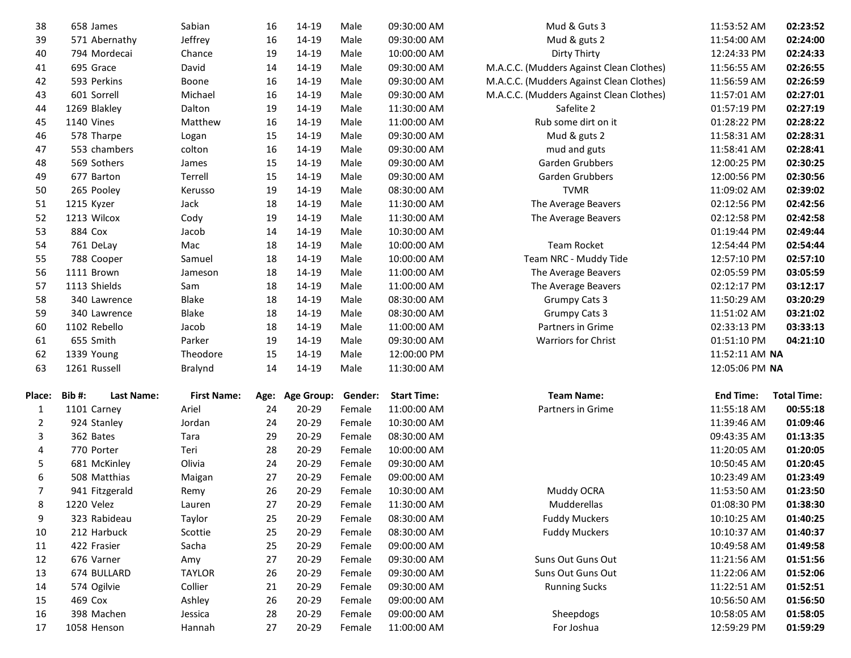| 38             | 658 James                 | Sabian             | 16       | 14-19              | Male             | 09:30:00 AM                | Mud & Guts 3                             | 11:53:52 AM                | 02:23:52             |
|----------------|---------------------------|--------------------|----------|--------------------|------------------|----------------------------|------------------------------------------|----------------------------|----------------------|
| 39             | 571 Abernathy             | Jeffrey            | 16       | 14-19              | Male             | 09:30:00 AM                | Mud & guts 2                             | 11:54:00 AM                | 02:24:00             |
| 40             | 794 Mordecai              | Chance             | 19       | 14-19              | Male             | 10:00:00 AM                | Dirty Thirty                             | 12:24:33 PM                | 02:24:33             |
| 41             | 695 Grace                 | David              | 14       | 14-19              | Male             | 09:30:00 AM                | M.A.C.C. (Mudders Against Clean Clothes) | 11:56:55 AM                | 02:26:55             |
| 42             | 593 Perkins               | Boone              | 16       | 14-19              | Male             | 09:30:00 AM                | M.A.C.C. (Mudders Against Clean Clothes) | 11:56:59 AM                | 02:26:59             |
| 43             | 601 Sorrell               | Michael            | 16       | 14-19              | Male             | 09:30:00 AM                | M.A.C.C. (Mudders Against Clean Clothes) | 11:57:01 AM                | 02:27:01             |
| 44             | 1269 Blakley              | Dalton             | 19       | 14-19              | Male             | 11:30:00 AM                | Safelite 2                               | 01:57:19 PM                | 02:27:19             |
| 45             | 1140 Vines                | Matthew            | 16       | 14-19              | Male             | 11:00:00 AM                | Rub some dirt on it                      | 01:28:22 PM                | 02:28:22             |
| 46             | 578 Tharpe                | Logan              | 15       | 14-19              | Male             | 09:30:00 AM                | Mud & guts 2                             | 11:58:31 AM                | 02:28:31             |
| 47             | 553 chambers              | colton             | 16       | 14-19              | Male             | 09:30:00 AM                | mud and guts                             | 11:58:41 AM                | 02:28:41             |
| 48             | 569 Sothers               | James              | 15       | 14-19              | Male             | 09:30:00 AM                | Garden Grubbers                          | 12:00:25 PM                | 02:30:25             |
| 49             | 677 Barton                | Terrell            | 15       | 14-19              | Male             | 09:30:00 AM                | Garden Grubbers                          | 12:00:56 PM                | 02:30:56             |
| 50             | 265 Pooley                | Kerusso            | 19       | 14-19              | Male             | 08:30:00 AM                | <b>TVMR</b>                              | 11:09:02 AM                | 02:39:02             |
| 51             | 1215 Kyzer                | Jack               | 18       | 14-19              | Male             | 11:30:00 AM                | The Average Beavers                      | 02:12:56 PM                | 02:42:56             |
| 52             | 1213 Wilcox               | Cody               | 19       | 14-19              | Male             | 11:30:00 AM                | The Average Beavers                      | 02:12:58 PM                | 02:42:58             |
| 53             | 884 Cox                   | Jacob              | 14       | 14-19              | Male             | 10:30:00 AM                |                                          | 01:19:44 PM                | 02:49:44             |
| 54             | 761 DeLay                 | Mac                | 18       | 14-19              | Male             | 10:00:00 AM                | <b>Team Rocket</b>                       | 12:54:44 PM                | 02:54:44             |
| 55             | 788 Cooper                | Samuel             | 18       | 14-19              | Male             | 10:00:00 AM                | Team NRC - Muddy Tide                    | 12:57:10 PM                | 02:57:10             |
| 56             | 1111 Brown                | Jameson            | 18       | 14-19              | Male             | 11:00:00 AM                | The Average Beavers                      | 02:05:59 PM                | 03:05:59             |
| 57             | 1113 Shields              | Sam                | 18       | 14-19              | Male             | 11:00:00 AM                | The Average Beavers                      | 02:12:17 PM                | 03:12:17             |
| 58             | 340 Lawrence              | Blake              | 18       | 14-19              | Male             | 08:30:00 AM                | <b>Grumpy Cats 3</b>                     | 11:50:29 AM                | 03:20:29             |
| 59             | 340 Lawrence              | Blake              | 18       | 14-19              | Male             | 08:30:00 AM                | <b>Grumpy Cats 3</b>                     | 11:51:02 AM                | 03:21:02             |
| 60             | 1102 Rebello              | Jacob              | 18       | 14-19              | Male             | 11:00:00 AM                | Partners in Grime                        | 02:33:13 PM                | 03:33:13             |
|                |                           |                    |          |                    |                  |                            |                                          |                            |                      |
| 61             | 655 Smith                 | Parker             | 19       | 14-19              | Male             | 09:30:00 AM                | Warriors for Christ                      | 01:51:10 PM                | 04:21:10             |
| 62             | 1339 Young                | Theodore           | 15       | 14-19              | Male             | 12:00:00 PM                |                                          | 11:52:11 AM NA             |                      |
| 63             | 1261 Russell              | <b>Bralynd</b>     | 14       | 14-19              | Male             | 11:30:00 AM                |                                          | 12:05:06 PM NA             |                      |
|                |                           |                    |          |                    |                  |                            |                                          |                            |                      |
| <b>Place:</b>  | Bib#:<br>Last Name:       | <b>First Name:</b> | Age:     | <b>Age Group:</b>  | Gender:          | <b>Start Time:</b>         | <b>Team Name:</b>                        | <b>End Time:</b>           | <b>Total Time:</b>   |
| 1              | 1101 Carney               | Ariel              | 24       | 20-29              | Female           | 11:00:00 AM                | Partners in Grime                        | 11:55:18 AM                | 00:55:18             |
| 2              | 924 Stanley               | Jordan             | 24       | $20 - 29$          | Female           | 10:30:00 AM                |                                          | 11:39:46 AM                | 01:09:46             |
| 3              | 362 Bates                 | Tara               | 29       | 20-29              | Female           | 08:30:00 AM                |                                          | 09:43:35 AM                | 01:13:35             |
| 4              | 770 Porter                | Teri               | 28       | 20-29              | Female           | 10:00:00 AM                |                                          | 11:20:05 AM                | 01:20:05             |
| 5              | 681 McKinley              | Olivia             | 24       | $20 - 29$          | Female           | 09:30:00 AM                |                                          | 10:50:45 AM                | 01:20:45             |
| 6              | 508 Matthias              | Maigan             | 27       | $20 - 29$          | Female           | 09:00:00 AM                |                                          | 10:23:49 AM                | 01:23:49             |
| $\overline{7}$ | 941 Fitzgerald            | Remy               | 26       | $20 - 29$          | Female           | 10:30:00 AM                | Muddy OCRA                               | 11:53:50 AM                | 01:23:50             |
| 8              | 1220 Velez                | Lauren             | 27       | $20 - 29$          | Female           | 11:30:00 AM                | Mudderellas                              | 01:08:30 PM                | 01:38:30             |
| 9              | 323 Rabideau              | Taylor             | 25       | 20-29              | Female           | 08:30:00 AM                | <b>Fuddy Muckers</b>                     | 10:10:25 AM                | 01:40:25             |
| 10             | 212 Harbuck               | Scottie            | 25       | $20 - 29$          | Female           | 08:30:00 AM                | <b>Fuddy Muckers</b>                     | 10:10:37 AM                | 01:40:37             |
| 11             | 422 Frasier               | Sacha              | 25       | $20 - 29$          | Female           | 09:00:00 AM                |                                          | 10:49:58 AM                | 01:49:58             |
| 12             | 676 Varner                | Amy                | 27       | $20 - 29$          | Female           | 09:30:00 AM                | Suns Out Guns Out                        | 11:21:56 AM                | 01:51:56             |
| 13             | 674 BULLARD               | <b>TAYLOR</b>      | 26       | $20 - 29$          | Female           | 09:30:00 AM                | Suns Out Guns Out                        | 11:22:06 AM                | 01:52:06             |
| 14             | 574 Ogilvie               | Collier            | 21       | 20-29              | Female           | 09:30:00 AM                | <b>Running Sucks</b>                     | 11:22:51 AM                | 01:52:51             |
| 15             | 469 Cox                   | Ashley             | 26       | $20 - 29$          | Female           | 09:00:00 AM                |                                          | 10:56:50 AM                | 01:56:50             |
| 16<br>17       | 398 Machen<br>1058 Henson | Jessica<br>Hannah  | 28<br>27 | 20-29<br>$20 - 29$ | Female<br>Female | 09:00:00 AM<br>11:00:00 AM | Sheepdogs<br>For Joshua                  | 10:58:05 AM<br>12:59:29 PM | 01:58:05<br>01:59:29 |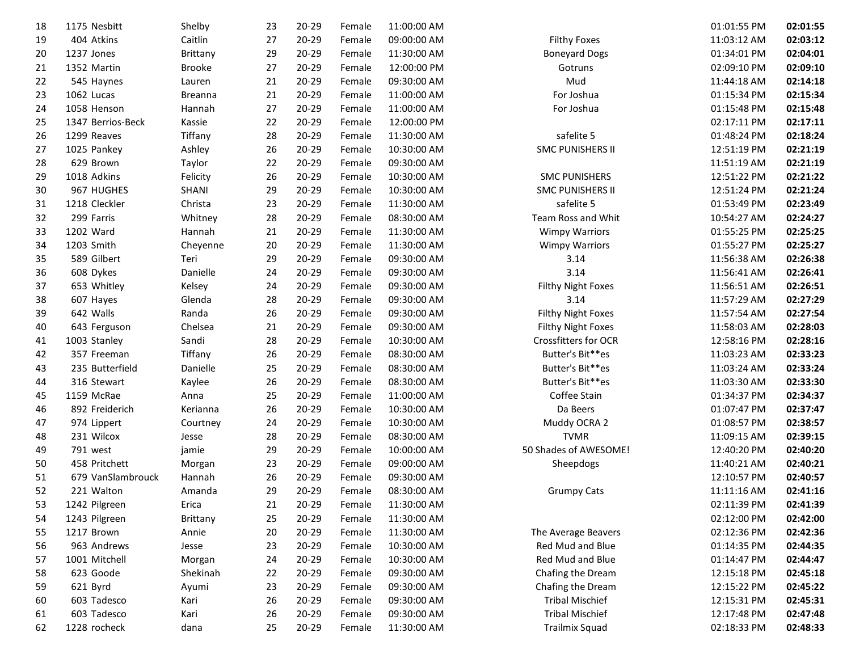| 18 | 1175 Nesbitt      | Shelby         | 23     | $20 - 29$ | Female | 11:00:00 AM |                             | 01:01:55 PM | 02:01:55 |
|----|-------------------|----------------|--------|-----------|--------|-------------|-----------------------------|-------------|----------|
| 19 | 404 Atkins        | Caitlin        | 27     | $20 - 29$ | Female | 09:00:00 AM | <b>Filthy Foxes</b>         | 11:03:12 AM | 02:03:12 |
| 20 | 1237 Jones        | Brittany       | 29     | 20-29     | Female | 11:30:00 AM | <b>Boneyard Dogs</b>        | 01:34:01 PM | 02:04:01 |
| 21 | 1352 Martin       | <b>Brooke</b>  | 27     | 20-29     | Female | 12:00:00 PM | Gotruns                     | 02:09:10 PM | 02:09:10 |
| 22 | 545 Haynes        | Lauren         | 21     | $20 - 29$ | Female | 09:30:00 AM | Mud                         | 11:44:18 AM | 02:14:18 |
| 23 | 1062 Lucas        | <b>Breanna</b> | 21     | $20 - 29$ | Female | 11:00:00 AM | For Joshua                  | 01:15:34 PM | 02:15:34 |
| 24 | 1058 Henson       | Hannah         | 27     | $20 - 29$ | Female | 11:00:00 AM | For Joshua                  | 01:15:48 PM | 02:15:48 |
| 25 | 1347 Berrios-Beck | Kassie         | 22     | 20-29     | Female | 12:00:00 PM |                             | 02:17:11 PM | 02:17:11 |
| 26 | 1299 Reaves       | Tiffany        | 28     | 20-29     | Female | 11:30:00 AM | safelite 5                  | 01:48:24 PM | 02:18:24 |
| 27 | 1025 Pankey       | Ashley         | 26     | 20-29     | Female | 10:30:00 AM | <b>SMC PUNISHERS II</b>     | 12:51:19 PM | 02:21:19 |
| 28 | 629 Brown         | Taylor         | 22     | $20 - 29$ | Female | 09:30:00 AM |                             | 11:51:19 AM | 02:21:19 |
| 29 | 1018 Adkins       | Felicity       | 26     | $20 - 29$ | Female | 10:30:00 AM | <b>SMC PUNISHERS</b>        | 12:51:22 PM | 02:21:22 |
| 30 | 967 HUGHES        | SHANI          | 29     | 20-29     | Female | 10:30:00 AM | <b>SMC PUNISHERS II</b>     | 12:51:24 PM | 02:21:24 |
| 31 | 1218 Cleckler     | Christa        | 23     | 20-29     | Female | 11:30:00 AM | safelite 5                  | 01:53:49 PM | 02:23:49 |
| 32 | 299 Farris        | Whitney        | 28     | 20-29     | Female | 08:30:00 AM | Team Ross and Whit          | 10:54:27 AM | 02:24:27 |
| 33 | 1202 Ward         | Hannah         | 21     | $20 - 29$ | Female | 11:30:00 AM | <b>Wimpy Warriors</b>       | 01:55:25 PM | 02:25:25 |
| 34 | 1203 Smith        | Cheyenne       | 20     | $20 - 29$ | Female | 11:30:00 AM | <b>Wimpy Warriors</b>       | 01:55:27 PM | 02:25:27 |
| 35 | 589 Gilbert       | Teri           | 29     | $20 - 29$ | Female | 09:30:00 AM | 3.14                        | 11:56:38 AM | 02:26:38 |
| 36 | 608 Dykes         | Danielle       | 24     | $20 - 29$ | Female | 09:30:00 AM | 3.14                        | 11:56:41 AM | 02:26:41 |
| 37 | 653 Whitley       | Kelsey         | 24     | 20-29     | Female | 09:30:00 AM | Filthy Night Foxes          | 11:56:51 AM | 02:26:51 |
| 38 | 607 Hayes         | Glenda         | 28     | 20-29     | Female | 09:30:00 AM | 3.14                        | 11:57:29 AM | 02:27:29 |
| 39 | 642 Walls         | Randa          | 26     | $20 - 29$ | Female | 09:30:00 AM | Filthy Night Foxes          | 11:57:54 AM | 02:27:54 |
| 40 | 643 Ferguson      | Chelsea        | 21     | $20 - 29$ | Female | 09:30:00 AM | Filthy Night Foxes          | 11:58:03 AM | 02:28:03 |
| 41 | 1003 Stanley      | Sandi          | 28     | $20 - 29$ | Female | 10:30:00 AM | <b>Crossfitters for OCR</b> | 12:58:16 PM | 02:28:16 |
| 42 | 357 Freeman       | Tiffany        | 26     | $20 - 29$ | Female | 08:30:00 AM | Butter's Bit**es            | 11:03:23 AM | 02:33:23 |
| 43 | 235 Butterfield   | Danielle       | 25     | $20 - 29$ | Female | 08:30:00 AM | Butter's Bit**es            | 11:03:24 AM | 02:33:24 |
| 44 | 316 Stewart       | Kaylee         | 26     | 20-29     | Female | 08:30:00 AM | Butter's Bit**es            | 11:03:30 AM | 02:33:30 |
| 45 | 1159 McRae        | Anna           | 25     | 20-29     | Female | 11:00:00 AM | Coffee Stain                | 01:34:37 PM | 02:34:37 |
| 46 | 892 Freiderich    | Kerianna       | 26     | $20 - 29$ | Female | 10:30:00 AM | Da Beers                    | 01:07:47 PM | 02:37:47 |
| 47 | 974 Lippert       | Courtney       | 24     | $20 - 29$ | Female | 10:30:00 AM | Muddy OCRA 2                | 01:08:57 PM | 02:38:57 |
| 48 | 231 Wilcox        | Jesse          | 28     | $20 - 29$ | Female | 08:30:00 AM | <b>TVMR</b>                 | 11:09:15 AM | 02:39:15 |
| 49 | 791 west          | jamie          | 29     | 20-29     | Female | 10:00:00 AM | 50 Shades of AWESOME!       | 12:40:20 PM | 02:40:20 |
| 50 | 458 Pritchett     | Morgan         | 23     | 20-29     | Female | 09:00:00 AM | Sheepdogs                   | 11:40:21 AM | 02:40:21 |
| 51 | 679 VanSlambrouck | Hannah         | 26     | $20 - 29$ | Female | 09:30:00 AM |                             | 12:10:57 PM | 02:40:57 |
| 52 | 221 Walton        | Amanda         | 29     | $20 - 29$ | Female | 08:30:00 AM | <b>Grumpy Cats</b>          | 11:11:16 AM | 02:41:16 |
| 53 | 1242 Pilgreen     | Erica          | 21     | $20 - 29$ | Female | 11:30:00 AM |                             | 02:11:39 PM | 02:41:39 |
| 54 | 1243 Pilgreen     | Brittany       | 25     | 20-29     | Female | 11:30:00 AM |                             | 02:12:00 PM | 02:42:00 |
| 55 | 1217 Brown        | Annie          | $20\,$ | $20 - 29$ | Female | 11:30:00 AM | The Average Beavers         | 02:12:36 PM | 02:42:36 |
| 56 | 963 Andrews       | Jesse          | 23     | 20-29     | Female | 10:30:00 AM | Red Mud and Blue            | 01:14:35 PM | 02:44:35 |
| 57 | 1001 Mitchell     | Morgan         | 24     | $20 - 29$ | Female | 10:30:00 AM | Red Mud and Blue            | 01:14:47 PM | 02:44:47 |
| 58 | 623 Goode         | Shekinah       | 22     | $20 - 29$ | Female | 09:30:00 AM | Chafing the Dream           | 12:15:18 PM | 02:45:18 |
| 59 | 621 Byrd          | Ayumi          | 23     | 20-29     | Female | 09:30:00 AM | Chafing the Dream           | 12:15:22 PM | 02:45:22 |
| 60 | 603 Tadesco       | Kari           | 26     | 20-29     | Female | 09:30:00 AM | <b>Tribal Mischief</b>      | 12:15:31 PM | 02:45:31 |
| 61 | 603 Tadesco       | Kari           | 26     | $20 - 29$ | Female | 09:30:00 AM | <b>Tribal Mischief</b>      | 12:17:48 PM | 02:47:48 |
| 62 | 1228 rocheck      | dana           | 25     | 20-29     | Female | 11:30:00 AM | <b>Trailmix Squad</b>       | 02:18:33 PM | 02:48:33 |
|    |                   |                |        |           |        |             |                             |             |          |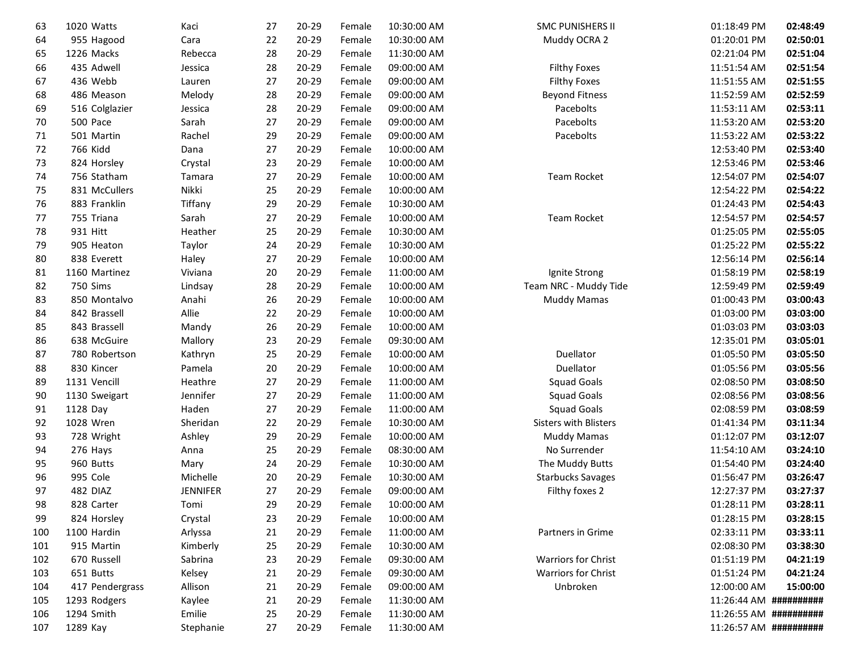| 63  | 1020 Watts      | Kaci            | 27 | 20-29     | Female | 10:30:00 AM | <b>SMC PUNISHERS II</b>  | 01:18:49 PM            | 02:48:49 |
|-----|-----------------|-----------------|----|-----------|--------|-------------|--------------------------|------------------------|----------|
| 64  | 955 Hagood      | Cara            | 22 | 20-29     | Female | 10:30:00 AM | Muddy OCRA 2             | 01:20:01 PM            | 02:50:01 |
| 65  | 1226 Macks      | Rebecca         | 28 | 20-29     | Female | 11:30:00 AM |                          | 02:21:04 PM            | 02:51:04 |
| 66  | 435 Adwell      | Jessica         | 28 | 20-29     | Female | 09:00:00 AM | <b>Filthy Foxes</b>      | 11:51:54 AM            | 02:51:54 |
| 67  | 436 Webb        | Lauren          | 27 | 20-29     | Female | 09:00:00 AM | <b>Filthy Foxes</b>      | 11:51:55 AM            | 02:51:55 |
| 68  | 486 Meason      | Melody          | 28 | 20-29     | Female | 09:00:00 AM | <b>Beyond Fitness</b>    | 11:52:59 AM            | 02:52:59 |
| 69  | 516 Colglazier  | Jessica         | 28 | $20 - 29$ | Female | 09:00:00 AM | Pacebolts                | 11:53:11 AM            | 02:53:11 |
| 70  | 500 Pace        | Sarah           | 27 | 20-29     | Female | 09:00:00 AM | Pacebolts                | 11:53:20 AM            | 02:53:20 |
| 71  | 501 Martin      | Rachel          | 29 | $20 - 29$ | Female | 09:00:00 AM | Pacebolts                | 11:53:22 AM            | 02:53:22 |
| 72  | 766 Kidd        | Dana            | 27 | 20-29     | Female | 10:00:00 AM |                          | 12:53:40 PM            | 02:53:40 |
| 73  | 824 Horsley     | Crystal         | 23 | 20-29     | Female | 10:00:00 AM |                          | 12:53:46 PM            | 02:53:46 |
| 74  | 756 Statham     | Tamara          | 27 | $20 - 29$ | Female | 10:00:00 AM | <b>Team Rocket</b>       | 12:54:07 PM            | 02:54:07 |
| 75  | 831 McCullers   | Nikki           | 25 | 20-29     | Female | 10:00:00 AM |                          | 12:54:22 PM            | 02:54:22 |
| 76  | 883 Franklin    | Tiffany         | 29 | 20-29     | Female | 10:30:00 AM |                          | 01:24:43 PM            | 02:54:43 |
| 77  | 755 Triana      | Sarah           | 27 | 20-29     | Female | 10:00:00 AM | <b>Team Rocket</b>       | 12:54:57 PM            | 02:54:57 |
| 78  | 931 Hitt        | Heather         | 25 | 20-29     | Female | 10:30:00 AM |                          | 01:25:05 PM            | 02:55:05 |
| 79  | 905 Heaton      | Taylor          | 24 | 20-29     | Female | 10:30:00 AM |                          | 01:25:22 PM            | 02:55:22 |
| 80  | 838 Everett     | Haley           | 27 | 20-29     | Female | 10:00:00 AM |                          | 12:56:14 PM            | 02:56:14 |
| 81  | 1160 Martinez   | Viviana         | 20 | 20-29     | Female | 11:00:00 AM | Ignite Strong            | 01:58:19 PM            | 02:58:19 |
| 82  | 750 Sims        | Lindsay         | 28 | 20-29     | Female | 10:00:00 AM | Team NRC - Muddy Tide    | 12:59:49 PM            | 02:59:49 |
| 83  | 850 Montalvo    | Anahi           | 26 | 20-29     | Female | 10:00:00 AM | <b>Muddy Mamas</b>       | 01:00:43 PM            | 03:00:43 |
| 84  | 842 Brassell    | Allie           | 22 | 20-29     | Female | 10:00:00 AM |                          | 01:03:00 PM            | 03:03:00 |
| 85  | 843 Brassell    | Mandy           | 26 | 20-29     | Female | 10:00:00 AM |                          | 01:03:03 PM            | 03:03:03 |
| 86  | 638 McGuire     | Mallory         | 23 | 20-29     | Female | 09:30:00 AM |                          | 12:35:01 PM            | 03:05:01 |
| 87  | 780 Robertson   | Kathryn         | 25 | 20-29     | Female | 10:00:00 AM | Duellator                | 01:05:50 PM            | 03:05:50 |
| 88  | 830 Kincer      | Pamela          | 20 | 20-29     | Female | 10:00:00 AM | Duellator                | 01:05:56 PM            | 03:05:56 |
| 89  | 1131 Vencill    | Heathre         | 27 | $20 - 29$ | Female | 11:00:00 AM | <b>Squad Goals</b>       | 02:08:50 PM            | 03:08:50 |
| 90  | 1130 Sweigart   | Jennifer        | 27 | 20-29     | Female | 11:00:00 AM | <b>Squad Goals</b>       | 02:08:56 PM            | 03:08:56 |
| 91  | 1128 Day        | Haden           | 27 | 20-29     | Female | 11:00:00 AM | <b>Squad Goals</b>       | 02:08:59 PM            | 03:08:59 |
| 92  | 1028 Wren       | Sheridan        | 22 | $20 - 29$ | Female | 10:30:00 AM | Sisters with Blisters    | 01:41:34 PM            | 03:11:34 |
| 93  | 728 Wright      | Ashley          | 29 | 20-29     | Female | 10:00:00 AM | <b>Muddy Mamas</b>       | 01:12:07 PM            | 03:12:07 |
| 94  | 276 Hays        | Anna            | 25 | 20-29     | Female | 08:30:00 AM | No Surrender             | 11:54:10 AM            | 03:24:10 |
| 95  | 960 Butts       | Mary            | 24 | 20-29     | Female | 10:30:00 AM | The Muddy Butts          | 01:54:40 PM            | 03:24:40 |
| 96  | 995 Cole        | Michelle        | 20 | 20-29     | Female | 10:30:00 AM | <b>Starbucks Savages</b> | 01:56:47 PM            | 03:26:47 |
| 97  | 482 DIAZ        | <b>JENNIFER</b> | 27 | 20-29     | Female | 09:00:00 AM | Filthy foxes 2           | 12:27:37 PM            | 03:27:37 |
| 98  | 828 Carter      | Tomi            | 29 | 20-29     | Female | 10:00:00 AM |                          | 01:28:11 PM            | 03:28:11 |
| 99  | 824 Horsley     | Crystal         | 23 | 20-29     | Female | 10:00:00 AM |                          | 01:28:15 PM            | 03:28:15 |
| 100 | 1100 Hardin     | Arlyssa         | 21 | 20-29     | Female | 11:00:00 AM | Partners in Grime        | 02:33:11 PM            | 03:33:11 |
| 101 | 915 Martin      | Kimberly        | 25 | 20-29     | Female | 10:30:00 AM |                          | 02:08:30 PM            | 03:38:30 |
| 102 | 670 Russell     | Sabrina         | 23 | 20-29     | Female | 09:30:00 AM | Warriors for Christ      | 01:51:19 PM            | 04:21:19 |
| 103 | 651 Butts       | Kelsey          | 21 | 20-29     | Female | 09:30:00 AM | Warriors for Christ      | 01:51:24 PM            | 04:21:24 |
| 104 | 417 Pendergrass | Allison         | 21 | 20-29     | Female | 09:00:00 AM | Unbroken                 | 12:00:00 AM            | 15:00:00 |
| 105 | 1293 Rodgers    | Kaylee          | 21 | 20-29     | Female | 11:30:00 AM |                          | 11:26:44 AM ########## |          |
| 106 | 1294 Smith      | Emilie          | 25 | 20-29     | Female | 11:30:00 AM |                          | 11:26:55 AM ########## |          |
| 107 | 1289 Kay        | Stephanie       | 27 | 20-29     | Female | 11:30:00 AM |                          | 11:26:57 AM ########## |          |
|     |                 |                 |    |           |        |             |                          |                        |          |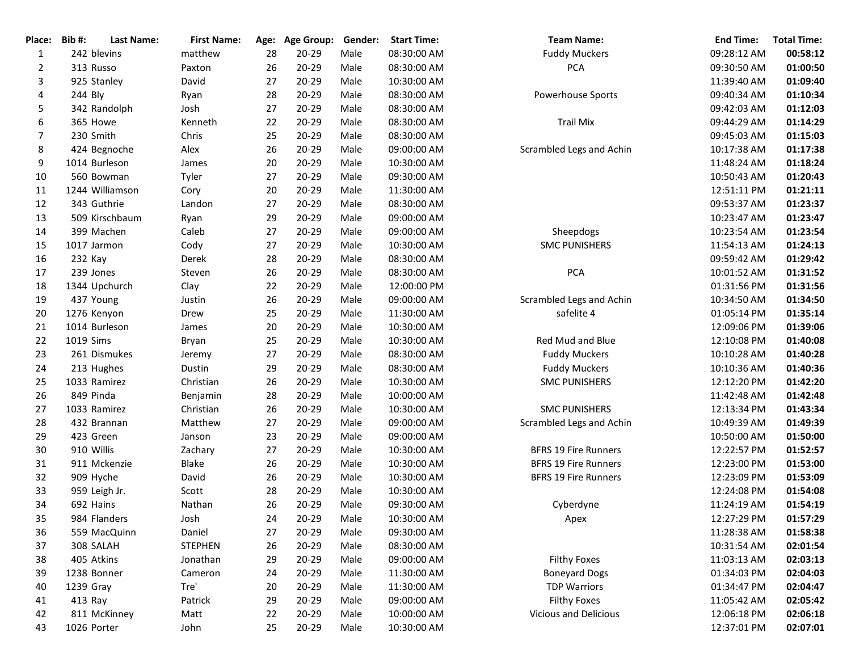| Place:       | Bib#:<br><b>Last Name:</b> | <b>First Name:</b> |    | Age: Age Group: | Gender: | <b>Start Time:</b> | <b>Team Name:</b>           | <b>End Time:</b> | <b>Total Time:</b> |
|--------------|----------------------------|--------------------|----|-----------------|---------|--------------------|-----------------------------|------------------|--------------------|
| $\mathbf{1}$ | 242 blevins                | matthew            | 28 | 20-29           | Male    | 08:30:00 AM        | <b>Fuddy Muckers</b>        | 09:28:12 AM      | 00:58:12           |
| 2            | 313 Russo                  | Paxton             | 26 | $20 - 29$       | Male    | 08:30:00 AM        | <b>PCA</b>                  | 09:30:50 AM      | 01:00:50           |
| 3            | 925 Stanley                | David              | 27 | $20 - 29$       | Male    | 10:30:00 AM        |                             | 11:39:40 AM      | 01:09:40           |
| 4            | 244 Bly                    | Ryan               | 28 | $20 - 29$       | Male    | 08:30:00 AM        | Powerhouse Sports           | 09:40:34 AM      | 01:10:34           |
| 5            | 342 Randolph               | Josh               | 27 | 20-29           | Male    | 08:30:00 AM        |                             | 09:42:03 AM      | 01:12:03           |
| 6            | 365 Howe                   | Kenneth            | 22 | $20 - 29$       | Male    | 08:30:00 AM        | <b>Trail Mix</b>            | 09:44:29 AM      | 01:14:29           |
| 7            | 230 Smith                  | Chris              | 25 | $20 - 29$       | Male    | 08:30:00 AM        |                             | 09:45:03 AM      | 01:15:03           |
| 8            | 424 Begnoche               | Alex               | 26 | $20 - 29$       | Male    | 09:00:00 AM        | Scrambled Legs and Achin    | 10:17:38 AM      | 01:17:38           |
| 9            | 1014 Burleson              | James              | 20 | $20 - 29$       | Male    | 10:30:00 AM        |                             | 11:48:24 AM      | 01:18:24           |
| 10           | 560 Bowman                 | Tyler              | 27 | $20 - 29$       | Male    | 09:30:00 AM        |                             | 10:50:43 AM      | 01:20:43           |
| 11           | 1244 Williamson            | Cory               | 20 | $20 - 29$       | Male    | 11:30:00 AM        |                             | 12:51:11 PM      | 01:21:11           |
| 12           | 343 Guthrie                | Landon             | 27 | $20 - 29$       | Male    | 08:30:00 AM        |                             | 09:53:37 AM      | 01:23:37           |
| 13           | 509 Kirschbaum             | Ryan               | 29 | $20 - 29$       | Male    | 09:00:00 AM        |                             | 10:23:47 AM      | 01:23:47           |
| 14           | 399 Machen                 | Caleb              | 27 | $20 - 29$       | Male    | 09:00:00 AM        | Sheepdogs                   | 10:23:54 AM      | 01:23:54           |
| 15           | 1017 Jarmon                | Cody               | 27 | $20 - 29$       | Male    | 10:30:00 AM        | <b>SMC PUNISHERS</b>        | 11:54:13 AM      | 01:24:13           |
| 16           | 232 Kay                    | Derek              | 28 | $20 - 29$       | Male    | 08:30:00 AM        |                             | 09:59:42 AM      | 01:29:42           |
| 17           | 239 Jones                  | Steven             | 26 | $20 - 29$       | Male    | 08:30:00 AM        | PCA                         | 10:01:52 AM      | 01:31:52           |
| 18           | 1344 Upchurch              | Clay               | 22 | $20 - 29$       | Male    | 12:00:00 PM        |                             | 01:31:56 PM      | 01:31:56           |
| 19           | 437 Young                  | Justin             | 26 | $20 - 29$       | Male    | 09:00:00 AM        | Scrambled Legs and Achin    | 10:34:50 AM      | 01:34:50           |
| 20           | 1276 Kenyon                | Drew               | 25 | $20 - 29$       | Male    | 11:30:00 AM        | safelite 4                  | 01:05:14 PM      | 01:35:14           |
| 21           | 1014 Burleson              | James              | 20 | $20 - 29$       | Male    | 10:30:00 AM        |                             | 12:09:06 PM      | 01:39:06           |
| 22           | 1019 Sims                  | Bryan              | 25 | $20 - 29$       | Male    | 10:30:00 AM        | Red Mud and Blue            | 12:10:08 PM      | 01:40:08           |
| 23           | 261 Dismukes               | Jeremy             | 27 | $20 - 29$       | Male    | 08:30:00 AM        | <b>Fuddy Muckers</b>        | 10:10:28 AM      | 01:40:28           |
| 24           | 213 Hughes                 | Dustin             | 29 | $20 - 29$       | Male    | 08:30:00 AM        | <b>Fuddy Muckers</b>        | 10:10:36 AM      | 01:40:36           |
| 25           | 1033 Ramirez               | Christian          | 26 | $20 - 29$       | Male    | 10:30:00 AM        | <b>SMC PUNISHERS</b>        | 12:12:20 PM      | 01:42:20           |
| 26           | 849 Pinda                  | Benjamin           | 28 | 20-29           | Male    | 10:00:00 AM        |                             | 11:42:48 AM      | 01:42:48           |
| 27           | 1033 Ramirez               | Christian          | 26 | $20 - 29$       | Male    | 10:30:00 AM        | <b>SMC PUNISHERS</b>        | 12:13:34 PM      | 01:43:34           |
| 28           | 432 Brannan                | Matthew            | 27 | $20 - 29$       | Male    | 09:00:00 AM        | Scrambled Legs and Achin    | 10:49:39 AM      | 01:49:39           |
| 29           | 423 Green                  | Janson             | 23 | $20 - 29$       | Male    | 09:00:00 AM        |                             | 10:50:00 AM      | 01:50:00           |
| 30           | 910 Willis                 | Zachary            | 27 | $20 - 29$       | Male    | 10:30:00 AM        | <b>BFRS 19 Fire Runners</b> | 12:22:57 PM      | 01:52:57           |
| 31           | 911 Mckenzie               | Blake              | 26 | $20 - 29$       | Male    | 10:30:00 AM        | <b>BFRS 19 Fire Runners</b> | 12:23:00 PM      | 01:53:00           |
| 32           | 909 Hyche                  | David              | 26 | $20 - 29$       | Male    | 10:30:00 AM        | <b>BFRS 19 Fire Runners</b> | 12:23:09 PM      | 01:53:09           |
| 33           | 959 Leigh Jr.              | Scott              | 28 | $20 - 29$       | Male    | 10:30:00 AM        |                             | 12:24:08 PM      | 01:54:08           |
| 34           | 692 Hains                  | Nathan             | 26 | $20 - 29$       | Male    | 09:30:00 AM        | Cyberdyne                   | 11:24:19 AM      | 01:54:19           |
| 35           | 984 Flanders               | Josh               | 24 | $20 - 29$       | Male    | 10:30:00 AM        | Apex                        | 12:27:29 PM      | 01:57:29           |
| 36           | 559 MacQuinn               | Daniel             | 27 | $20 - 29$       | Male    | 09:30:00 AM        |                             | 11:28:38 AM      | 01:58:38           |
| 37           | 308 SALAH                  | <b>STEPHEN</b>     | 26 | 20-29           | Male    | 08:30:00 AM        |                             | 10:31:54 AM      | 02:01:54           |
| 38           | 405 Atkins                 | Jonathan           | 29 | $20 - 29$       | Male    | 09:00:00 AM        | <b>Filthy Foxes</b>         | 11:03:13 AM      | 02:03:13           |
| 39           | 1238 Bonner                | Cameron            | 24 | $20 - 29$       | Male    | 11:30:00 AM        | <b>Boneyard Dogs</b>        | 01:34:03 PM      | 02:04:03           |
| 40           | 1239 Gray                  | Tre'               | 20 | 20-29           | Male    | 11:30:00 AM        | <b>TDP Warriors</b>         | 01:34:47 PM      | 02:04:47           |
| 41           | 413 Ray                    | Patrick            | 29 | 20-29           | Male    | 09:00:00 AM        | <b>Filthy Foxes</b>         | 11:05:42 AM      | 02:05:42           |
| 42           | 811 McKinney               | Matt               | 22 | 20-29           | Male    | 10:00:00 AM        | Vicious and Delicious       | 12:06:18 PM      | 02:06:18           |
| 43           | 1026 Porter                | John               | 25 | $20 - 29$       | Male    | 10:30:00 AM        |                             | 12:37:01 PM      | 02:07:01           |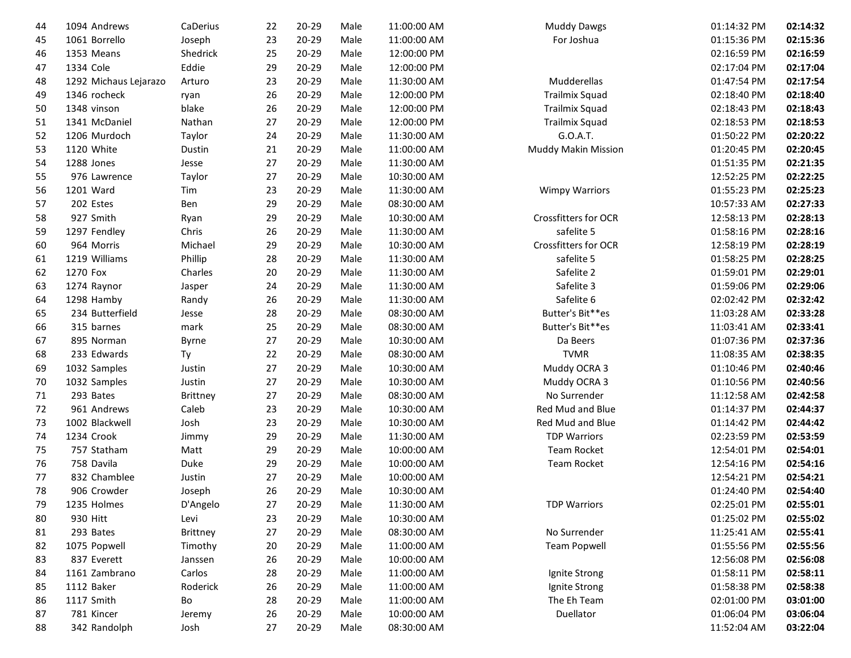| 44 | 1094 Andrews          | CaDerius        | 22 | $20 - 29$ | Male | 11:00:00 AM | <b>Muddy Dawgs</b>         | 01:14:32 PM | 02:14:32 |
|----|-----------------------|-----------------|----|-----------|------|-------------|----------------------------|-------------|----------|
| 45 | 1061 Borrello         | Joseph          | 23 | 20-29     | Male | 11:00:00 AM | For Joshua                 | 01:15:36 PM | 02:15:36 |
| 46 | 1353 Means            | Shedrick        | 25 | 20-29     | Male | 12:00:00 PM |                            | 02:16:59 PM | 02:16:59 |
| 47 | 1334 Cole             | Eddie           | 29 | $20 - 29$ | Male | 12:00:00 PM |                            | 02:17:04 PM | 02:17:04 |
| 48 | 1292 Michaus Lejarazo | Arturo          | 23 | 20-29     | Male | 11:30:00 AM | Mudderellas                | 01:47:54 PM | 02:17:54 |
| 49 | 1346 rocheck          | ryan            | 26 | 20-29     | Male | 12:00:00 PM | <b>Trailmix Squad</b>      | 02:18:40 PM | 02:18:40 |
| 50 | 1348 vinson           | blake           | 26 | 20-29     | Male | 12:00:00 PM | <b>Trailmix Squad</b>      | 02:18:43 PM | 02:18:43 |
| 51 | 1341 McDaniel         | Nathan          | 27 | 20-29     | Male | 12:00:00 PM | <b>Trailmix Squad</b>      | 02:18:53 PM | 02:18:53 |
| 52 | 1206 Murdoch          | Taylor          | 24 | 20-29     | Male | 11:30:00 AM | G.O.A.T.                   | 01:50:22 PM | 02:20:22 |
| 53 | 1120 White            | Dustin          | 21 | 20-29     | Male | 11:00:00 AM | <b>Muddy Makin Mission</b> | 01:20:45 PM | 02:20:45 |
| 54 | 1288 Jones            | Jesse           | 27 | 20-29     | Male | 11:30:00 AM |                            | 01:51:35 PM | 02:21:35 |
| 55 | 976 Lawrence          | Taylor          | 27 | 20-29     | Male | 10:30:00 AM |                            | 12:52:25 PM | 02:22:25 |
| 56 | 1201 Ward             | Tim             | 23 | 20-29     | Male | 11:30:00 AM | <b>Wimpy Warriors</b>      | 01:55:23 PM | 02:25:23 |
| 57 | 202 Estes             | Ben             | 29 | $20 - 29$ | Male | 08:30:00 AM |                            | 10:57:33 AM | 02:27:33 |
| 58 | 927 Smith             | Ryan            | 29 | 20-29     | Male | 10:30:00 AM | Crossfitters for OCR       | 12:58:13 PM | 02:28:13 |
| 59 | 1297 Fendley          | Chris           | 26 | 20-29     | Male | 11:30:00 AM | safelite 5                 | 01:58:16 PM | 02:28:16 |
| 60 | 964 Morris            | Michael         | 29 | 20-29     | Male | 10:30:00 AM | Crossfitters for OCR       | 12:58:19 PM | 02:28:19 |
| 61 | 1219 Williams         | Phillip         | 28 | 20-29     | Male | 11:30:00 AM | safelite 5                 | 01:58:25 PM | 02:28:25 |
| 62 | 1270 Fox              | Charles         | 20 | 20-29     | Male | 11:30:00 AM | Safelite 2                 | 01:59:01 PM | 02:29:01 |
| 63 | 1274 Raynor           | Jasper          | 24 | $20 - 29$ | Male | 11:30:00 AM | Safelite 3                 | 01:59:06 PM | 02:29:06 |
| 64 | 1298 Hamby            | Randy           | 26 | 20-29     | Male | 11:30:00 AM | Safelite 6                 | 02:02:42 PM | 02:32:42 |
| 65 | 234 Butterfield       | Jesse           | 28 | $20 - 29$ | Male | 08:30:00 AM | Butter's Bit**es           | 11:03:28 AM | 02:33:28 |
| 66 | 315 barnes            | mark            | 25 | 20-29     | Male | 08:30:00 AM | Butter's Bit**es           | 11:03:41 AM | 02:33:41 |
| 67 | 895 Norman            | <b>Byrne</b>    | 27 | 20-29     | Male | 10:30:00 AM | Da Beers                   | 01:07:36 PM | 02:37:36 |
| 68 | 233 Edwards           | Ty              | 22 | 20-29     | Male | 08:30:00 AM | <b>TVMR</b>                | 11:08:35 AM | 02:38:35 |
| 69 | 1032 Samples          | Justin          | 27 | 20-29     | Male | 10:30:00 AM | Muddy OCRA 3               | 01:10:46 PM | 02:40:46 |
| 70 | 1032 Samples          | Justin          | 27 | 20-29     | Male | 10:30:00 AM | Muddy OCRA 3               | 01:10:56 PM | 02:40:56 |
| 71 | 293 Bates             | <b>Brittney</b> | 27 | 20-29     | Male | 08:30:00 AM | No Surrender               | 11:12:58 AM | 02:42:58 |
| 72 | 961 Andrews           | Caleb           | 23 | $20 - 29$ | Male | 10:30:00 AM | Red Mud and Blue           | 01:14:37 PM | 02:44:37 |
| 73 | 1002 Blackwell        | Josh            | 23 | 20-29     | Male | 10:30:00 AM | Red Mud and Blue           | 01:14:42 PM | 02:44:42 |
| 74 | 1234 Crook            | Jimmy           | 29 | 20-29     | Male | 11:30:00 AM | <b>TDP Warriors</b>        | 02:23:59 PM | 02:53:59 |
| 75 | 757 Statham           | Matt            | 29 | 20-29     | Male | 10:00:00 AM | <b>Team Rocket</b>         | 12:54:01 PM | 02:54:01 |
| 76 | 758 Davila            | Duke            | 29 | 20-29     | Male | 10:00:00 AM | Team Rocket                | 12:54:16 PM | 02:54:16 |
| 77 | 832 Chamblee          | Justin          | 27 | 20-29     | Male | 10:00:00 AM |                            | 12:54:21 PM | 02:54:21 |
| 78 | 906 Crowder           | Joseph          | 26 | 20-29     | Male | 10:30:00 AM |                            | 01:24:40 PM | 02:54:40 |
| 79 | 1235 Holmes           | D'Angelo        | 27 | $20 - 29$ | Male | 11:30:00 AM | <b>TDP Warriors</b>        | 02:25:01 PM | 02:55:01 |
| 80 | 930 Hitt              | Levi            | 23 | 20-29     | Male | 10:30:00 AM |                            | 01:25:02 PM | 02:55:02 |
| 81 | 293 Bates             | <b>Brittney</b> | 27 | $20 - 29$ | Male | 08:30:00 AM | No Surrender               | 11:25:41 AM | 02:55:41 |
| 82 | 1075 Popwell          | Timothy         | 20 | $20 - 29$ | Male | 11:00:00 AM | <b>Team Popwell</b>        | 01:55:56 PM | 02:55:56 |
| 83 | 837 Everett           | Janssen         | 26 | $20 - 29$ | Male | 10:00:00 AM |                            | 12:56:08 PM | 02:56:08 |
| 84 | 1161 Zambrano         | Carlos          | 28 | 20-29     | Male | 11:00:00 AM | Ignite Strong              | 01:58:11 PM | 02:58:11 |
| 85 | 1112 Baker            | Roderick        | 26 | $20 - 29$ | Male | 11:00:00 AM | Ignite Strong              | 01:58:38 PM | 02:58:38 |
| 86 | 1117 Smith            | Bo              | 28 | 20-29     | Male | 11:00:00 AM | The Eh Team                | 02:01:00 PM | 03:01:00 |
| 87 | 781 Kincer            | Jeremy          | 26 | $20 - 29$ | Male | 10:00:00 AM | Duellator                  | 01:06:04 PM | 03:06:04 |
| 88 | 342 Randolph          | Josh            | 27 | 20-29     | Male | 08:30:00 AM |                            | 11:52:04 AM | 03:22:04 |
|    |                       |                 |    |           |      |             |                            |             |          |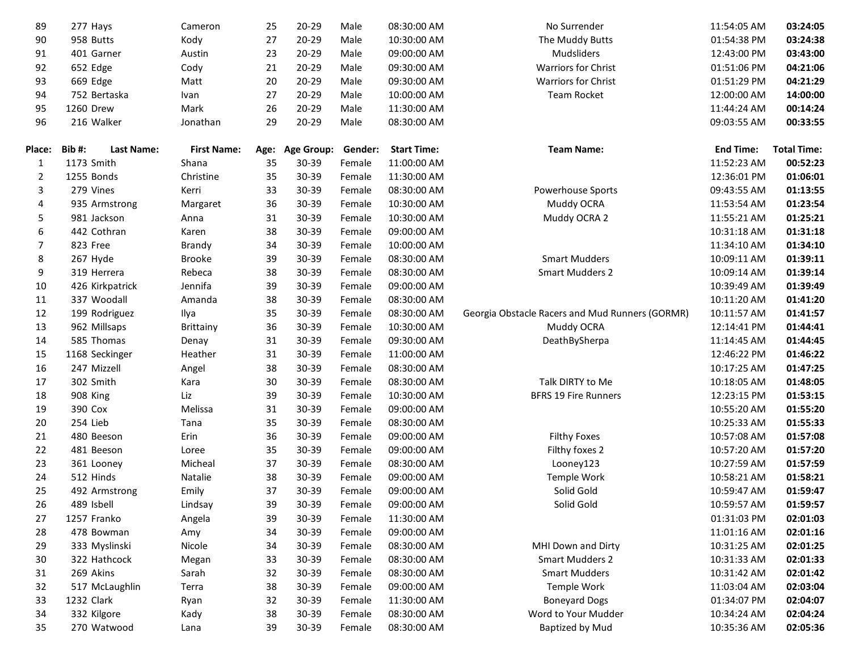| 89             | 277 Hays                   | Cameron            | 25   | $20 - 29$         | Male    | 08:30:00 AM        | No Surrender                                    | 11:54:05 AM      | 03:24:05           |
|----------------|----------------------------|--------------------|------|-------------------|---------|--------------------|-------------------------------------------------|------------------|--------------------|
| 90             | 958 Butts                  | Kody               | 27   | 20-29             | Male    | 10:30:00 AM        | The Muddy Butts                                 | 01:54:38 PM      | 03:24:38           |
| 91             | 401 Garner                 | Austin             | 23   | $20 - 29$         | Male    | 09:00:00 AM        | Mudsliders                                      | 12:43:00 PM      | 03:43:00           |
| 92             | 652 Edge                   | Cody               | 21   | 20-29             | Male    | 09:30:00 AM        | <b>Warriors for Christ</b>                      | 01:51:06 PM      | 04:21:06           |
| 93             | 669 Edge                   | Matt               | 20   | 20-29             | Male    | 09:30:00 AM        | Warriors for Christ                             | 01:51:29 PM      | 04:21:29           |
| 94             | 752 Bertaska               | Ivan               | 27   | 20-29             | Male    | 10:00:00 AM        | Team Rocket                                     | 12:00:00 AM      | 14:00:00           |
| 95             | 1260 Drew                  | Mark               | 26   | 20-29             | Male    | 11:30:00 AM        |                                                 | 11:44:24 AM      | 00:14:24           |
| 96             | 216 Walker                 | Jonathan           | 29   | $20 - 29$         | Male    | 08:30:00 AM        |                                                 | 09:03:55 AM      | 00:33:55           |
|                |                            |                    |      |                   |         |                    |                                                 |                  |                    |
| <b>Place:</b>  | Bib#:<br><b>Last Name:</b> | <b>First Name:</b> | Age: | <b>Age Group:</b> | Gender: | <b>Start Time:</b> | <b>Team Name:</b>                               | <b>End Time:</b> | <b>Total Time:</b> |
| 1              | 1173 Smith                 | Shana              | 35   | $30 - 39$         | Female  | 11:00:00 AM        |                                                 | 11:52:23 AM      | 00:52:23           |
| $\overline{2}$ | 1255 Bonds                 | Christine          | 35   | 30-39             | Female  | 11:30:00 AM        |                                                 | 12:36:01 PM      | 01:06:01           |
| 3              | 279 Vines                  | Kerri              | 33   | 30-39             | Female  | 08:30:00 AM        | Powerhouse Sports                               | 09:43:55 AM      | 01:13:55           |
| 4              | 935 Armstrong              | Margaret           | 36   | 30-39             | Female  | 10:30:00 AM        | Muddy OCRA                                      | 11:53:54 AM      | 01:23:54           |
| 5              | 981 Jackson                | Anna               | 31   | 30-39             | Female  | 10:30:00 AM        | Muddy OCRA 2                                    | 11:55:21 AM      | 01:25:21           |
| 6              | 442 Cothran                | Karen              | 38   | 30-39             | Female  | 09:00:00 AM        |                                                 | 10:31:18 AM      | 01:31:18           |
| $\overline{7}$ | 823 Free                   | Brandy             | 34   | 30-39             | Female  | 10:00:00 AM        |                                                 | 11:34:10 AM      | 01:34:10           |
| 8              | 267 Hyde                   | <b>Brooke</b>      | 39   | 30-39             | Female  | 08:30:00 AM        | <b>Smart Mudders</b>                            | 10:09:11 AM      | 01:39:11           |
| 9              | 319 Herrera                | Rebeca             | 38   | 30-39             | Female  | 08:30:00 AM        | <b>Smart Mudders 2</b>                          | 10:09:14 AM      | 01:39:14           |
| 10             | 426 Kirkpatrick            | Jennifa            | 39   | 30-39             | Female  | 09:00:00 AM        |                                                 | 10:39:49 AM      | 01:39:49           |
| 11             | 337 Woodall                | Amanda             | 38   | 30-39             | Female  | 08:30:00 AM        |                                                 | 10:11:20 AM      | 01:41:20           |
| 12             | 199 Rodriguez              | Ilya               | 35   | 30-39             | Female  | 08:30:00 AM        | Georgia Obstacle Racers and Mud Runners (GORMR) | 10:11:57 AM      | 01:41:57           |
| 13             | 962 Millsaps               | Brittainy          | 36   | 30-39             | Female  | 10:30:00 AM        | Muddy OCRA                                      | 12:14:41 PM      | 01:44:41           |
| 14             | 585 Thomas                 | Denay              | 31   | 30-39             | Female  | 09:30:00 AM        | DeathBySherpa                                   | 11:14:45 AM      | 01:44:45           |
| 15             | 1168 Seckinger             | Heather            | 31   | 30-39             | Female  | 11:00:00 AM        |                                                 | 12:46:22 PM      | 01:46:22           |
| 16             | 247 Mizzell                | Angel              | 38   | 30-39             | Female  | 08:30:00 AM        |                                                 | 10:17:25 AM      | 01:47:25           |
| 17             | 302 Smith                  | Kara               | 30   | 30-39             | Female  | 08:30:00 AM        | Talk DIRTY to Me                                | 10:18:05 AM      | 01:48:05           |
| 18             | 908 King                   | Liz                | 39   | 30-39             | Female  | 10:30:00 AM        | <b>BFRS 19 Fire Runners</b>                     | 12:23:15 PM      | 01:53:15           |
| 19             | 390 Cox                    | Melissa            | 31   | 30-39             | Female  | 09:00:00 AM        |                                                 | 10:55:20 AM      | 01:55:20           |
| 20             | 254 Lieb                   | Tana               | 35   | 30-39             | Female  | 08:30:00 AM        |                                                 | 10:25:33 AM      | 01:55:33           |
| 21             | 480 Beeson                 | Erin               | 36   | 30-39             | Female  | 09:00:00 AM        | <b>Filthy Foxes</b>                             | 10:57:08 AM      | 01:57:08           |
| 22             | 481 Beeson                 | Loree              | 35   | 30-39             | Female  | 09:00:00 AM        | Filthy foxes 2                                  | 10:57:20 AM      | 01:57:20           |
| 23             | 361 Looney                 | Micheal            | 37   | 30-39             | Female  | 08:30:00 AM        | Looney123                                       | 10:27:59 AM      | 01:57:59           |
| 24             | 512 Hinds                  | Natalie            | 38   | 30-39             | Female  | 09:00:00 AM        | Temple Work                                     | 10:58:21 AM      | 01:58:21           |
| 25             | 492 Armstrong              | Emily              | 37   | 30-39             | Female  | 09:00:00 AM        | Solid Gold                                      | 10:59:47 AM      | 01:59:47           |
| 26             | 489 Isbell                 | Lindsay            | 39   | 30-39             | Female  | 09:00:00 AM        | Solid Gold                                      | 10:59:57 AM      | 01:59:57           |
| 27             | 1257 Franko                | Angela             | 39   | 30-39             | Female  | 11:30:00 AM        |                                                 | 01:31:03 PM      | 02:01:03           |
| 28             | 478 Bowman                 | Amy                | 34   | 30-39             | Female  | 09:00:00 AM        |                                                 | 11:01:16 AM      | 02:01:16           |
| 29             | 333 Myslinski              | Nicole             | 34   | 30-39             | Female  | 08:30:00 AM        | MHI Down and Dirty                              | 10:31:25 AM      | 02:01:25           |
| 30             | 322 Hathcock               | Megan              | 33   | 30-39             | Female  | 08:30:00 AM        | <b>Smart Mudders 2</b>                          | 10:31:33 AM      | 02:01:33           |
| 31             | 269 Akins                  | Sarah              | 32   | 30-39             | Female  | 08:30:00 AM        | <b>Smart Mudders</b>                            | 10:31:42 AM      | 02:01:42           |
| 32             | 517 McLaughlin             | Terra              | 38   | 30-39             | Female  | 09:00:00 AM        | Temple Work                                     | 11:03:04 AM      | 02:03:04           |
| 33             | 1232 Clark                 | Ryan               | 32   | 30-39             | Female  | 11:30:00 AM        | <b>Boneyard Dogs</b>                            | 01:34:07 PM      | 02:04:07           |
| 34             | 332 Kilgore                | Kady               | 38   | 30-39             | Female  | 08:30:00 AM        | Word to Your Mudder                             | 10:34:24 AM      | 02:04:24           |
| 35             | 270 Watwood                | Lana               | 39   | 30-39             | Female  | 08:30:00 AM        | Baptized by Mud                                 | 10:35:36 AM      | 02:05:36           |
|                |                            |                    |      |                   |         |                    |                                                 |                  |                    |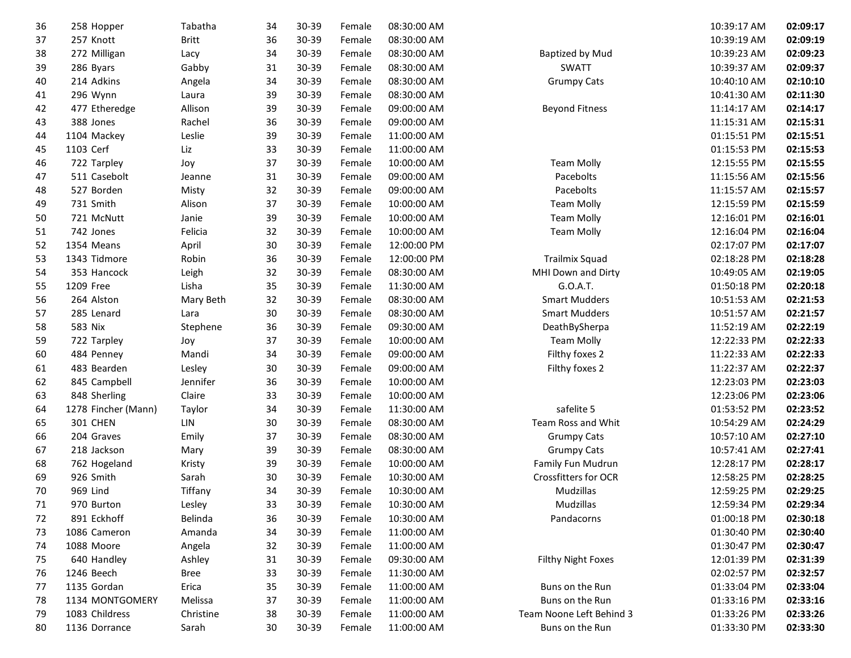| 36 | 258 Hopper          | Tabatha      | 34 | 30-39 | Female | 08:30:00 AM |                          | 10:39:17 AM | 02:09:17 |
|----|---------------------|--------------|----|-------|--------|-------------|--------------------------|-------------|----------|
| 37 | 257 Knott           | <b>Britt</b> | 36 | 30-39 | Female | 08:30:00 AM |                          | 10:39:19 AM | 02:09:19 |
| 38 | 272 Milligan        | Lacy         | 34 | 30-39 | Female | 08:30:00 AM | Baptized by Mud          | 10:39:23 AM | 02:09:23 |
| 39 | 286 Byars           | Gabby        | 31 | 30-39 | Female | 08:30:00 AM | <b>SWATT</b>             | 10:39:37 AM | 02:09:37 |
| 40 | 214 Adkins          | Angela       | 34 | 30-39 | Female | 08:30:00 AM | <b>Grumpy Cats</b>       | 10:40:10 AM | 02:10:10 |
| 41 | 296 Wynn            | Laura        | 39 | 30-39 | Female | 08:30:00 AM |                          | 10:41:30 AM | 02:11:30 |
| 42 | 477 Etheredge       | Allison      | 39 | 30-39 | Female | 09:00:00 AM | <b>Beyond Fitness</b>    | 11:14:17 AM | 02:14:17 |
| 43 | 388 Jones           | Rachel       | 36 | 30-39 | Female | 09:00:00 AM |                          | 11:15:31 AM | 02:15:31 |
| 44 | 1104 Mackey         | Leslie       | 39 | 30-39 | Female | 11:00:00 AM |                          | 01:15:51 PM | 02:15:51 |
| 45 | 1103 Cerf           | Liz          | 33 | 30-39 | Female | 11:00:00 AM |                          | 01:15:53 PM | 02:15:53 |
| 46 | 722 Tarpley         | Joy          | 37 | 30-39 | Female | 10:00:00 AM | <b>Team Molly</b>        | 12:15:55 PM | 02:15:55 |
| 47 | 511 Casebolt        | Jeanne       | 31 | 30-39 | Female | 09:00:00 AM | Pacebolts                | 11:15:56 AM | 02:15:56 |
| 48 | 527 Borden          | Misty        | 32 | 30-39 | Female | 09:00:00 AM | Pacebolts                | 11:15:57 AM | 02:15:57 |
| 49 | 731 Smith           | Alison       | 37 | 30-39 | Female | 10:00:00 AM | <b>Team Molly</b>        | 12:15:59 PM | 02:15:59 |
| 50 | 721 McNutt          | Janie        | 39 | 30-39 | Female | 10:00:00 AM | <b>Team Molly</b>        | 12:16:01 PM | 02:16:01 |
| 51 | 742 Jones           | Felicia      | 32 | 30-39 | Female | 10:00:00 AM | <b>Team Molly</b>        | 12:16:04 PM | 02:16:04 |
| 52 | 1354 Means          | April        | 30 | 30-39 | Female | 12:00:00 PM |                          | 02:17:07 PM | 02:17:07 |
| 53 | 1343 Tidmore        | Robin        | 36 | 30-39 | Female | 12:00:00 PM | Trailmix Squad           | 02:18:28 PM | 02:18:28 |
| 54 | 353 Hancock         | Leigh        | 32 | 30-39 | Female | 08:30:00 AM | MHI Down and Dirty       | 10:49:05 AM | 02:19:05 |
| 55 | 1209 Free           | Lisha        | 35 | 30-39 | Female | 11:30:00 AM | G.O.A.T.                 | 01:50:18 PM | 02:20:18 |
| 56 | 264 Alston          | Mary Beth    | 32 | 30-39 | Female | 08:30:00 AM | <b>Smart Mudders</b>     | 10:51:53 AM | 02:21:53 |
| 57 | 285 Lenard          | Lara         | 30 | 30-39 | Female | 08:30:00 AM | <b>Smart Mudders</b>     | 10:51:57 AM | 02:21:57 |
| 58 | 583 Nix             | Stephene     | 36 | 30-39 | Female | 09:30:00 AM | DeathBySherpa            | 11:52:19 AM | 02:22:19 |
| 59 | 722 Tarpley         | Joy          | 37 | 30-39 | Female | 10:00:00 AM | <b>Team Molly</b>        | 12:22:33 PM | 02:22:33 |
| 60 | 484 Penney          | Mandi        | 34 | 30-39 | Female | 09:00:00 AM | Filthy foxes 2           | 11:22:33 AM | 02:22:33 |
| 61 | 483 Bearden         | Lesley       | 30 | 30-39 | Female | 09:00:00 AM | Filthy foxes 2           | 11:22:37 AM | 02:22:37 |
| 62 | 845 Campbell        | Jennifer     | 36 | 30-39 | Female | 10:00:00 AM |                          | 12:23:03 PM | 02:23:03 |
| 63 | 848 Sherling        | Claire       | 33 | 30-39 | Female | 10:00:00 AM |                          | 12:23:06 PM | 02:23:06 |
| 64 | 1278 Fincher (Mann) | Taylor       | 34 | 30-39 | Female | 11:30:00 AM | safelite 5               | 01:53:52 PM | 02:23:52 |
| 65 | 301 CHEN            | LIN          | 30 | 30-39 | Female | 08:30:00 AM | Team Ross and Whit       | 10:54:29 AM | 02:24:29 |
| 66 | 204 Graves          | Emily        | 37 | 30-39 | Female | 08:30:00 AM | <b>Grumpy Cats</b>       | 10:57:10 AM | 02:27:10 |
| 67 | 218 Jackson         | Mary         | 39 | 30-39 | Female | 08:30:00 AM | <b>Grumpy Cats</b>       | 10:57:41 AM | 02:27:41 |
| 68 | 762 Hogeland        | Kristy       | 39 | 30-39 | Female | 10:00:00 AM | Family Fun Mudrun        | 12:28:17 PM | 02:28:17 |
| 69 | 926 Smith           | Sarah        | 30 | 30-39 | Female | 10:30:00 AM | Crossfitters for OCR     | 12:58:25 PM | 02:28:25 |
| 70 | 969 Lind            | Tiffany      | 34 | 30-39 | Female | 10:30:00 AM | Mudzillas                | 12:59:25 PM | 02:29:25 |
| 71 | 970 Burton          | Lesley       | 33 | 30-39 | Female | 10:30:00 AM | Mudzillas                | 12:59:34 PM | 02:29:34 |
| 72 | 891 Eckhoff         | Belinda      | 36 | 30-39 | Female | 10:30:00 AM | Pandacorns               | 01:00:18 PM | 02:30:18 |
| 73 | 1086 Cameron        | Amanda       | 34 | 30-39 | Female | 11:00:00 AM |                          | 01:30:40 PM | 02:30:40 |
| 74 | 1088 Moore          | Angela       | 32 | 30-39 | Female | 11:00:00 AM |                          | 01:30:47 PM | 02:30:47 |
| 75 | 640 Handley         | Ashley       | 31 | 30-39 | Female | 09:30:00 AM | Filthy Night Foxes       | 12:01:39 PM | 02:31:39 |
| 76 | 1246 Beech          | <b>Bree</b>  | 33 | 30-39 | Female | 11:30:00 AM |                          | 02:02:57 PM | 02:32:57 |
| 77 | 1135 Gordan         | Erica        | 35 | 30-39 | Female | 11:00:00 AM | Buns on the Run          | 01:33:04 PM | 02:33:04 |
| 78 | 1134 MONTGOMERY     | Melissa      | 37 | 30-39 | Female | 11:00:00 AM | Buns on the Run          | 01:33:16 PM | 02:33:16 |
| 79 | 1083 Childress      | Christine    | 38 | 30-39 | Female | 11:00:00 AM | Team Noone Left Behind 3 | 01:33:26 PM | 02:33:26 |
| 80 | 1136 Dorrance       | Sarah        | 30 | 30-39 | Female | 11:00:00 AM | Buns on the Run          | 01:33:30 PM | 02:33:30 |
|    |                     |              |    |       |        |             |                          |             |          |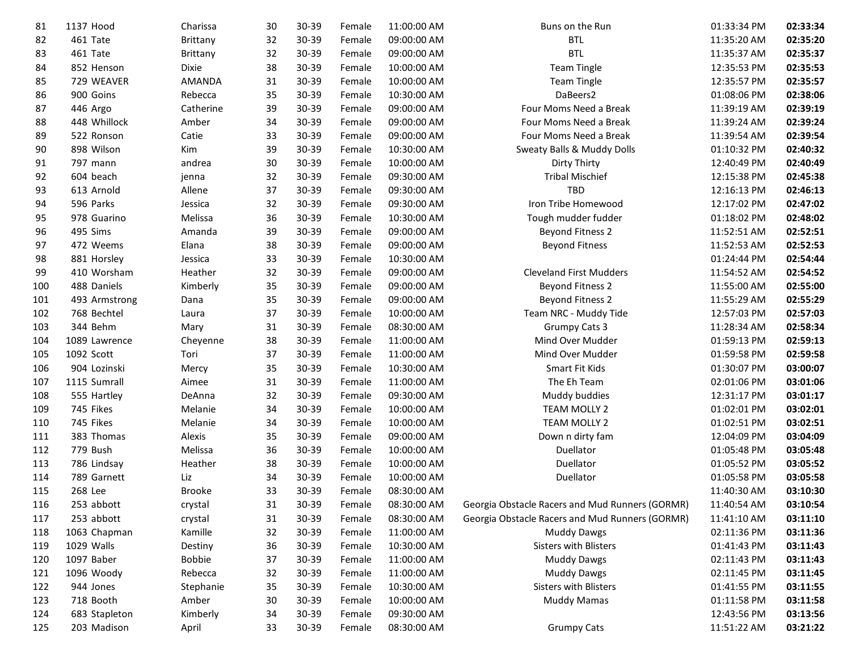| 81  | 1137 Hood     | Charissa      | 30 | 30-39 | Female | 11:00:00 AM | Buns on the Run                                 | 01:33:34 PM | 02:33:34 |
|-----|---------------|---------------|----|-------|--------|-------------|-------------------------------------------------|-------------|----------|
| 82  | 461 Tate      | Brittany      | 32 | 30-39 | Female | 09:00:00 AM | <b>BTL</b>                                      | 11:35:20 AM | 02:35:20 |
| 83  | 461 Tate      | Brittany      | 32 | 30-39 | Female | 09:00:00 AM | <b>BTL</b>                                      | 11:35:37 AM | 02:35:37 |
| 84  | 852 Henson    | <b>Dixie</b>  | 38 | 30-39 | Female | 10:00:00 AM | <b>Team Tingle</b>                              | 12:35:53 PM | 02:35:53 |
| 85  | 729 WEAVER    | <b>AMANDA</b> | 31 | 30-39 | Female | 10:00:00 AM | <b>Team Tingle</b>                              | 12:35:57 PM | 02:35:57 |
| 86  | 900 Goins     | Rebecca       | 35 | 30-39 | Female | 10:30:00 AM | DaBeers2                                        | 01:08:06 PM | 02:38:06 |
| 87  | 446 Argo      | Catherine     | 39 | 30-39 | Female | 09:00:00 AM | Four Moms Need a Break                          | 11:39:19 AM | 02:39:19 |
| 88  | 448 Whillock  | Amber         | 34 | 30-39 | Female | 09:00:00 AM | Four Moms Need a Break                          | 11:39:24 AM | 02:39:24 |
| 89  | 522 Ronson    | Catie         | 33 | 30-39 | Female | 09:00:00 AM | Four Moms Need a Break                          | 11:39:54 AM | 02:39:54 |
| 90  | 898 Wilson    | Kim           | 39 | 30-39 | Female | 10:30:00 AM | Sweaty Balls & Muddy Dolls                      | 01:10:32 PM | 02:40:32 |
| 91  | 797 mann      | andrea        | 30 | 30-39 | Female | 10:00:00 AM | Dirty Thirty                                    | 12:40:49 PM | 02:40:49 |
| 92  | 604 beach     | jenna         | 32 | 30-39 | Female | 09:30:00 AM | <b>Tribal Mischief</b>                          | 12:15:38 PM | 02:45:38 |
| 93  | 613 Arnold    | Allene        | 37 | 30-39 | Female | 09:30:00 AM | <b>TBD</b>                                      | 12:16:13 PM | 02:46:13 |
| 94  | 596 Parks     | Jessica       | 32 | 30-39 | Female | 09:30:00 AM | Iron Tribe Homewood                             | 12:17:02 PM | 02:47:02 |
| 95  | 978 Guarino   | Melissa       | 36 | 30-39 | Female | 10:30:00 AM | Tough mudder fudder                             | 01:18:02 PM | 02:48:02 |
| 96  | 495 Sims      | Amanda        | 39 | 30-39 | Female | 09:00:00 AM | <b>Beyond Fitness 2</b>                         | 11:52:51 AM | 02:52:51 |
| 97  | 472 Weems     | Elana         | 38 | 30-39 | Female | 09:00:00 AM | <b>Beyond Fitness</b>                           | 11:52:53 AM | 02:52:53 |
| 98  | 881 Horsley   | Jessica       | 33 | 30-39 | Female | 10:30:00 AM |                                                 | 01:24:44 PM | 02:54:44 |
| 99  | 410 Worsham   | Heather       | 32 | 30-39 | Female | 09:00:00 AM | <b>Cleveland First Mudders</b>                  | 11:54:52 AM | 02:54:52 |
| 100 | 488 Daniels   | Kimberly      | 35 | 30-39 | Female | 09:00:00 AM | <b>Beyond Fitness 2</b>                         | 11:55:00 AM | 02:55:00 |
| 101 | 493 Armstrong | Dana          | 35 | 30-39 | Female | 09:00:00 AM | <b>Beyond Fitness 2</b>                         | 11:55:29 AM | 02:55:29 |
| 102 | 768 Bechtel   | Laura         | 37 | 30-39 | Female | 10:00:00 AM | Team NRC - Muddy Tide                           | 12:57:03 PM | 02:57:03 |
| 103 | 344 Behm      | Mary          | 31 | 30-39 | Female | 08:30:00 AM | Grumpy Cats 3                                   | 11:28:34 AM | 02:58:34 |
| 104 | 1089 Lawrence | Cheyenne      | 38 | 30-39 | Female | 11:00:00 AM | Mind Over Mudder                                | 01:59:13 PM | 02:59:13 |
| 105 | 1092 Scott    | Tori          | 37 | 30-39 | Female | 11:00:00 AM | Mind Over Mudder                                | 01:59:58 PM | 02:59:58 |
| 106 | 904 Lozinski  | Mercy         | 35 | 30-39 | Female | 10:30:00 AM | Smart Fit Kids                                  | 01:30:07 PM | 03:00:07 |
| 107 | 1115 Sumrall  | Aimee         | 31 | 30-39 | Female | 11:00:00 AM | The Eh Team                                     | 02:01:06 PM | 03:01:06 |
| 108 | 555 Hartley   | DeAnna        | 32 | 30-39 | Female | 09:30:00 AM | Muddy buddies                                   | 12:31:17 PM | 03:01:17 |
| 109 | 745 Fikes     | Melanie       | 34 | 30-39 | Female | 10:00:00 AM | TEAM MOLLY 2                                    | 01:02:01 PM | 03:02:01 |
| 110 | 745 Fikes     | Melanie       | 34 | 30-39 | Female | 10:00:00 AM | TEAM MOLLY 2                                    | 01:02:51 PM | 03:02:51 |
| 111 | 383 Thomas    | Alexis        | 35 | 30-39 | Female | 09:00:00 AM | Down n dirty fam                                | 12:04:09 PM | 03:04:09 |
| 112 | 779 Bush      | Melissa       | 36 | 30-39 | Female | 10:00:00 AM | Duellator                                       | 01:05:48 PM | 03:05:48 |
| 113 | 786 Lindsay   | Heather       | 38 | 30-39 | Female | 10:00:00 AM | Duellator                                       | 01:05:52 PM | 03:05:52 |
| 114 | 789 Garnett   | Liz           | 34 | 30-39 | Female | 10:00:00 AM | Duellator                                       | 01:05:58 PM | 03:05:58 |
| 115 | 268 Lee       | <b>Brooke</b> | 33 | 30-39 | Female | 08:30:00 AM |                                                 | 11:40:30 AM | 03:10:30 |
| 116 | 253 abbott    | crystal       | 31 | 30-39 | Female | 08:30:00 AM | Georgia Obstacle Racers and Mud Runners (GORMR) | 11:40:54 AM | 03:10:54 |
| 117 | 253 abbott    | crystal       | 31 | 30-39 | Female | 08:30:00 AM | Georgia Obstacle Racers and Mud Runners (GORMR) | 11:41:10 AM | 03:11:10 |
| 118 | 1063 Chapman  | Kamille       | 32 | 30-39 | Female | 11:00:00 AM | <b>Muddy Dawgs</b>                              | 02:11:36 PM | 03:11:36 |
| 119 | 1029 Walls    | Destiny       | 36 | 30-39 | Female | 10:30:00 AM | <b>Sisters with Blisters</b>                    | 01:41:43 PM | 03:11:43 |
| 120 | 1097 Baber    | <b>Bobbie</b> | 37 | 30-39 | Female | 11:00:00 AM | <b>Muddy Dawgs</b>                              | 02:11:43 PM | 03:11:43 |
| 121 | 1096 Woody    | Rebecca       | 32 | 30-39 | Female | 11:00:00 AM | <b>Muddy Dawgs</b>                              | 02:11:45 PM | 03:11:45 |
| 122 | 944 Jones     | Stephanie     | 35 | 30-39 | Female | 10:30:00 AM | Sisters with Blisters                           | 01:41:55 PM | 03:11:55 |
| 123 | 718 Booth     | Amber         | 30 | 30-39 | Female | 10:00:00 AM | <b>Muddy Mamas</b>                              | 01:11:58 PM | 03:11:58 |
| 124 | 683 Stapleton | Kimberly      | 34 | 30-39 | Female | 09:30:00 AM |                                                 | 12:43:56 PM | 03:13:56 |
| 125 | 203 Madison   | April         | 33 | 30-39 | Female | 08:30:00 AM | <b>Grumpy Cats</b>                              | 11:51:22 AM | 03:21:22 |
|     |               |               |    |       |        |             |                                                 |             |          |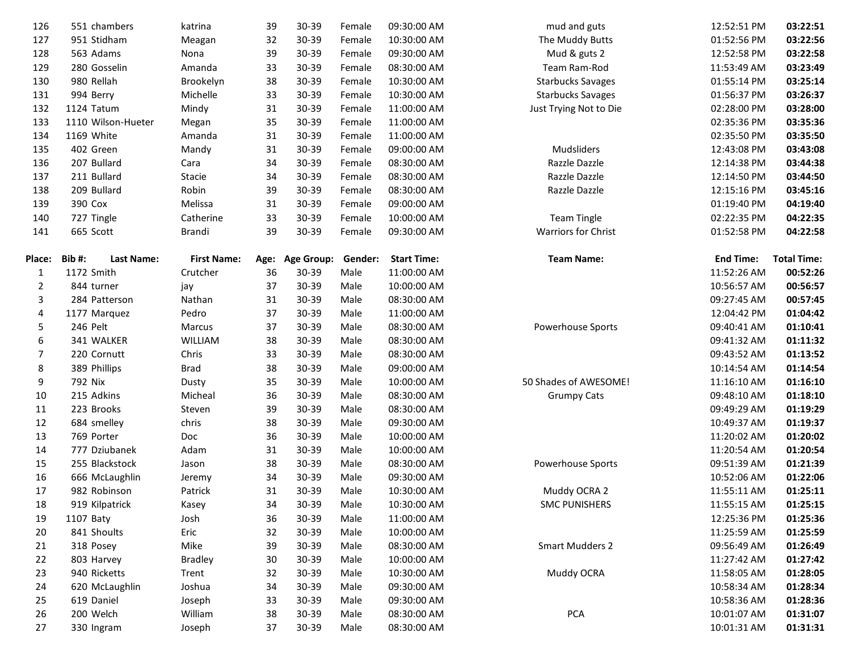| 126            | 551 chambers               | katrina            | 39   | 30-39             | Female  | 09:30:00 AM        | mud and guts               | 12:52:51 PM      | 03:22:51           |
|----------------|----------------------------|--------------------|------|-------------------|---------|--------------------|----------------------------|------------------|--------------------|
| 127            | 951 Stidham                | Meagan             | 32   | 30-39             | Female  | 10:30:00 AM        | The Muddy Butts            | 01:52:56 PM      | 03:22:56           |
| 128            | 563 Adams                  | Nona               | 39   | 30-39             | Female  | 09:30:00 AM        | Mud & guts 2               | 12:52:58 PM      | 03:22:58           |
| 129            | 280 Gosselin               | Amanda             | 33   | 30-39             | Female  | 08:30:00 AM        | Team Ram-Rod               | 11:53:49 AM      | 03:23:49           |
| 130            | 980 Rellah                 | Brookelyn          | 38   | 30-39             | Female  | 10:30:00 AM        | <b>Starbucks Savages</b>   | 01:55:14 PM      | 03:25:14           |
| 131            | 994 Berry                  | Michelle           | 33   | 30-39             | Female  | 10:30:00 AM        | <b>Starbucks Savages</b>   | 01:56:37 PM      | 03:26:37           |
| 132            | 1124 Tatum                 | Mindy              | 31   | 30-39             | Female  | 11:00:00 AM        | Just Trying Not to Die     | 02:28:00 PM      | 03:28:00           |
| 133            | 1110 Wilson-Hueter         | Megan              | 35   | 30-39             | Female  | 11:00:00 AM        |                            | 02:35:36 PM      | 03:35:36           |
| 134            | 1169 White                 | Amanda             | 31   | 30-39             | Female  | 11:00:00 AM        |                            | 02:35:50 PM      | 03:35:50           |
| 135            | 402 Green                  | Mandy              | 31   | 30-39             | Female  | 09:00:00 AM        | Mudsliders                 | 12:43:08 PM      | 03:43:08           |
| 136            | 207 Bullard                | Cara               | 34   | 30-39             | Female  | 08:30:00 AM        | Razzle Dazzle              | 12:14:38 PM      | 03:44:38           |
| 137            | 211 Bullard                | Stacie             | 34   | 30-39             | Female  | 08:30:00 AM        | Razzle Dazzle              | 12:14:50 PM      | 03:44:50           |
| 138            | 209 Bullard                | Robin              | 39   | 30-39             | Female  | 08:30:00 AM        | Razzle Dazzle              | 12:15:16 PM      | 03:45:16           |
| 139            | 390 Cox                    | Melissa            | 31   | 30-39             | Female  | 09:00:00 AM        |                            | 01:19:40 PM      | 04:19:40           |
| 140            | 727 Tingle                 | Catherine          | 33   | 30-39             | Female  | 10:00:00 AM        | <b>Team Tingle</b>         | 02:22:35 PM      | 04:22:35           |
| 141            | 665 Scott                  | Brandi             | 39   | 30-39             | Female  | 09:30:00 AM        | <b>Warriors for Christ</b> | 01:52:58 PM      | 04:22:58           |
|                |                            |                    |      |                   |         |                    |                            |                  |                    |
| <b>Place:</b>  | Bib#:<br><b>Last Name:</b> | <b>First Name:</b> | Age: | <b>Age Group:</b> | Gender: | <b>Start Time:</b> | <b>Team Name:</b>          | <b>End Time:</b> | <b>Total Time:</b> |
| 1              | 1172 Smith                 | Crutcher           | 36   | 30-39             | Male    | 11:00:00 AM        |                            | 11:52:26 AM      | 00:52:26           |
| 2              | 844 turner                 | jay                | 37   | 30-39             | Male    | 10:00:00 AM        |                            | 10:56:57 AM      | 00:56:57           |
| 3              | 284 Patterson              | Nathan             | 31   | 30-39             | Male    | 08:30:00 AM        |                            | 09:27:45 AM      | 00:57:45           |
| 4              | 1177 Marquez               | Pedro              | 37   | 30-39             | Male    | 11:00:00 AM        |                            | 12:04:42 PM      | 01:04:42           |
| 5              | 246 Pelt                   | Marcus             | 37   | 30-39             | Male    | 08:30:00 AM        | Powerhouse Sports          | 09:40:41 AM      | 01:10:41           |
| 6              | 341 WALKER                 | WILLIAM            | 38   | 30-39             | Male    | 08:30:00 AM        |                            | 09:41:32 AM      | 01:11:32           |
| $\overline{7}$ | 220 Cornutt                | Chris              | 33   | 30-39             | Male    | 08:30:00 AM        |                            | 09:43:52 AM      | 01:13:52           |
| 8              | 389 Phillips               | <b>Brad</b>        | 38   | 30-39             | Male    | 09:00:00 AM        |                            | 10:14:54 AM      | 01:14:54           |
| 9              | 792 Nix                    | Dusty              | 35   | 30-39             | Male    | 10:00:00 AM        | 50 Shades of AWESOME!      | 11:16:10 AM      | 01:16:10           |
| 10             | 215 Adkins                 | Micheal            | 36   | 30-39             | Male    | 08:30:00 AM        | <b>Grumpy Cats</b>         | 09:48:10 AM      | 01:18:10           |
| 11             | 223 Brooks                 | Steven             | 39   | 30-39             | Male    | 08:30:00 AM        |                            | 09:49:29 AM      | 01:19:29           |
| 12             | 684 smelley                | chris              | 38   | 30-39             | Male    | 09:30:00 AM        |                            | 10:49:37 AM      | 01:19:37           |
| 13             | 769 Porter                 | Doc                | 36   | 30-39             | Male    | 10:00:00 AM        |                            | 11:20:02 AM      | 01:20:02           |
| 14             | 777 Dziubanek              | Adam               | 31   | 30-39             | Male    | 10:00:00 AM        |                            | 11:20:54 AM      | 01:20:54           |
| 15             | 255 Blackstock             | Jason              | 38   | 30-39             | Male    | 08:30:00 AM        | Powerhouse Sports          | 09:51:39 AM      | 01:21:39           |
| 16             | 666 McLaughlin             | Jeremy             | 34   | 30-39             | Male    | 09:30:00 AM        |                            | 10:52:06 AM      | 01:22:06           |
| 17             | 982 Robinson               | Patrick            | 31   | 30-39             | Male    | 10:30:00 AM        | Muddy OCRA 2               | 11:55:11 AM      | 01:25:11           |
| 18             | 919 Kilpatrick             | Kasey              | 34   | 30-39             | Male    | 10:30:00 AM        | <b>SMC PUNISHERS</b>       | 11:55:15 AM      | 01:25:15           |
| 19             | 1107 Baty                  | Josh               | 36   | 30-39             | Male    | 11:00:00 AM        |                            | 12:25:36 PM      | 01:25:36           |
| 20             | 841 Shoults                | Eric               | 32   | 30-39             | Male    | 10:00:00 AM        |                            | 11:25:59 AM      | 01:25:59           |
| 21             | 318 Posey                  | Mike               | 39   | 30-39             | Male    | 08:30:00 AM        | <b>Smart Mudders 2</b>     | 09:56:49 AM      | 01:26:49           |
| 22             | 803 Harvey                 | <b>Bradley</b>     | 30   | 30-39             | Male    | 10:00:00 AM        |                            | 11:27:42 AM      | 01:27:42           |
| 23             | 940 Ricketts               | Trent              | 32   | 30-39             | Male    | 10:30:00 AM        | Muddy OCRA                 | 11:58:05 AM      | 01:28:05           |
| 24             | 620 McLaughlin             | Joshua             | 34   | 30-39             | Male    | 09:30:00 AM        |                            | 10:58:34 AM      | 01:28:34           |
| 25             | 619 Daniel                 | Joseph             | 33   | 30-39             | Male    | 09:30:00 AM        |                            | 10:58:36 AM      | 01:28:36           |
| 26             | 200 Welch                  | William            | 38   | 30-39             | Male    | 08:30:00 AM        | PCA                        | 10:01:07 AM      | 01:31:07           |
| 27             | 330 Ingram                 | Joseph             | 37   | 30-39             | Male    | 08:30:00 AM        |                            | 10:01:31 AM      | 01:31:31           |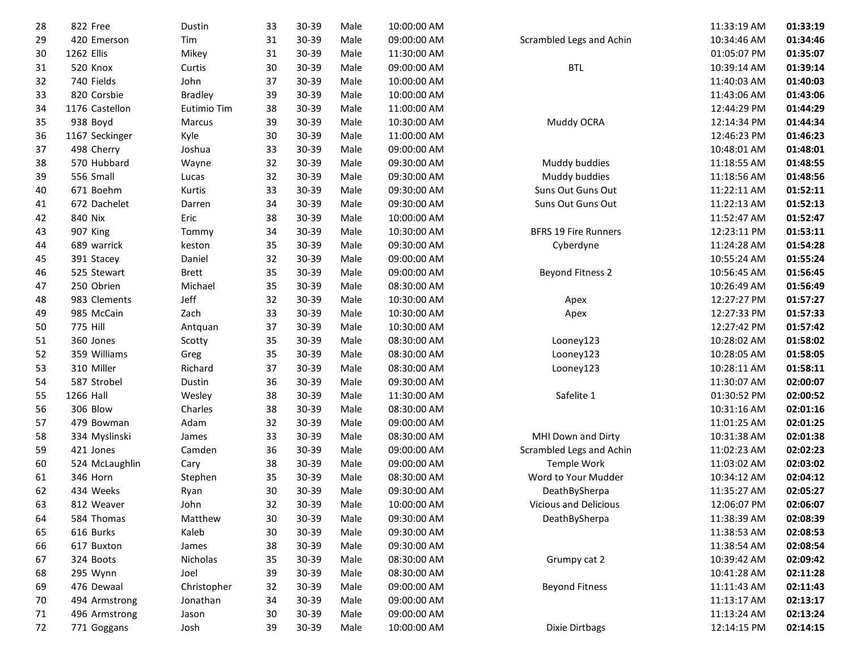| 28 | 822 Free        | Dustin         | 33 | 30-39 | Male | 10:00:00 AM |                              | 11:33:19 AM | 01:33:19 |
|----|-----------------|----------------|----|-------|------|-------------|------------------------------|-------------|----------|
| 29 | 420 Emerson     | Tim            | 31 | 30-39 | Male | 09:00:00 AM | Scrambled Legs and Achin     | 10:34:46 AM | 01:34:46 |
| 30 | 1262 Ellis      | Mikey          | 31 | 30-39 | Male | 11:30:00 AM |                              | 01:05:07 PM | 01:35:07 |
| 31 | 520 Knox        | Curtis         | 30 | 30-39 | Male | 09:00:00 AM | <b>BTL</b>                   | 10:39:14 AM | 01:39:14 |
| 32 | 740 Fields      | John           | 37 | 30-39 | Male | 10:00:00 AM |                              | 11:40:03 AM | 01:40:03 |
| 33 | 820 Corsbie     | <b>Bradley</b> | 39 | 30-39 | Male | 10:00:00 AM |                              | 11:43:06 AM | 01:43:06 |
| 34 | 1176 Castellon  | Eutimio Tim    | 38 | 30-39 | Male | 11:00:00 AM |                              | 12:44:29 PM | 01:44:29 |
| 35 | 938 Boyd        | Marcus         | 39 | 30-39 | Male | 10:30:00 AM | Muddy OCRA                   | 12:14:34 PM | 01:44:34 |
| 36 | 1167 Seckinger  | Kyle           | 30 | 30-39 | Male | 11:00:00 AM |                              | 12:46:23 PM | 01:46:23 |
| 37 | 498 Cherry      | Joshua         | 33 | 30-39 | Male | 09:00:00 AM |                              | 10:48:01 AM | 01:48:01 |
| 38 | 570 Hubbard     | Wayne          | 32 | 30-39 | Male | 09:30:00 AM | Muddy buddies                | 11:18:55 AM | 01:48:55 |
| 39 | 556 Small       | Lucas          | 32 | 30-39 | Male | 09:30:00 AM | Muddy buddies                | 11:18:56 AM | 01:48:56 |
| 40 | 671 Boehm       | Kurtis         | 33 | 30-39 | Male | 09:30:00 AM | Suns Out Guns Out            | 11:22:11 AM | 01:52:11 |
| 41 | 672 Dachelet    | Darren         | 34 | 30-39 | Male | 09:30:00 AM | Suns Out Guns Out            | 11:22:13 AM | 01:52:13 |
| 42 | 840 Nix         | Eric           | 38 | 30-39 | Male | 10:00:00 AM |                              | 11:52:47 AM | 01:52:47 |
| 43 | 907 King        | Tommy          | 34 | 30-39 | Male | 10:30:00 AM | <b>BFRS 19 Fire Runners</b>  | 12:23:11 PM | 01:53:11 |
| 44 | 689 warrick     | keston         | 35 | 30-39 | Male | 09:30:00 AM | Cyberdyne                    | 11:24:28 AM | 01:54:28 |
| 45 | 391 Stacey      | Daniel         | 32 | 30-39 | Male | 09:00:00 AM |                              | 10:55:24 AM | 01:55:24 |
| 46 | 525 Stewart     | <b>Brett</b>   | 35 | 30-39 | Male | 09:00:00 AM | <b>Beyond Fitness 2</b>      | 10:56:45 AM | 01:56:45 |
| 47 | 250 Obrien      | Michael        | 35 | 30-39 | Male | 08:30:00 AM |                              | 10:26:49 AM | 01:56:49 |
| 48 | 983 Clements    | Jeff           | 32 | 30-39 | Male | 10:30:00 AM | Apex                         | 12:27:27 PM | 01:57:27 |
| 49 | 985 McCain      | Zach           | 33 | 30-39 | Male | 10:30:00 AM | Apex                         | 12:27:33 PM | 01:57:33 |
| 50 | <b>775 Hill</b> | Antquan        | 37 | 30-39 | Male | 10:30:00 AM |                              | 12:27:42 PM | 01:57:42 |
| 51 | 360 Jones       | Scotty         | 35 | 30-39 | Male | 08:30:00 AM | Looney123                    | 10:28:02 AM | 01:58:02 |
| 52 | 359 Williams    | Greg           | 35 | 30-39 | Male | 08:30:00 AM | Looney123                    | 10:28:05 AM | 01:58:05 |
| 53 | 310 Miller      | Richard        | 37 | 30-39 | Male | 08:30:00 AM | Looney123                    | 10:28:11 AM | 01:58:11 |
| 54 | 587 Strobel     | Dustin         | 36 | 30-39 | Male | 09:30:00 AM |                              | 11:30:07 AM | 02:00:07 |
| 55 | 1266 Hall       | Wesley         | 38 | 30-39 | Male | 11:30:00 AM | Safelite 1                   | 01:30:52 PM | 02:00:52 |
| 56 | 306 Blow        | Charles        | 38 | 30-39 | Male | 08:30:00 AM |                              | 10:31:16 AM | 02:01:16 |
| 57 | 479 Bowman      | Adam           | 32 | 30-39 | Male | 09:00:00 AM |                              | 11:01:25 AM | 02:01:25 |
| 58 | 334 Myslinski   | James          | 33 | 30-39 | Male | 08:30:00 AM | MHI Down and Dirty           | 10:31:38 AM | 02:01:38 |
| 59 | 421 Jones       | Camden         | 36 | 30-39 | Male | 09:00:00 AM | Scrambled Legs and Achin     | 11:02:23 AM | 02:02:23 |
| 60 | 524 McLaughlin  | Cary           | 38 | 30-39 | Male | 09:00:00 AM | Temple Work                  | 11:03:02 AM | 02:03:02 |
| 61 | 346 Horn        | Stephen        | 35 | 30-39 | Male | 08:30:00 AM | Word to Your Mudder          | 10:34:12 AM | 02:04:12 |
| 62 | 434 Weeks       | Ryan           | 30 | 30-39 | Male | 09:30:00 AM | DeathBySherpa                | 11:35:27 AM | 02:05:27 |
| 63 | 812 Weaver      | John           | 32 | 30-39 | Male | 10:00:00 AM | <b>Vicious and Delicious</b> | 12:06:07 PM | 02:06:07 |
| 64 | 584 Thomas      | Matthew        | 30 | 30-39 | Male | 09:30:00 AM | DeathBySherpa                | 11:38:39 AM | 02:08:39 |
| 65 | 616 Burks       | Kaleb          | 30 | 30-39 | Male | 09:30:00 AM |                              | 11:38:53 AM | 02:08:53 |
| 66 | 617 Buxton      | James          | 38 | 30-39 | Male | 09:30:00 AM |                              | 11:38:54 AM | 02:08:54 |
| 67 | 324 Boots       | Nicholas       | 35 | 30-39 | Male | 08:30:00 AM | Grumpy cat 2                 | 10:39:42 AM | 02:09:42 |
| 68 | 295 Wynn        | Joel           | 39 | 30-39 | Male | 08:30:00 AM |                              | 10:41:28 AM | 02:11:28 |
| 69 | 476 Dewaal      | Christopher    | 32 | 30-39 | Male | 09:00:00 AM | <b>Beyond Fitness</b>        | 11:11:43 AM | 02:11:43 |
| 70 | 494 Armstrong   | Jonathan       | 34 | 30-39 | Male | 09:00:00 AM |                              | 11:13:17 AM | 02:13:17 |
| 71 | 496 Armstrong   | Jason          | 30 | 30-39 | Male | 09:00:00 AM |                              | 11:13:24 AM | 02:13:24 |
| 72 | 771 Goggans     | Josh           | 39 | 30-39 | Male | 10:00:00 AM | <b>Dixie Dirtbags</b>        | 12:14:15 PM | 02:14:15 |
|    |                 |                |    |       |      |             |                              |             |          |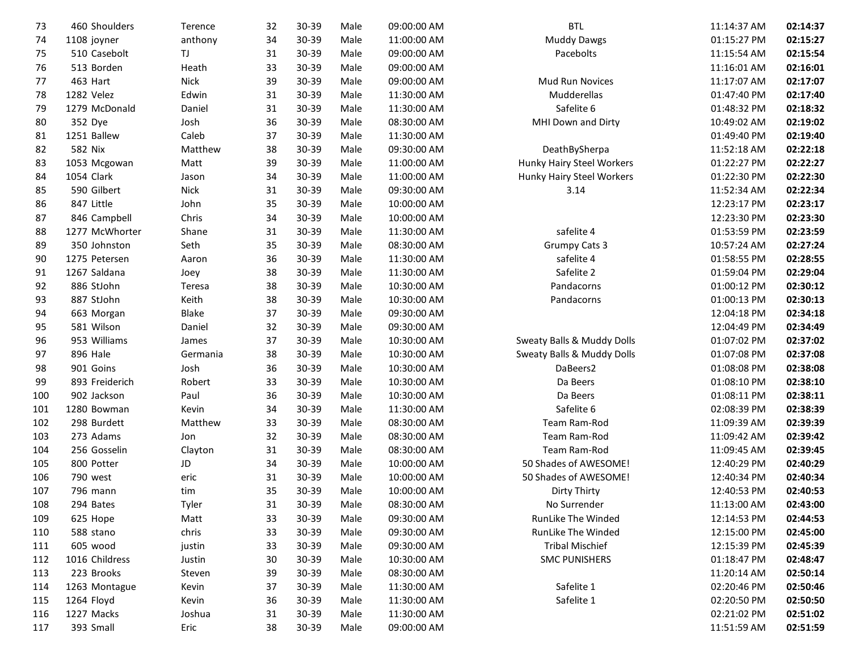| <b>Muddy Dawgs</b><br>1108 joyner<br>anthony<br>34<br>30-39<br>Male<br>11:00:00 AM<br>01:15:27 PM<br>74<br>TJ.<br>31<br>30-39<br>Male<br>09:00:00 AM<br>Pacebolts<br>02:15:54<br>75<br>510 Casebolt<br>11:15:54 AM<br>33<br>513 Borden<br>Heath<br>30-39<br>Male<br>09:00:00 AM<br>11:16:01 AM<br>76<br><b>Nick</b><br>39<br>30-39<br>Male<br>09:00:00 AM<br>02:17:07<br>77<br>463 Hart<br><b>Mud Run Novices</b><br>11:17:07 AM<br>1282 Velez<br>Edwin<br>31<br>30-39<br>Male<br>11:30:00 AM<br>Mudderellas<br>02:17:40<br>78<br>01:47:40 PM<br>Safelite 6<br>1279 McDonald<br>Daniel<br>31<br>30-39<br>Male<br>02:18:32<br>79<br>11:30:00 AM<br>01:48:32 PM<br>Josh<br>36<br>30-39<br>Male<br>08:30:00 AM<br>MHI Down and Dirty<br>02:19:02<br>80<br>352 Dye<br>10:49:02 AM<br>37<br>Caleb<br>30-39<br>11:30:00 AM<br>02:19:40<br>81<br>1251 Ballew<br>Male<br>01:49:40 PM<br>02:22:18<br>582 Nix<br>Matthew<br>38<br>30-39<br>Male<br>09:30:00 AM<br>DeathBySherpa<br>82<br>11:52:18 AM<br>39<br>02:22:27<br>30-39<br>11:00:00 AM<br>Hunky Hairy Steel Workers<br>83<br>1053 Mcgowan<br>Matt<br>Male<br>01:22:27 PM<br>1054 Clark<br>34<br>30-39<br>Male<br>11:00:00 AM<br>Hunky Hairy Steel Workers<br>02:22:30<br>84<br>Jason<br>01:22:30 PM<br>590 Gilbert<br><b>Nick</b><br>31<br>30-39<br>02:22:34<br>Male<br>09:30:00 AM<br>3.14<br>85<br>11:52:34 AM<br>02:23:17<br>847 Little<br>John<br>35<br>30-39<br>Male<br>10:00:00 AM<br>12:23:17 PM<br>86<br>02:23:30<br>Chris<br>34<br>30-39<br>Male<br>10:00:00 AM<br>87<br>846 Campbell<br>12:23:30 PM<br>safelite 4<br>Shane<br>31<br>30-39<br>Male<br>11:30:00 AM<br>01:53:59 PM<br>02:23:59<br>88<br>1277 McWhorter<br>Seth<br>35<br>02:27:24<br>350 Johnston<br>30-39<br>Male<br>08:30:00 AM<br><b>Grumpy Cats 3</b><br>89<br>10:57:24 AM<br>02:28:55<br>36<br>30-39<br>11:30:00 AM<br>safelite 4<br>01:58:55 PM<br>90<br>1275 Petersen<br>Aaron<br>Male<br>38<br>Safelite 2<br>02:29:04<br>1267 Saldana<br>30-39<br>Male<br>11:30:00 AM<br>01:59:04 PM<br>91<br>Joey<br>886 StJohn<br>38<br>30-39<br>Male<br>10:30:00 AM<br>Pandacorns<br>02:30:12<br>92<br>Teresa<br>01:00:12 PM<br>Keith<br>38<br>02:30:13<br>887 StJohn<br>30-39<br>Male<br>10:30:00 AM<br>01:00:13 PM<br>93<br>Pandacorns<br>Blake<br>37<br>30-39<br>Male<br>09:30:00 AM<br>12:04:18 PM<br>02:34:18<br>94<br>663 Morgan<br>95<br>581 Wilson<br>Daniel<br>32<br>30-39<br>Male<br>09:30:00 AM<br>02:34:49<br>12:04:49 PM<br>953 Williams<br>37<br>30-39<br>Male<br>Sweaty Balls & Muddy Dolls<br>02:37:02<br>96<br>10:30:00 AM<br>01:07:02 PM<br>James<br>38<br>896 Hale<br>30-39<br>Male<br>10:30:00 AM<br>Sweaty Balls & Muddy Dolls<br>02:37:08<br>97<br>Germania<br>01:07:08 PM<br>901 Goins<br>Josh<br>36<br>30-39<br>02:38:08<br>98<br>Male<br>10:30:00 AM<br>DaBeers2<br>01:08:08 PM<br>02:38:10<br>893 Freiderich<br>Robert<br>33<br>30-39<br>Male<br>10:30:00 AM<br>Da Beers<br>01:08:10 PM<br>99<br>902 Jackson<br>Paul<br>36<br>30-39<br>Male<br>10:30:00 AM<br>Da Beers<br>02:38:11<br>100<br>01:08:11 PM<br>Safelite 6<br>1280 Bowman<br>Kevin<br>34<br>30-39<br>Male<br>11:30:00 AM<br>02:38:39<br>101<br>02:08:39 PM<br>33<br>298 Burdett<br>Matthew<br>30-39<br>Male<br>08:30:00 AM<br>Team Ram-Rod<br>02:39:39<br>102<br>11:09:39 AM<br>273 Adams<br>32<br>30-39<br>Male<br>08:30:00 AM<br>Team Ram-Rod<br>11:09:42 AM<br>02:39:42<br>103<br>Jon<br>256 Gosselin<br>31<br>30-39<br>Male<br>Team Ram-Rod<br>02:39:45<br>104<br>Clayton<br>08:30:00 AM<br>11:09:45 AM<br>800 Potter<br>JD<br>34<br>30-39<br>Male<br>10:00:00 AM<br>50 Shades of AWESOME!<br>02:40:29<br>105<br>12:40:29 PM<br>31<br>30-39<br>50 Shades of AWESOME!<br>02:40:34<br>106<br>790 west<br>eric<br>Male<br>10:00:00 AM<br>12:40:34 PM<br>35<br>30-39<br>02:40:53<br>107<br>796 mann<br>Male<br>10:00:00 AM<br>Dirty Thirty<br>12:40:53 PM<br>tim<br>31<br>30-39<br>Male<br>08:30:00 AM<br>No Surrender<br>11:13:00 AM<br>02:43:00<br>108<br>294 Bates<br>Tyler<br>33<br>30-39<br>RunLike The Winded<br>109<br>625 Hope<br>Matt<br>Male<br>09:30:00 AM<br>12:14:53 PM<br>02:44:53<br>chris<br>33<br>30-39<br>588 stano<br>Male<br>09:30:00 AM<br>RunLike The Winded<br>12:15:00 PM<br>02:45:00<br>110<br>605 wood<br>33<br>30-39<br><b>Tribal Mischief</b><br>02:45:39<br>111<br>justin<br>Male<br>09:30:00 AM<br>12:15:39 PM<br>1016 Childress<br>Male<br><b>SMC PUNISHERS</b><br>02:48:47<br>Justin<br>30<br>30-39<br>10:30:00 AM<br>01:18:47 PM<br>112<br>223 Brooks<br>39<br>Male<br>02:50:14<br>30-39<br>08:30:00 AM<br>11:20:14 AM<br>113<br>Steven<br>37<br>30-39<br>Safelite 1<br>02:50:46<br>1263 Montague<br>Kevin<br>Male<br>11:30:00 AM<br>02:20:46 PM<br>114<br>Safelite 1<br>115<br>1264 Floyd<br>Kevin<br>36<br>30-39<br>Male<br>11:30:00 AM<br>02:20:50 PM<br>02:51:02<br>1227 Macks<br>Joshua<br>31<br>30-39<br>Male<br>11:30:00 AM<br>02:21:02 PM<br>116<br>393 Small<br>38<br>30-39<br>02:51:59<br>117<br>Eric<br>Male<br>09:00:00 AM<br>11:51:59 AM | 73 | 460 Shoulders | Terence | 32 | 30-39 | Male | 09:00:00 AM | <b>BTL</b> | 11:14:37 AM | 02:14:37 |
|---------------------------------------------------------------------------------------------------------------------------------------------------------------------------------------------------------------------------------------------------------------------------------------------------------------------------------------------------------------------------------------------------------------------------------------------------------------------------------------------------------------------------------------------------------------------------------------------------------------------------------------------------------------------------------------------------------------------------------------------------------------------------------------------------------------------------------------------------------------------------------------------------------------------------------------------------------------------------------------------------------------------------------------------------------------------------------------------------------------------------------------------------------------------------------------------------------------------------------------------------------------------------------------------------------------------------------------------------------------------------------------------------------------------------------------------------------------------------------------------------------------------------------------------------------------------------------------------------------------------------------------------------------------------------------------------------------------------------------------------------------------------------------------------------------------------------------------------------------------------------------------------------------------------------------------------------------------------------------------------------------------------------------------------------------------------------------------------------------------------------------------------------------------------------------------------------------------------------------------------------------------------------------------------------------------------------------------------------------------------------------------------------------------------------------------------------------------------------------------------------------------------------------------------------------------------------------------------------------------------------------------------------------------------------------------------------------------------------------------------------------------------------------------------------------------------------------------------------------------------------------------------------------------------------------------------------------------------------------------------------------------------------------------------------------------------------------------------------------------------------------------------------------------------------------------------------------------------------------------------------------------------------------------------------------------------------------------------------------------------------------------------------------------------------------------------------------------------------------------------------------------------------------------------------------------------------------------------------------------------------------------------------------------------------------------------------------------------------------------------------------------------------------------------------------------------------------------------------------------------------------------------------------------------------------------------------------------------------------------------------------------------------------------------------------------------------------------------------------------------------------------------------------------------------------------------------------------------------------------------------------------------------------------------------------------------------------------------------------------------------------------------------------------------------------------------------------------------------------------------------------------------------------------------------------------------------------------------------------------------------------------------------------------------------------------------------------------------------------------------------------------------------------------------------------------------------------------------------------------------------------------------------------------------------------------------------------------------------------------------|----|---------------|---------|----|-------|------|-------------|------------|-------------|----------|
|                                                                                                                                                                                                                                                                                                                                                                                                                                                                                                                                                                                                                                                                                                                                                                                                                                                                                                                                                                                                                                                                                                                                                                                                                                                                                                                                                                                                                                                                                                                                                                                                                                                                                                                                                                                                                                                                                                                                                                                                                                                                                                                                                                                                                                                                                                                                                                                                                                                                                                                                                                                                                                                                                                                                                                                                                                                                                                                                                                                                                                                                                                                                                                                                                                                                                                                                                                                                                                                                                                                                                                                                                                                                                                                                                                                                                                                                                                                                                                                                                                                                                                                                                                                                                                                                                                                                                                                                                                                                                                                                                                                                                                                                                                                                                                                                                                                                                                                                                                                             |    |               |         |    |       |      |             |            |             | 02:15:27 |
|                                                                                                                                                                                                                                                                                                                                                                                                                                                                                                                                                                                                                                                                                                                                                                                                                                                                                                                                                                                                                                                                                                                                                                                                                                                                                                                                                                                                                                                                                                                                                                                                                                                                                                                                                                                                                                                                                                                                                                                                                                                                                                                                                                                                                                                                                                                                                                                                                                                                                                                                                                                                                                                                                                                                                                                                                                                                                                                                                                                                                                                                                                                                                                                                                                                                                                                                                                                                                                                                                                                                                                                                                                                                                                                                                                                                                                                                                                                                                                                                                                                                                                                                                                                                                                                                                                                                                                                                                                                                                                                                                                                                                                                                                                                                                                                                                                                                                                                                                                                             |    |               |         |    |       |      |             |            |             |          |
|                                                                                                                                                                                                                                                                                                                                                                                                                                                                                                                                                                                                                                                                                                                                                                                                                                                                                                                                                                                                                                                                                                                                                                                                                                                                                                                                                                                                                                                                                                                                                                                                                                                                                                                                                                                                                                                                                                                                                                                                                                                                                                                                                                                                                                                                                                                                                                                                                                                                                                                                                                                                                                                                                                                                                                                                                                                                                                                                                                                                                                                                                                                                                                                                                                                                                                                                                                                                                                                                                                                                                                                                                                                                                                                                                                                                                                                                                                                                                                                                                                                                                                                                                                                                                                                                                                                                                                                                                                                                                                                                                                                                                                                                                                                                                                                                                                                                                                                                                                                             |    |               |         |    |       |      |             |            |             | 02:16:01 |
|                                                                                                                                                                                                                                                                                                                                                                                                                                                                                                                                                                                                                                                                                                                                                                                                                                                                                                                                                                                                                                                                                                                                                                                                                                                                                                                                                                                                                                                                                                                                                                                                                                                                                                                                                                                                                                                                                                                                                                                                                                                                                                                                                                                                                                                                                                                                                                                                                                                                                                                                                                                                                                                                                                                                                                                                                                                                                                                                                                                                                                                                                                                                                                                                                                                                                                                                                                                                                                                                                                                                                                                                                                                                                                                                                                                                                                                                                                                                                                                                                                                                                                                                                                                                                                                                                                                                                                                                                                                                                                                                                                                                                                                                                                                                                                                                                                                                                                                                                                                             |    |               |         |    |       |      |             |            |             |          |
|                                                                                                                                                                                                                                                                                                                                                                                                                                                                                                                                                                                                                                                                                                                                                                                                                                                                                                                                                                                                                                                                                                                                                                                                                                                                                                                                                                                                                                                                                                                                                                                                                                                                                                                                                                                                                                                                                                                                                                                                                                                                                                                                                                                                                                                                                                                                                                                                                                                                                                                                                                                                                                                                                                                                                                                                                                                                                                                                                                                                                                                                                                                                                                                                                                                                                                                                                                                                                                                                                                                                                                                                                                                                                                                                                                                                                                                                                                                                                                                                                                                                                                                                                                                                                                                                                                                                                                                                                                                                                                                                                                                                                                                                                                                                                                                                                                                                                                                                                                                             |    |               |         |    |       |      |             |            |             |          |
|                                                                                                                                                                                                                                                                                                                                                                                                                                                                                                                                                                                                                                                                                                                                                                                                                                                                                                                                                                                                                                                                                                                                                                                                                                                                                                                                                                                                                                                                                                                                                                                                                                                                                                                                                                                                                                                                                                                                                                                                                                                                                                                                                                                                                                                                                                                                                                                                                                                                                                                                                                                                                                                                                                                                                                                                                                                                                                                                                                                                                                                                                                                                                                                                                                                                                                                                                                                                                                                                                                                                                                                                                                                                                                                                                                                                                                                                                                                                                                                                                                                                                                                                                                                                                                                                                                                                                                                                                                                                                                                                                                                                                                                                                                                                                                                                                                                                                                                                                                                             |    |               |         |    |       |      |             |            |             |          |
|                                                                                                                                                                                                                                                                                                                                                                                                                                                                                                                                                                                                                                                                                                                                                                                                                                                                                                                                                                                                                                                                                                                                                                                                                                                                                                                                                                                                                                                                                                                                                                                                                                                                                                                                                                                                                                                                                                                                                                                                                                                                                                                                                                                                                                                                                                                                                                                                                                                                                                                                                                                                                                                                                                                                                                                                                                                                                                                                                                                                                                                                                                                                                                                                                                                                                                                                                                                                                                                                                                                                                                                                                                                                                                                                                                                                                                                                                                                                                                                                                                                                                                                                                                                                                                                                                                                                                                                                                                                                                                                                                                                                                                                                                                                                                                                                                                                                                                                                                                                             |    |               |         |    |       |      |             |            |             |          |
|                                                                                                                                                                                                                                                                                                                                                                                                                                                                                                                                                                                                                                                                                                                                                                                                                                                                                                                                                                                                                                                                                                                                                                                                                                                                                                                                                                                                                                                                                                                                                                                                                                                                                                                                                                                                                                                                                                                                                                                                                                                                                                                                                                                                                                                                                                                                                                                                                                                                                                                                                                                                                                                                                                                                                                                                                                                                                                                                                                                                                                                                                                                                                                                                                                                                                                                                                                                                                                                                                                                                                                                                                                                                                                                                                                                                                                                                                                                                                                                                                                                                                                                                                                                                                                                                                                                                                                                                                                                                                                                                                                                                                                                                                                                                                                                                                                                                                                                                                                                             |    |               |         |    |       |      |             |            |             |          |
|                                                                                                                                                                                                                                                                                                                                                                                                                                                                                                                                                                                                                                                                                                                                                                                                                                                                                                                                                                                                                                                                                                                                                                                                                                                                                                                                                                                                                                                                                                                                                                                                                                                                                                                                                                                                                                                                                                                                                                                                                                                                                                                                                                                                                                                                                                                                                                                                                                                                                                                                                                                                                                                                                                                                                                                                                                                                                                                                                                                                                                                                                                                                                                                                                                                                                                                                                                                                                                                                                                                                                                                                                                                                                                                                                                                                                                                                                                                                                                                                                                                                                                                                                                                                                                                                                                                                                                                                                                                                                                                                                                                                                                                                                                                                                                                                                                                                                                                                                                                             |    |               |         |    |       |      |             |            |             |          |
|                                                                                                                                                                                                                                                                                                                                                                                                                                                                                                                                                                                                                                                                                                                                                                                                                                                                                                                                                                                                                                                                                                                                                                                                                                                                                                                                                                                                                                                                                                                                                                                                                                                                                                                                                                                                                                                                                                                                                                                                                                                                                                                                                                                                                                                                                                                                                                                                                                                                                                                                                                                                                                                                                                                                                                                                                                                                                                                                                                                                                                                                                                                                                                                                                                                                                                                                                                                                                                                                                                                                                                                                                                                                                                                                                                                                                                                                                                                                                                                                                                                                                                                                                                                                                                                                                                                                                                                                                                                                                                                                                                                                                                                                                                                                                                                                                                                                                                                                                                                             |    |               |         |    |       |      |             |            |             |          |
|                                                                                                                                                                                                                                                                                                                                                                                                                                                                                                                                                                                                                                                                                                                                                                                                                                                                                                                                                                                                                                                                                                                                                                                                                                                                                                                                                                                                                                                                                                                                                                                                                                                                                                                                                                                                                                                                                                                                                                                                                                                                                                                                                                                                                                                                                                                                                                                                                                                                                                                                                                                                                                                                                                                                                                                                                                                                                                                                                                                                                                                                                                                                                                                                                                                                                                                                                                                                                                                                                                                                                                                                                                                                                                                                                                                                                                                                                                                                                                                                                                                                                                                                                                                                                                                                                                                                                                                                                                                                                                                                                                                                                                                                                                                                                                                                                                                                                                                                                                                             |    |               |         |    |       |      |             |            |             |          |
|                                                                                                                                                                                                                                                                                                                                                                                                                                                                                                                                                                                                                                                                                                                                                                                                                                                                                                                                                                                                                                                                                                                                                                                                                                                                                                                                                                                                                                                                                                                                                                                                                                                                                                                                                                                                                                                                                                                                                                                                                                                                                                                                                                                                                                                                                                                                                                                                                                                                                                                                                                                                                                                                                                                                                                                                                                                                                                                                                                                                                                                                                                                                                                                                                                                                                                                                                                                                                                                                                                                                                                                                                                                                                                                                                                                                                                                                                                                                                                                                                                                                                                                                                                                                                                                                                                                                                                                                                                                                                                                                                                                                                                                                                                                                                                                                                                                                                                                                                                                             |    |               |         |    |       |      |             |            |             |          |
|                                                                                                                                                                                                                                                                                                                                                                                                                                                                                                                                                                                                                                                                                                                                                                                                                                                                                                                                                                                                                                                                                                                                                                                                                                                                                                                                                                                                                                                                                                                                                                                                                                                                                                                                                                                                                                                                                                                                                                                                                                                                                                                                                                                                                                                                                                                                                                                                                                                                                                                                                                                                                                                                                                                                                                                                                                                                                                                                                                                                                                                                                                                                                                                                                                                                                                                                                                                                                                                                                                                                                                                                                                                                                                                                                                                                                                                                                                                                                                                                                                                                                                                                                                                                                                                                                                                                                                                                                                                                                                                                                                                                                                                                                                                                                                                                                                                                                                                                                                                             |    |               |         |    |       |      |             |            |             |          |
|                                                                                                                                                                                                                                                                                                                                                                                                                                                                                                                                                                                                                                                                                                                                                                                                                                                                                                                                                                                                                                                                                                                                                                                                                                                                                                                                                                                                                                                                                                                                                                                                                                                                                                                                                                                                                                                                                                                                                                                                                                                                                                                                                                                                                                                                                                                                                                                                                                                                                                                                                                                                                                                                                                                                                                                                                                                                                                                                                                                                                                                                                                                                                                                                                                                                                                                                                                                                                                                                                                                                                                                                                                                                                                                                                                                                                                                                                                                                                                                                                                                                                                                                                                                                                                                                                                                                                                                                                                                                                                                                                                                                                                                                                                                                                                                                                                                                                                                                                                                             |    |               |         |    |       |      |             |            |             |          |
|                                                                                                                                                                                                                                                                                                                                                                                                                                                                                                                                                                                                                                                                                                                                                                                                                                                                                                                                                                                                                                                                                                                                                                                                                                                                                                                                                                                                                                                                                                                                                                                                                                                                                                                                                                                                                                                                                                                                                                                                                                                                                                                                                                                                                                                                                                                                                                                                                                                                                                                                                                                                                                                                                                                                                                                                                                                                                                                                                                                                                                                                                                                                                                                                                                                                                                                                                                                                                                                                                                                                                                                                                                                                                                                                                                                                                                                                                                                                                                                                                                                                                                                                                                                                                                                                                                                                                                                                                                                                                                                                                                                                                                                                                                                                                                                                                                                                                                                                                                                             |    |               |         |    |       |      |             |            |             |          |
|                                                                                                                                                                                                                                                                                                                                                                                                                                                                                                                                                                                                                                                                                                                                                                                                                                                                                                                                                                                                                                                                                                                                                                                                                                                                                                                                                                                                                                                                                                                                                                                                                                                                                                                                                                                                                                                                                                                                                                                                                                                                                                                                                                                                                                                                                                                                                                                                                                                                                                                                                                                                                                                                                                                                                                                                                                                                                                                                                                                                                                                                                                                                                                                                                                                                                                                                                                                                                                                                                                                                                                                                                                                                                                                                                                                                                                                                                                                                                                                                                                                                                                                                                                                                                                                                                                                                                                                                                                                                                                                                                                                                                                                                                                                                                                                                                                                                                                                                                                                             |    |               |         |    |       |      |             |            |             |          |
|                                                                                                                                                                                                                                                                                                                                                                                                                                                                                                                                                                                                                                                                                                                                                                                                                                                                                                                                                                                                                                                                                                                                                                                                                                                                                                                                                                                                                                                                                                                                                                                                                                                                                                                                                                                                                                                                                                                                                                                                                                                                                                                                                                                                                                                                                                                                                                                                                                                                                                                                                                                                                                                                                                                                                                                                                                                                                                                                                                                                                                                                                                                                                                                                                                                                                                                                                                                                                                                                                                                                                                                                                                                                                                                                                                                                                                                                                                                                                                                                                                                                                                                                                                                                                                                                                                                                                                                                                                                                                                                                                                                                                                                                                                                                                                                                                                                                                                                                                                                             |    |               |         |    |       |      |             |            |             |          |
|                                                                                                                                                                                                                                                                                                                                                                                                                                                                                                                                                                                                                                                                                                                                                                                                                                                                                                                                                                                                                                                                                                                                                                                                                                                                                                                                                                                                                                                                                                                                                                                                                                                                                                                                                                                                                                                                                                                                                                                                                                                                                                                                                                                                                                                                                                                                                                                                                                                                                                                                                                                                                                                                                                                                                                                                                                                                                                                                                                                                                                                                                                                                                                                                                                                                                                                                                                                                                                                                                                                                                                                                                                                                                                                                                                                                                                                                                                                                                                                                                                                                                                                                                                                                                                                                                                                                                                                                                                                                                                                                                                                                                                                                                                                                                                                                                                                                                                                                                                                             |    |               |         |    |       |      |             |            |             |          |
|                                                                                                                                                                                                                                                                                                                                                                                                                                                                                                                                                                                                                                                                                                                                                                                                                                                                                                                                                                                                                                                                                                                                                                                                                                                                                                                                                                                                                                                                                                                                                                                                                                                                                                                                                                                                                                                                                                                                                                                                                                                                                                                                                                                                                                                                                                                                                                                                                                                                                                                                                                                                                                                                                                                                                                                                                                                                                                                                                                                                                                                                                                                                                                                                                                                                                                                                                                                                                                                                                                                                                                                                                                                                                                                                                                                                                                                                                                                                                                                                                                                                                                                                                                                                                                                                                                                                                                                                                                                                                                                                                                                                                                                                                                                                                                                                                                                                                                                                                                                             |    |               |         |    |       |      |             |            |             |          |
|                                                                                                                                                                                                                                                                                                                                                                                                                                                                                                                                                                                                                                                                                                                                                                                                                                                                                                                                                                                                                                                                                                                                                                                                                                                                                                                                                                                                                                                                                                                                                                                                                                                                                                                                                                                                                                                                                                                                                                                                                                                                                                                                                                                                                                                                                                                                                                                                                                                                                                                                                                                                                                                                                                                                                                                                                                                                                                                                                                                                                                                                                                                                                                                                                                                                                                                                                                                                                                                                                                                                                                                                                                                                                                                                                                                                                                                                                                                                                                                                                                                                                                                                                                                                                                                                                                                                                                                                                                                                                                                                                                                                                                                                                                                                                                                                                                                                                                                                                                                             |    |               |         |    |       |      |             |            |             |          |
|                                                                                                                                                                                                                                                                                                                                                                                                                                                                                                                                                                                                                                                                                                                                                                                                                                                                                                                                                                                                                                                                                                                                                                                                                                                                                                                                                                                                                                                                                                                                                                                                                                                                                                                                                                                                                                                                                                                                                                                                                                                                                                                                                                                                                                                                                                                                                                                                                                                                                                                                                                                                                                                                                                                                                                                                                                                                                                                                                                                                                                                                                                                                                                                                                                                                                                                                                                                                                                                                                                                                                                                                                                                                                                                                                                                                                                                                                                                                                                                                                                                                                                                                                                                                                                                                                                                                                                                                                                                                                                                                                                                                                                                                                                                                                                                                                                                                                                                                                                                             |    |               |         |    |       |      |             |            |             |          |
|                                                                                                                                                                                                                                                                                                                                                                                                                                                                                                                                                                                                                                                                                                                                                                                                                                                                                                                                                                                                                                                                                                                                                                                                                                                                                                                                                                                                                                                                                                                                                                                                                                                                                                                                                                                                                                                                                                                                                                                                                                                                                                                                                                                                                                                                                                                                                                                                                                                                                                                                                                                                                                                                                                                                                                                                                                                                                                                                                                                                                                                                                                                                                                                                                                                                                                                                                                                                                                                                                                                                                                                                                                                                                                                                                                                                                                                                                                                                                                                                                                                                                                                                                                                                                                                                                                                                                                                                                                                                                                                                                                                                                                                                                                                                                                                                                                                                                                                                                                                             |    |               |         |    |       |      |             |            |             |          |
|                                                                                                                                                                                                                                                                                                                                                                                                                                                                                                                                                                                                                                                                                                                                                                                                                                                                                                                                                                                                                                                                                                                                                                                                                                                                                                                                                                                                                                                                                                                                                                                                                                                                                                                                                                                                                                                                                                                                                                                                                                                                                                                                                                                                                                                                                                                                                                                                                                                                                                                                                                                                                                                                                                                                                                                                                                                                                                                                                                                                                                                                                                                                                                                                                                                                                                                                                                                                                                                                                                                                                                                                                                                                                                                                                                                                                                                                                                                                                                                                                                                                                                                                                                                                                                                                                                                                                                                                                                                                                                                                                                                                                                                                                                                                                                                                                                                                                                                                                                                             |    |               |         |    |       |      |             |            |             |          |
|                                                                                                                                                                                                                                                                                                                                                                                                                                                                                                                                                                                                                                                                                                                                                                                                                                                                                                                                                                                                                                                                                                                                                                                                                                                                                                                                                                                                                                                                                                                                                                                                                                                                                                                                                                                                                                                                                                                                                                                                                                                                                                                                                                                                                                                                                                                                                                                                                                                                                                                                                                                                                                                                                                                                                                                                                                                                                                                                                                                                                                                                                                                                                                                                                                                                                                                                                                                                                                                                                                                                                                                                                                                                                                                                                                                                                                                                                                                                                                                                                                                                                                                                                                                                                                                                                                                                                                                                                                                                                                                                                                                                                                                                                                                                                                                                                                                                                                                                                                                             |    |               |         |    |       |      |             |            |             |          |
|                                                                                                                                                                                                                                                                                                                                                                                                                                                                                                                                                                                                                                                                                                                                                                                                                                                                                                                                                                                                                                                                                                                                                                                                                                                                                                                                                                                                                                                                                                                                                                                                                                                                                                                                                                                                                                                                                                                                                                                                                                                                                                                                                                                                                                                                                                                                                                                                                                                                                                                                                                                                                                                                                                                                                                                                                                                                                                                                                                                                                                                                                                                                                                                                                                                                                                                                                                                                                                                                                                                                                                                                                                                                                                                                                                                                                                                                                                                                                                                                                                                                                                                                                                                                                                                                                                                                                                                                                                                                                                                                                                                                                                                                                                                                                                                                                                                                                                                                                                                             |    |               |         |    |       |      |             |            |             |          |
|                                                                                                                                                                                                                                                                                                                                                                                                                                                                                                                                                                                                                                                                                                                                                                                                                                                                                                                                                                                                                                                                                                                                                                                                                                                                                                                                                                                                                                                                                                                                                                                                                                                                                                                                                                                                                                                                                                                                                                                                                                                                                                                                                                                                                                                                                                                                                                                                                                                                                                                                                                                                                                                                                                                                                                                                                                                                                                                                                                                                                                                                                                                                                                                                                                                                                                                                                                                                                                                                                                                                                                                                                                                                                                                                                                                                                                                                                                                                                                                                                                                                                                                                                                                                                                                                                                                                                                                                                                                                                                                                                                                                                                                                                                                                                                                                                                                                                                                                                                                             |    |               |         |    |       |      |             |            |             |          |
|                                                                                                                                                                                                                                                                                                                                                                                                                                                                                                                                                                                                                                                                                                                                                                                                                                                                                                                                                                                                                                                                                                                                                                                                                                                                                                                                                                                                                                                                                                                                                                                                                                                                                                                                                                                                                                                                                                                                                                                                                                                                                                                                                                                                                                                                                                                                                                                                                                                                                                                                                                                                                                                                                                                                                                                                                                                                                                                                                                                                                                                                                                                                                                                                                                                                                                                                                                                                                                                                                                                                                                                                                                                                                                                                                                                                                                                                                                                                                                                                                                                                                                                                                                                                                                                                                                                                                                                                                                                                                                                                                                                                                                                                                                                                                                                                                                                                                                                                                                                             |    |               |         |    |       |      |             |            |             |          |
|                                                                                                                                                                                                                                                                                                                                                                                                                                                                                                                                                                                                                                                                                                                                                                                                                                                                                                                                                                                                                                                                                                                                                                                                                                                                                                                                                                                                                                                                                                                                                                                                                                                                                                                                                                                                                                                                                                                                                                                                                                                                                                                                                                                                                                                                                                                                                                                                                                                                                                                                                                                                                                                                                                                                                                                                                                                                                                                                                                                                                                                                                                                                                                                                                                                                                                                                                                                                                                                                                                                                                                                                                                                                                                                                                                                                                                                                                                                                                                                                                                                                                                                                                                                                                                                                                                                                                                                                                                                                                                                                                                                                                                                                                                                                                                                                                                                                                                                                                                                             |    |               |         |    |       |      |             |            |             |          |
|                                                                                                                                                                                                                                                                                                                                                                                                                                                                                                                                                                                                                                                                                                                                                                                                                                                                                                                                                                                                                                                                                                                                                                                                                                                                                                                                                                                                                                                                                                                                                                                                                                                                                                                                                                                                                                                                                                                                                                                                                                                                                                                                                                                                                                                                                                                                                                                                                                                                                                                                                                                                                                                                                                                                                                                                                                                                                                                                                                                                                                                                                                                                                                                                                                                                                                                                                                                                                                                                                                                                                                                                                                                                                                                                                                                                                                                                                                                                                                                                                                                                                                                                                                                                                                                                                                                                                                                                                                                                                                                                                                                                                                                                                                                                                                                                                                                                                                                                                                                             |    |               |         |    |       |      |             |            |             |          |
|                                                                                                                                                                                                                                                                                                                                                                                                                                                                                                                                                                                                                                                                                                                                                                                                                                                                                                                                                                                                                                                                                                                                                                                                                                                                                                                                                                                                                                                                                                                                                                                                                                                                                                                                                                                                                                                                                                                                                                                                                                                                                                                                                                                                                                                                                                                                                                                                                                                                                                                                                                                                                                                                                                                                                                                                                                                                                                                                                                                                                                                                                                                                                                                                                                                                                                                                                                                                                                                                                                                                                                                                                                                                                                                                                                                                                                                                                                                                                                                                                                                                                                                                                                                                                                                                                                                                                                                                                                                                                                                                                                                                                                                                                                                                                                                                                                                                                                                                                                                             |    |               |         |    |       |      |             |            |             |          |
|                                                                                                                                                                                                                                                                                                                                                                                                                                                                                                                                                                                                                                                                                                                                                                                                                                                                                                                                                                                                                                                                                                                                                                                                                                                                                                                                                                                                                                                                                                                                                                                                                                                                                                                                                                                                                                                                                                                                                                                                                                                                                                                                                                                                                                                                                                                                                                                                                                                                                                                                                                                                                                                                                                                                                                                                                                                                                                                                                                                                                                                                                                                                                                                                                                                                                                                                                                                                                                                                                                                                                                                                                                                                                                                                                                                                                                                                                                                                                                                                                                                                                                                                                                                                                                                                                                                                                                                                                                                                                                                                                                                                                                                                                                                                                                                                                                                                                                                                                                                             |    |               |         |    |       |      |             |            |             |          |
|                                                                                                                                                                                                                                                                                                                                                                                                                                                                                                                                                                                                                                                                                                                                                                                                                                                                                                                                                                                                                                                                                                                                                                                                                                                                                                                                                                                                                                                                                                                                                                                                                                                                                                                                                                                                                                                                                                                                                                                                                                                                                                                                                                                                                                                                                                                                                                                                                                                                                                                                                                                                                                                                                                                                                                                                                                                                                                                                                                                                                                                                                                                                                                                                                                                                                                                                                                                                                                                                                                                                                                                                                                                                                                                                                                                                                                                                                                                                                                                                                                                                                                                                                                                                                                                                                                                                                                                                                                                                                                                                                                                                                                                                                                                                                                                                                                                                                                                                                                                             |    |               |         |    |       |      |             |            |             |          |
|                                                                                                                                                                                                                                                                                                                                                                                                                                                                                                                                                                                                                                                                                                                                                                                                                                                                                                                                                                                                                                                                                                                                                                                                                                                                                                                                                                                                                                                                                                                                                                                                                                                                                                                                                                                                                                                                                                                                                                                                                                                                                                                                                                                                                                                                                                                                                                                                                                                                                                                                                                                                                                                                                                                                                                                                                                                                                                                                                                                                                                                                                                                                                                                                                                                                                                                                                                                                                                                                                                                                                                                                                                                                                                                                                                                                                                                                                                                                                                                                                                                                                                                                                                                                                                                                                                                                                                                                                                                                                                                                                                                                                                                                                                                                                                                                                                                                                                                                                                                             |    |               |         |    |       |      |             |            |             |          |
|                                                                                                                                                                                                                                                                                                                                                                                                                                                                                                                                                                                                                                                                                                                                                                                                                                                                                                                                                                                                                                                                                                                                                                                                                                                                                                                                                                                                                                                                                                                                                                                                                                                                                                                                                                                                                                                                                                                                                                                                                                                                                                                                                                                                                                                                                                                                                                                                                                                                                                                                                                                                                                                                                                                                                                                                                                                                                                                                                                                                                                                                                                                                                                                                                                                                                                                                                                                                                                                                                                                                                                                                                                                                                                                                                                                                                                                                                                                                                                                                                                                                                                                                                                                                                                                                                                                                                                                                                                                                                                                                                                                                                                                                                                                                                                                                                                                                                                                                                                                             |    |               |         |    |       |      |             |            |             |          |
|                                                                                                                                                                                                                                                                                                                                                                                                                                                                                                                                                                                                                                                                                                                                                                                                                                                                                                                                                                                                                                                                                                                                                                                                                                                                                                                                                                                                                                                                                                                                                                                                                                                                                                                                                                                                                                                                                                                                                                                                                                                                                                                                                                                                                                                                                                                                                                                                                                                                                                                                                                                                                                                                                                                                                                                                                                                                                                                                                                                                                                                                                                                                                                                                                                                                                                                                                                                                                                                                                                                                                                                                                                                                                                                                                                                                                                                                                                                                                                                                                                                                                                                                                                                                                                                                                                                                                                                                                                                                                                                                                                                                                                                                                                                                                                                                                                                                                                                                                                                             |    |               |         |    |       |      |             |            |             |          |
|                                                                                                                                                                                                                                                                                                                                                                                                                                                                                                                                                                                                                                                                                                                                                                                                                                                                                                                                                                                                                                                                                                                                                                                                                                                                                                                                                                                                                                                                                                                                                                                                                                                                                                                                                                                                                                                                                                                                                                                                                                                                                                                                                                                                                                                                                                                                                                                                                                                                                                                                                                                                                                                                                                                                                                                                                                                                                                                                                                                                                                                                                                                                                                                                                                                                                                                                                                                                                                                                                                                                                                                                                                                                                                                                                                                                                                                                                                                                                                                                                                                                                                                                                                                                                                                                                                                                                                                                                                                                                                                                                                                                                                                                                                                                                                                                                                                                                                                                                                                             |    |               |         |    |       |      |             |            |             |          |
|                                                                                                                                                                                                                                                                                                                                                                                                                                                                                                                                                                                                                                                                                                                                                                                                                                                                                                                                                                                                                                                                                                                                                                                                                                                                                                                                                                                                                                                                                                                                                                                                                                                                                                                                                                                                                                                                                                                                                                                                                                                                                                                                                                                                                                                                                                                                                                                                                                                                                                                                                                                                                                                                                                                                                                                                                                                                                                                                                                                                                                                                                                                                                                                                                                                                                                                                                                                                                                                                                                                                                                                                                                                                                                                                                                                                                                                                                                                                                                                                                                                                                                                                                                                                                                                                                                                                                                                                                                                                                                                                                                                                                                                                                                                                                                                                                                                                                                                                                                                             |    |               |         |    |       |      |             |            |             |          |
|                                                                                                                                                                                                                                                                                                                                                                                                                                                                                                                                                                                                                                                                                                                                                                                                                                                                                                                                                                                                                                                                                                                                                                                                                                                                                                                                                                                                                                                                                                                                                                                                                                                                                                                                                                                                                                                                                                                                                                                                                                                                                                                                                                                                                                                                                                                                                                                                                                                                                                                                                                                                                                                                                                                                                                                                                                                                                                                                                                                                                                                                                                                                                                                                                                                                                                                                                                                                                                                                                                                                                                                                                                                                                                                                                                                                                                                                                                                                                                                                                                                                                                                                                                                                                                                                                                                                                                                                                                                                                                                                                                                                                                                                                                                                                                                                                                                                                                                                                                                             |    |               |         |    |       |      |             |            |             |          |
|                                                                                                                                                                                                                                                                                                                                                                                                                                                                                                                                                                                                                                                                                                                                                                                                                                                                                                                                                                                                                                                                                                                                                                                                                                                                                                                                                                                                                                                                                                                                                                                                                                                                                                                                                                                                                                                                                                                                                                                                                                                                                                                                                                                                                                                                                                                                                                                                                                                                                                                                                                                                                                                                                                                                                                                                                                                                                                                                                                                                                                                                                                                                                                                                                                                                                                                                                                                                                                                                                                                                                                                                                                                                                                                                                                                                                                                                                                                                                                                                                                                                                                                                                                                                                                                                                                                                                                                                                                                                                                                                                                                                                                                                                                                                                                                                                                                                                                                                                                                             |    |               |         |    |       |      |             |            |             |          |
|                                                                                                                                                                                                                                                                                                                                                                                                                                                                                                                                                                                                                                                                                                                                                                                                                                                                                                                                                                                                                                                                                                                                                                                                                                                                                                                                                                                                                                                                                                                                                                                                                                                                                                                                                                                                                                                                                                                                                                                                                                                                                                                                                                                                                                                                                                                                                                                                                                                                                                                                                                                                                                                                                                                                                                                                                                                                                                                                                                                                                                                                                                                                                                                                                                                                                                                                                                                                                                                                                                                                                                                                                                                                                                                                                                                                                                                                                                                                                                                                                                                                                                                                                                                                                                                                                                                                                                                                                                                                                                                                                                                                                                                                                                                                                                                                                                                                                                                                                                                             |    |               |         |    |       |      |             |            |             |          |
|                                                                                                                                                                                                                                                                                                                                                                                                                                                                                                                                                                                                                                                                                                                                                                                                                                                                                                                                                                                                                                                                                                                                                                                                                                                                                                                                                                                                                                                                                                                                                                                                                                                                                                                                                                                                                                                                                                                                                                                                                                                                                                                                                                                                                                                                                                                                                                                                                                                                                                                                                                                                                                                                                                                                                                                                                                                                                                                                                                                                                                                                                                                                                                                                                                                                                                                                                                                                                                                                                                                                                                                                                                                                                                                                                                                                                                                                                                                                                                                                                                                                                                                                                                                                                                                                                                                                                                                                                                                                                                                                                                                                                                                                                                                                                                                                                                                                                                                                                                                             |    |               |         |    |       |      |             |            |             |          |
|                                                                                                                                                                                                                                                                                                                                                                                                                                                                                                                                                                                                                                                                                                                                                                                                                                                                                                                                                                                                                                                                                                                                                                                                                                                                                                                                                                                                                                                                                                                                                                                                                                                                                                                                                                                                                                                                                                                                                                                                                                                                                                                                                                                                                                                                                                                                                                                                                                                                                                                                                                                                                                                                                                                                                                                                                                                                                                                                                                                                                                                                                                                                                                                                                                                                                                                                                                                                                                                                                                                                                                                                                                                                                                                                                                                                                                                                                                                                                                                                                                                                                                                                                                                                                                                                                                                                                                                                                                                                                                                                                                                                                                                                                                                                                                                                                                                                                                                                                                                             |    |               |         |    |       |      |             |            |             | 02:50:50 |
|                                                                                                                                                                                                                                                                                                                                                                                                                                                                                                                                                                                                                                                                                                                                                                                                                                                                                                                                                                                                                                                                                                                                                                                                                                                                                                                                                                                                                                                                                                                                                                                                                                                                                                                                                                                                                                                                                                                                                                                                                                                                                                                                                                                                                                                                                                                                                                                                                                                                                                                                                                                                                                                                                                                                                                                                                                                                                                                                                                                                                                                                                                                                                                                                                                                                                                                                                                                                                                                                                                                                                                                                                                                                                                                                                                                                                                                                                                                                                                                                                                                                                                                                                                                                                                                                                                                                                                                                                                                                                                                                                                                                                                                                                                                                                                                                                                                                                                                                                                                             |    |               |         |    |       |      |             |            |             |          |
|                                                                                                                                                                                                                                                                                                                                                                                                                                                                                                                                                                                                                                                                                                                                                                                                                                                                                                                                                                                                                                                                                                                                                                                                                                                                                                                                                                                                                                                                                                                                                                                                                                                                                                                                                                                                                                                                                                                                                                                                                                                                                                                                                                                                                                                                                                                                                                                                                                                                                                                                                                                                                                                                                                                                                                                                                                                                                                                                                                                                                                                                                                                                                                                                                                                                                                                                                                                                                                                                                                                                                                                                                                                                                                                                                                                                                                                                                                                                                                                                                                                                                                                                                                                                                                                                                                                                                                                                                                                                                                                                                                                                                                                                                                                                                                                                                                                                                                                                                                                             |    |               |         |    |       |      |             |            |             |          |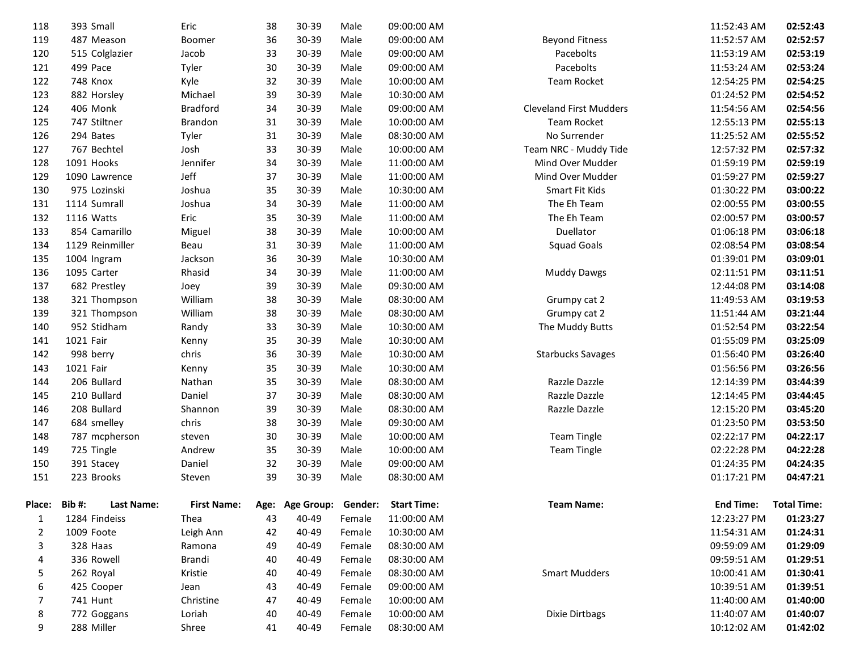| 118    | 393 Small       | Eric                             | 38 | 30-39           | Male    | 09:00:00 AM        |                                | 11:52:43 AM      | 02:52:43           |
|--------|-----------------|----------------------------------|----|-----------------|---------|--------------------|--------------------------------|------------------|--------------------|
| 119    | 487 Meason      | Boomer                           | 36 | 30-39           | Male    | 09:00:00 AM        | <b>Beyond Fitness</b>          | 11:52:57 AM      | 02:52:57           |
| 120    | 515 Colglazier  | Jacob                            | 33 | 30-39           | Male    | 09:00:00 AM        | Pacebolts                      | 11:53:19 AM      | 02:53:19           |
| 121    | 499 Pace        | Tyler                            | 30 | 30-39           | Male    | 09:00:00 AM        | Pacebolts                      | 11:53:24 AM      | 02:53:24           |
| 122    | <b>748 Knox</b> | Kyle                             | 32 | 30-39           | Male    | 10:00:00 AM        | Team Rocket                    | 12:54:25 PM      | 02:54:25           |
| 123    | 882 Horsley     | Michael                          | 39 | 30-39           | Male    | 10:30:00 AM        |                                | 01:24:52 PM      | 02:54:52           |
| 124    | 406 Monk        | <b>Bradford</b>                  | 34 | 30-39           | Male    | 09:00:00 AM        | <b>Cleveland First Mudders</b> | 11:54:56 AM      | 02:54:56           |
| 125    | 747 Stiltner    | Brandon                          | 31 | 30-39           | Male    | 10:00:00 AM        | Team Rocket                    | 12:55:13 PM      | 02:55:13           |
| 126    | 294 Bates       | Tyler                            | 31 | 30-39           | Male    | 08:30:00 AM        | No Surrender                   | 11:25:52 AM      | 02:55:52           |
| 127    | 767 Bechtel     | Josh                             | 33 | 30-39           | Male    | 10:00:00 AM        | Team NRC - Muddy Tide          | 12:57:32 PM      | 02:57:32           |
| 128    | 1091 Hooks      | Jennifer                         | 34 | 30-39           | Male    | 11:00:00 AM        | Mind Over Mudder               | 01:59:19 PM      | 02:59:19           |
| 129    | 1090 Lawrence   | Jeff                             | 37 | 30-39           | Male    | 11:00:00 AM        | Mind Over Mudder               | 01:59:27 PM      | 02:59:27           |
| 130    | 975 Lozinski    | Joshua                           | 35 | 30-39           | Male    | 10:30:00 AM        | Smart Fit Kids                 | 01:30:22 PM      | 03:00:22           |
| 131    | 1114 Sumrall    | Joshua                           | 34 | 30-39           | Male    | 11:00:00 AM        | The Eh Team                    | 02:00:55 PM      | 03:00:55           |
| 132    | 1116 Watts      | Eric                             | 35 | 30-39           | Male    | 11:00:00 AM        | The Eh Team                    | 02:00:57 PM      | 03:00:57           |
| 133    | 854 Camarillo   | Miguel                           | 38 | 30-39           | Male    | 10:00:00 AM        | Duellator                      | 01:06:18 PM      | 03:06:18           |
| 134    | 1129 Reinmiller | Beau                             | 31 | 30-39           | Male    | 11:00:00 AM        | <b>Squad Goals</b>             | 02:08:54 PM      | 03:08:54           |
| 135    | 1004 Ingram     | Jackson                          | 36 | 30-39           | Male    | 10:30:00 AM        |                                | 01:39:01 PM      | 03:09:01           |
| 136    | 1095 Carter     | Rhasid                           | 34 | 30-39           | Male    | 11:00:00 AM        | <b>Muddy Dawgs</b>             | 02:11:51 PM      | 03:11:51           |
| 137    | 682 Prestley    | Joey                             | 39 | 30-39           | Male    | 09:30:00 AM        |                                | 12:44:08 PM      | 03:14:08           |
| 138    | 321 Thompson    | William                          | 38 | 30-39           | Male    | 08:30:00 AM        | Grumpy cat 2                   | 11:49:53 AM      | 03:19:53           |
| 139    | 321 Thompson    | William                          | 38 | 30-39           | Male    | 08:30:00 AM        | Grumpy cat 2                   | 11:51:44 AM      | 03:21:44           |
| 140    | 952 Stidham     | Randy                            | 33 | 30-39           | Male    | 10:30:00 AM        | The Muddy Butts                | 01:52:54 PM      | 03:22:54           |
| 141    | 1021 Fair       | Kenny                            | 35 | 30-39           | Male    | 10:30:00 AM        |                                | 01:55:09 PM      | 03:25:09           |
| 142    | 998 berry       | chris                            | 36 | 30-39           | Male    | 10:30:00 AM        | <b>Starbucks Savages</b>       | 01:56:40 PM      | 03:26:40           |
| 143    | 1021 Fair       | Kenny                            | 35 | 30-39           | Male    | 10:30:00 AM        |                                | 01:56:56 PM      | 03:26:56           |
| 144    | 206 Bullard     | Nathan                           | 35 | 30-39           | Male    | 08:30:00 AM        | Razzle Dazzle                  | 12:14:39 PM      | 03:44:39           |
| 145    | 210 Bullard     | Daniel                           | 37 | 30-39           | Male    | 08:30:00 AM        | Razzle Dazzle                  | 12:14:45 PM      | 03:44:45           |
| 146    | 208 Bullard     | Shannon                          | 39 | 30-39           | Male    | 08:30:00 AM        | Razzle Dazzle                  | 12:15:20 PM      | 03:45:20           |
| 147    | 684 smelley     | chris                            | 38 | 30-39           | Male    | 09:30:00 AM        |                                | 01:23:50 PM      | 03:53:50           |
| 148    | 787 mcpherson   | steven                           | 30 | 30-39           | Male    | 10:00:00 AM        | <b>Team Tingle</b>             | 02:22:17 PM      | 04:22:17           |
| 149    | 725 Tingle      | Andrew                           | 35 | 30-39           | Male    | 10:00:00 AM        | <b>Team Tingle</b>             | 02:22:28 PM      | 04:22:28           |
| 150    | 391 Stacey      | Daniel                           | 32 | 30-39           | Male    | 09:00:00 AM        |                                | 01:24:35 PM      | 04:24:35           |
| 151    | 223 Brooks      | Steven                           | 39 | 30-39           | Male    | 08:30:00 AM        |                                | 01:17:21 PM      | 04:47:21           |
| Place: | Bib#:           | Last Name:<br><b>First Name:</b> |    | Age: Age Group: | Gender: | <b>Start Time:</b> | Team Name:                     | <b>End Time:</b> | <b>Total Time:</b> |
| 1      | 1284 Findeiss   | Thea                             | 43 | 40-49           | Female  | 11:00:00 AM        |                                | 12:23:27 PM      | 01:23:27           |
| 2      | 1009 Foote      | Leigh Ann                        | 42 | 40-49           | Female  | 10:30:00 AM        |                                | 11:54:31 AM      | 01:24:31           |
| 3      | 328 Haas        | Ramona                           | 49 | 40-49           | Female  | 08:30:00 AM        |                                | 09:59:09 AM      | 01:29:09           |
| 4      | 336 Rowell      | Brandi                           | 40 | 40-49           | Female  | 08:30:00 AM        |                                | 09:59:51 AM      | 01:29:51           |
| 5      | 262 Royal       | Kristie                          | 40 | 40-49           | Female  | 08:30:00 AM        | <b>Smart Mudders</b>           | 10:00:41 AM      | 01:30:41           |
| 6      | 425 Cooper      | Jean                             | 43 | 40-49           | Female  | 09:00:00 AM        |                                | 10:39:51 AM      | 01:39:51           |
| 7      | 741 Hunt        | Christine                        | 47 | 40-49           | Female  | 10:00:00 AM        |                                | 11:40:00 AM      | 01:40:00           |
| 8      | 772 Goggans     | Loriah                           | 40 | 40-49           | Female  | 10:00:00 AM        | <b>Dixie Dirtbags</b>          | 11:40:07 AM      | 01:40:07           |
| 9      | 288 Miller      | Shree                            | 41 | 40-49           | Female  | 08:30:00 AM        |                                | 10:12:02 AM      | 01:42:02           |
|        |                 |                                  |    |                 |         |                    |                                |                  |                    |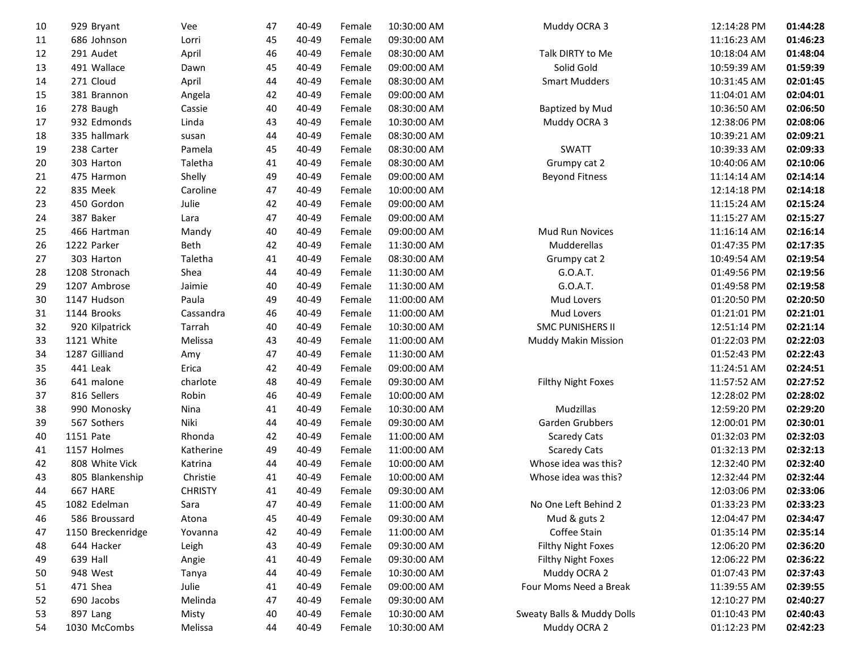| 10 | 929 Bryant        | Vee            | 47 | 40-49     | Female | 10:30:00 AM | Muddy OCRA 3               | 12:14:28 PM | 01:44:28 |
|----|-------------------|----------------|----|-----------|--------|-------------|----------------------------|-------------|----------|
| 11 | 686 Johnson       | Lorri          | 45 | 40-49     | Female | 09:30:00 AM |                            | 11:16:23 AM | 01:46:23 |
| 12 | 291 Audet         | April          | 46 | 40-49     | Female | 08:30:00 AM | Talk DIRTY to Me           | 10:18:04 AM | 01:48:04 |
| 13 | 491 Wallace       | Dawn           | 45 | 40-49     | Female | 09:00:00 AM | Solid Gold                 | 10:59:39 AM | 01:59:39 |
| 14 | 271 Cloud         | April          | 44 | 40-49     | Female | 08:30:00 AM | <b>Smart Mudders</b>       | 10:31:45 AM | 02:01:45 |
| 15 | 381 Brannon       | Angela         | 42 | 40-49     | Female | 09:00:00 AM |                            | 11:04:01 AM | 02:04:01 |
| 16 | 278 Baugh         | Cassie         | 40 | $40 - 49$ | Female | 08:30:00 AM | <b>Baptized by Mud</b>     | 10:36:50 AM | 02:06:50 |
| 17 | 932 Edmonds       | Linda          | 43 | 40-49     | Female | 10:30:00 AM | Muddy OCRA 3               | 12:38:06 PM | 02:08:06 |
| 18 | 335 hallmark      | susan          | 44 | 40-49     | Female | 08:30:00 AM |                            | 10:39:21 AM | 02:09:21 |
| 19 | 238 Carter        | Pamela         | 45 | 40-49     | Female | 08:30:00 AM | <b>SWATT</b>               | 10:39:33 AM | 02:09:33 |
| 20 | 303 Harton        | Taletha        | 41 | 40-49     | Female | 08:30:00 AM | Grumpy cat 2               | 10:40:06 AM | 02:10:06 |
| 21 | 475 Harmon        | Shelly         | 49 | 40-49     | Female | 09:00:00 AM | <b>Beyond Fitness</b>      | 11:14:14 AM | 02:14:14 |
| 22 | 835 Meek          | Caroline       | 47 | 40-49     | Female | 10:00:00 AM |                            | 12:14:18 PM | 02:14:18 |
| 23 | 450 Gordon        | Julie          | 42 | 40-49     | Female | 09:00:00 AM |                            | 11:15:24 AM | 02:15:24 |
| 24 | 387 Baker         | Lara           | 47 | 40-49     | Female | 09:00:00 AM |                            | 11:15:27 AM | 02:15:27 |
| 25 | 466 Hartman       | Mandy          | 40 | 40-49     | Female | 09:00:00 AM | Mud Run Novices            | 11:16:14 AM | 02:16:14 |
| 26 | 1222 Parker       | Beth           | 42 | 40-49     | Female | 11:30:00 AM | Mudderellas                | 01:47:35 PM | 02:17:35 |
| 27 | 303 Harton        | Taletha        | 41 | 40-49     | Female | 08:30:00 AM | Grumpy cat 2               | 10:49:54 AM | 02:19:54 |
| 28 | 1208 Stronach     | Shea           | 44 | 40-49     | Female | 11:30:00 AM | G.O.A.T.                   | 01:49:56 PM | 02:19:56 |
| 29 | 1207 Ambrose      | Jaimie         | 40 | 40-49     | Female | 11:30:00 AM | G.O.A.T.                   | 01:49:58 PM | 02:19:58 |
| 30 | 1147 Hudson       | Paula          | 49 | 40-49     | Female | 11:00:00 AM | Mud Lovers                 | 01:20:50 PM | 02:20:50 |
| 31 | 1144 Brooks       | Cassandra      | 46 | 40-49     | Female | 11:00:00 AM | Mud Lovers                 | 01:21:01 PM | 02:21:01 |
| 32 | 920 Kilpatrick    | Tarrah         | 40 | 40-49     | Female | 10:30:00 AM | <b>SMC PUNISHERS II</b>    | 12:51:14 PM | 02:21:14 |
| 33 | 1121 White        | Melissa        | 43 | 40-49     | Female | 11:00:00 AM | Muddy Makin Mission        | 01:22:03 PM | 02:22:03 |
| 34 | 1287 Gilliand     | Amy            | 47 | 40-49     | Female | 11:30:00 AM |                            | 01:52:43 PM | 02:22:43 |
| 35 | 441 Leak          | Erica          | 42 | 40-49     | Female | 09:00:00 AM |                            | 11:24:51 AM | 02:24:51 |
| 36 | 641 malone        | charlote       | 48 | 40-49     | Female | 09:30:00 AM | Filthy Night Foxes         | 11:57:52 AM | 02:27:52 |
| 37 | 816 Sellers       | Robin          | 46 | 40-49     | Female | 10:00:00 AM |                            | 12:28:02 PM | 02:28:02 |
| 38 | 990 Monosky       | Nina           | 41 | 40-49     | Female | 10:30:00 AM | Mudzillas                  | 12:59:20 PM | 02:29:20 |
| 39 | 567 Sothers       | Niki           | 44 | 40-49     | Female | 09:30:00 AM | Garden Grubbers            | 12:00:01 PM | 02:30:01 |
| 40 | 1151 Pate         | Rhonda         | 42 | 40-49     | Female | 11:00:00 AM | <b>Scaredy Cats</b>        | 01:32:03 PM | 02:32:03 |
| 41 | 1157 Holmes       | Katherine      | 49 | 40-49     | Female | 11:00:00 AM | <b>Scaredy Cats</b>        | 01:32:13 PM | 02:32:13 |
| 42 | 808 White Vick    | Katrina        | 44 | 40-49     | Female | 10:00:00 AM | Whose idea was this?       | 12:32:40 PM | 02:32:40 |
| 43 | 805 Blankenship   | Christie       | 41 | 40-49     | Female | 10:00:00 AM | Whose idea was this?       | 12:32:44 PM | 02:32:44 |
| 44 | 667 HARE          | <b>CHRISTY</b> | 41 | 40-49     | Female | 09:30:00 AM |                            | 12:03:06 PM | 02:33:06 |
| 45 | 1082 Edelman      | Sara           | 47 | 40-49     | Female | 11:00:00 AM | No One Left Behind 2       | 01:33:23 PM | 02:33:23 |
| 46 | 586 Broussard     | Atona          | 45 | 40-49     | Female | 09:30:00 AM | Mud & guts 2               | 12:04:47 PM | 02:34:47 |
| 47 | 1150 Breckenridge | Yovanna        | 42 | 40-49     | Female | 11:00:00 AM | Coffee Stain               | 01:35:14 PM | 02:35:14 |
| 48 | 644 Hacker        | Leigh          | 43 | 40-49     | Female | 09:30:00 AM | Filthy Night Foxes         | 12:06:20 PM | 02:36:20 |
| 49 | 639 Hall          | Angie          | 41 | 40-49     | Female | 09:30:00 AM | Filthy Night Foxes         | 12:06:22 PM | 02:36:22 |
| 50 | 948 West          | Tanya          | 44 | 40-49     | Female | 10:30:00 AM | Muddy OCRA 2               | 01:07:43 PM | 02:37:43 |
| 51 | 471 Shea          | Julie          | 41 | 40-49     | Female | 09:00:00 AM | Four Moms Need a Break     | 11:39:55 AM | 02:39:55 |
| 52 | 690 Jacobs        | Melinda        | 47 | 40-49     | Female | 09:30:00 AM |                            | 12:10:27 PM | 02:40:27 |
| 53 | 897 Lang          | Misty          | 40 | 40-49     | Female | 10:30:00 AM | Sweaty Balls & Muddy Dolls | 01:10:43 PM | 02:40:43 |
| 54 | 1030 McCombs      | Melissa        | 44 | 40-49     | Female | 10:30:00 AM | Muddy OCRA 2               | 01:12:23 PM | 02:42:23 |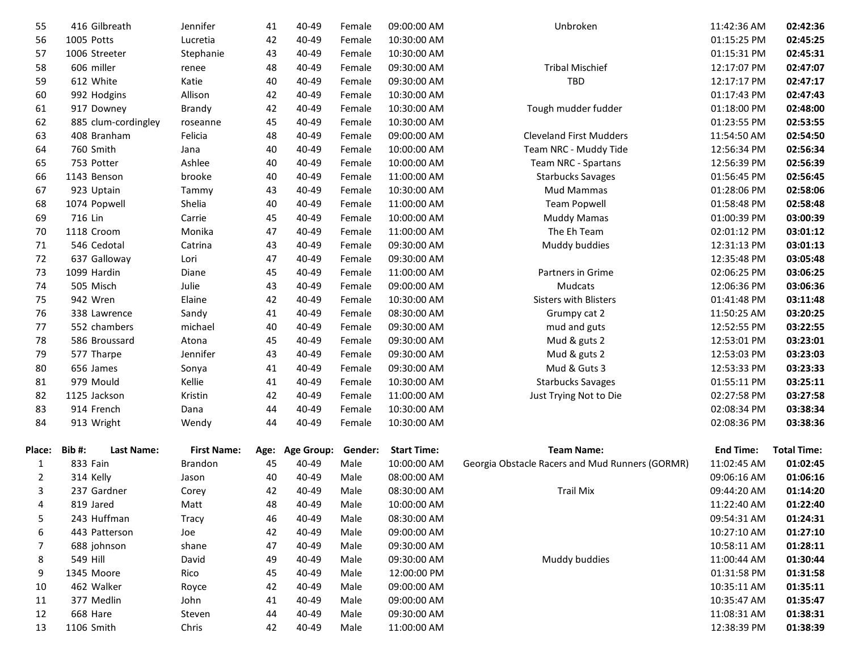| 55             | 416 Gilbreath              | Jennifer           | 41   | 40-49             | Female  | 09:00:00 AM        | Unbroken                                        | 11:42:36 AM      | 02:42:36           |
|----------------|----------------------------|--------------------|------|-------------------|---------|--------------------|-------------------------------------------------|------------------|--------------------|
| 56             | 1005 Potts                 | Lucretia           | 42   | 40-49             | Female  | 10:30:00 AM        |                                                 | 01:15:25 PM      | 02:45:25           |
| 57             | 1006 Streeter              | Stephanie          | 43   | 40-49             | Female  | 10:30:00 AM        |                                                 | 01:15:31 PM      | 02:45:31           |
| 58             | 606 miller                 | renee              | 48   | 40-49             | Female  | 09:30:00 AM        | <b>Tribal Mischief</b>                          | 12:17:07 PM      | 02:47:07           |
| 59             | 612 White                  | Katie              | 40   | 40-49             | Female  | 09:30:00 AM        | <b>TBD</b>                                      | 12:17:17 PM      | 02:47:17           |
| 60             | 992 Hodgins                | Allison            | 42   | 40-49             | Female  | 10:30:00 AM        |                                                 | 01:17:43 PM      | 02:47:43           |
| 61             | 917 Downey                 | Brandy             | 42   | 40-49             | Female  | 10:30:00 AM        | Tough mudder fudder                             | 01:18:00 PM      | 02:48:00           |
| 62             | 885 clum-cordingley        | roseanne           | 45   | 40-49             | Female  | 10:30:00 AM        |                                                 | 01:23:55 PM      | 02:53:55           |
| 63             | 408 Branham                | Felicia            | 48   | 40-49             | Female  | 09:00:00 AM        | <b>Cleveland First Mudders</b>                  | 11:54:50 AM      | 02:54:50           |
| 64             | 760 Smith                  | Jana               | 40   | 40-49             | Female  | 10:00:00 AM        | Team NRC - Muddy Tide                           | 12:56:34 PM      | 02:56:34           |
| 65             | 753 Potter                 | Ashlee             | 40   | 40-49             | Female  | 10:00:00 AM        | Team NRC - Spartans                             | 12:56:39 PM      | 02:56:39           |
| 66             | 1143 Benson                | brooke             | 40   | 40-49             | Female  | 11:00:00 AM        | <b>Starbucks Savages</b>                        | 01:56:45 PM      | 02:56:45           |
| 67             | 923 Uptain                 | Tammy              | 43   | 40-49             | Female  | 10:30:00 AM        | Mud Mammas                                      | 01:28:06 PM      | 02:58:06           |
| 68             | 1074 Popwell               | Shelia             | 40   | 40-49             | Female  | 11:00:00 AM        | <b>Team Popwell</b>                             | 01:58:48 PM      | 02:58:48           |
| 69             | 716 Lin                    | Carrie             | 45   | 40-49             | Female  | 10:00:00 AM        | <b>Muddy Mamas</b>                              | 01:00:39 PM      | 03:00:39           |
| 70             | 1118 Croom                 | Monika             | 47   | 40-49             | Female  | 11:00:00 AM        | The Eh Team                                     | 02:01:12 PM      | 03:01:12           |
| 71             | 546 Cedotal                | Catrina            | 43   | 40-49             | Female  | 09:30:00 AM        | Muddy buddies                                   | 12:31:13 PM      | 03:01:13           |
| 72             | 637 Galloway               | Lori               | 47   | 40-49             | Female  | 09:30:00 AM        |                                                 | 12:35:48 PM      | 03:05:48           |
| 73             | 1099 Hardin                | Diane              | 45   | 40-49             | Female  | 11:00:00 AM        | Partners in Grime                               | 02:06:25 PM      | 03:06:25           |
| 74             | 505 Misch                  | Julie              | 43   | 40-49             | Female  | 09:00:00 AM        | Mudcats                                         | 12:06:36 PM      | 03:06:36           |
| 75             | 942 Wren                   | Elaine             | 42   | 40-49             | Female  | 10:30:00 AM        | <b>Sisters with Blisters</b>                    | 01:41:48 PM      | 03:11:48           |
| 76             | 338 Lawrence               | Sandy              | 41   | 40-49             | Female  | 08:30:00 AM        | Grumpy cat 2                                    | 11:50:25 AM      | 03:20:25           |
| 77             | 552 chambers               | michael            | 40   | 40-49             | Female  | 09:30:00 AM        | mud and guts                                    | 12:52:55 PM      | 03:22:55           |
| 78             | 586 Broussard              | Atona              | 45   | 40-49             | Female  | 09:30:00 AM        | Mud & guts 2                                    | 12:53:01 PM      | 03:23:01           |
| 79             | 577 Tharpe                 | Jennifer           | 43   | 40-49             | Female  | 09:30:00 AM        | Mud & guts 2                                    | 12:53:03 PM      | 03:23:03           |
| 80             | 656 James                  | Sonya              | 41   | 40-49             | Female  | 09:30:00 AM        | Mud & Guts 3                                    | 12:53:33 PM      | 03:23:33           |
| 81             | 979 Mould                  | Kellie             | 41   | 40-49             | Female  | 10:30:00 AM        | <b>Starbucks Savages</b>                        | 01:55:11 PM      | 03:25:11           |
| 82             | 1125 Jackson               | Kristin            | 42   | 40-49             | Female  | 11:00:00 AM        | Just Trying Not to Die                          | 02:27:58 PM      | 03:27:58           |
| 83             | 914 French                 | Dana               | 44   | 40-49             | Female  | 10:30:00 AM        |                                                 | 02:08:34 PM      | 03:38:34           |
| 84             | 913 Wright                 | Wendy              | 44   | 40-49             | Female  | 10:30:00 AM        |                                                 | 02:08:36 PM      | 03:38:36           |
| <b>Place:</b>  | Bib#:<br><b>Last Name:</b> | <b>First Name:</b> | Age: | <b>Age Group:</b> | Gender: | <b>Start Time:</b> | <b>Team Name:</b>                               | <b>End Time:</b> | <b>Total Time:</b> |
| 1              | 833 Fain                   | <b>Brandon</b>     | 45   | 40-49             | Male    | 10:00:00 AM        | Georgia Obstacle Racers and Mud Runners (GORMR) | 11:02:45 AM      | 01:02:45           |
| $\overline{2}$ | 314 Kelly                  | Jason              | 40   | 40-49             | Male    | 08:00:00 AM        |                                                 | 09:06:16 AM      | 01:06:16           |
| 3              | 237 Gardner                | Corey              | 42   | 40-49             | Male    | 08:30:00 AM        | <b>Trail Mix</b>                                | 09:44:20 AM      | 01:14:20           |
| 4              | 819 Jared                  | Matt               | 48   | 40-49             | Male    | 10:00:00 AM        |                                                 | 11:22:40 AM      | 01:22:40           |
| 5              | 243 Huffman                | <b>Tracy</b>       | 46   | 40-49             | Male    | 08:30:00 AM        |                                                 | 09:54:31 AM      | 01:24:31           |
| 6              | 443 Patterson              | Joe                | 42   | 40-49             | Male    | 09:00:00 AM        |                                                 | 10:27:10 AM      | 01:27:10           |
| 7              | 688 johnson                | shane              | 47   | 40-49             | Male    | 09:30:00 AM        |                                                 | 10:58:11 AM      | 01:28:11           |
| 8              | 549 Hill                   | David              | 49   | 40-49             | Male    | 09:30:00 AM        | Muddy buddies                                   | 11:00:44 AM      | 01:30:44           |
| 9              | 1345 Moore                 | Rico               | 45   | 40-49             | Male    | 12:00:00 PM        |                                                 | 01:31:58 PM      | 01:31:58           |
| 10             | 462 Walker                 | Royce              | 42   | 40-49             | Male    | 09:00:00 AM        |                                                 | 10:35:11 AM      | 01:35:11           |
| 11             | 377 Medlin                 | John               | 41   | 40-49             | Male    | 09:00:00 AM        |                                                 | 10:35:47 AM      | 01:35:47           |
| 12             | 668 Hare                   | Steven             | 44   | 40-49             | Male    | 09:30:00 AM        |                                                 | 11:08:31 AM      | 01:38:31           |
| 13             | 1106 Smith                 | Chris              | 42   | 40-49             | Male    | 11:00:00 AM        |                                                 | 12:38:39 PM      | 01:38:39           |
|                |                            |                    |      |                   |         |                    |                                                 |                  |                    |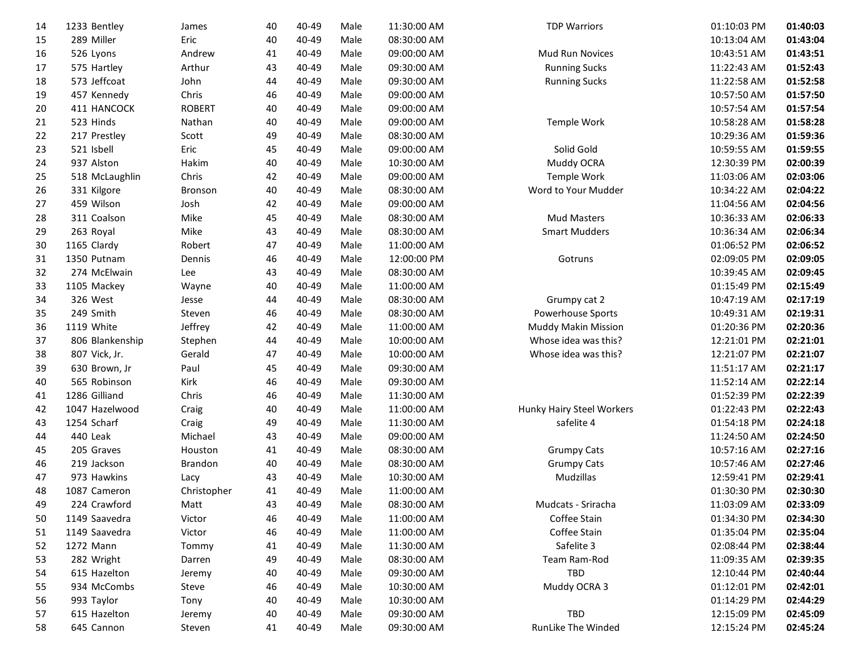| Eric<br>289 Miller<br>40<br>40-49<br>Male<br>08:30:00 AM<br>10:13:04 AM<br>01:43:04<br>15<br>Andrew<br>41<br>40-49<br>Male<br>09:00:00 AM<br>01:43:51<br>526 Lyons<br>Mud Run Novices<br>10:43:51 AM<br>16<br>Arthur<br>43<br>40-49<br>Male<br>09:30:00 AM<br><b>Running Sucks</b><br>11:22:43 AM<br>01:52:43<br>17<br>575 Hartley<br>573 Jeffcoat<br>John<br>44<br>40-49<br>Male<br>09:30:00 AM<br>01:52:58<br>18<br><b>Running Sucks</b><br>11:22:58 AM<br>457 Kennedy<br>Chris<br>46<br>40-49<br>Male<br>09:00:00 AM<br>01:57:50<br>19<br>10:57:50 AM<br>411 HANCOCK<br><b>ROBERT</b><br>40<br>40-49<br>Male<br>01:57:54<br>20<br>09:00:00 AM<br>10:57:54 AM<br>523 Hinds<br>Nathan<br>40<br>40-49<br>Male<br>09:00:00 AM<br>01:58:28<br>21<br>Temple Work<br>10:58:28 AM<br>Scott<br>49<br>40-49<br>08:30:00 AM<br>01:59:36<br>22<br>217 Prestley<br>Male<br>10:29:36 AM<br>Eric<br>23<br>521 Isbell<br>45<br>40-49<br>Male<br>09:00:00 AM<br>Solid Gold<br>01:59:55<br>10:59:55 AM<br>40<br>937 Alston<br>Hakim<br>40-49<br>Male<br>10:30:00 AM<br>Muddy OCRA<br>02:00:39<br>24<br>12:30:39 PM<br>Chris<br>518 McLaughlin<br>42<br>40-49<br>Male<br>09:00:00 AM<br>Temple Work<br>02:03:06<br>25<br>11:03:06 AM<br>40<br>26<br>331 Kilgore<br>40-49<br>Male<br>08:30:00 AM<br>Word to Your Mudder<br>10:34:22 AM<br>02:04:22<br>Bronson<br>459 Wilson<br>Josh<br>42<br>40-49<br>Male<br>09:00:00 AM<br>02:04:56<br>27<br>11:04:56 AM<br>Mike<br>311 Coalson<br>45<br>40-49<br>Male<br>08:30:00 AM<br><b>Mud Masters</b><br>02:06:33<br>28<br>10:36:33 AM<br>Mike<br>263 Royal<br>43<br>40-49<br>Male<br>08:30:00 AM<br><b>Smart Mudders</b><br>02:06:34<br>29<br>10:36:34 AM<br>Robert<br>47<br>40-49<br>Male<br>11:00:00 AM<br>02:06:52<br>30<br>1165 Clardy<br>01:06:52 PM<br>1350 Putnam<br>46<br>40-49<br>12:00:00 PM<br>02:09:05 PM<br>02:09:05<br>31<br>Dennis<br>Male<br>Gotruns<br>274 McElwain<br>32<br>43<br>40-49<br>Male<br>08:30:00 AM<br>02:09:45<br>Lee<br>10:39:45 AM<br>40<br>40-49<br>Male<br>11:00:00 AM<br>02:15:49<br>33<br>1105 Mackey<br>Wayne<br>01:15:49 PM<br>02:17:19<br>34<br>326 West<br>44<br>40-49<br>Male<br>08:30:00 AM<br>10:47:19 AM<br>Grumpy cat 2<br>Jesse<br>249 Smith<br>Steven<br>46<br>40-49<br>Male<br>08:30:00 AM<br>Powerhouse Sports<br>02:19:31<br>35<br>10:49:31 AM<br>Jeffrey<br>1119 White<br>42<br>40-49<br>Male<br>11:00:00 AM<br><b>Muddy Makin Mission</b><br>02:20:36<br>36<br>01:20:36 PM<br>40-49<br>Male<br>Whose idea was this?<br>02:21:01<br>37<br>806 Blankenship<br>Stephen<br>44<br>10:00:00 AM<br>12:21:01 PM<br>807 Vick, Jr.<br>Gerald<br>47<br>40-49<br>Male<br>10:00:00 AM<br>Whose idea was this?<br>12:21:07 PM<br>02:21:07<br>38<br>Paul<br>45<br>40-49<br>02:21:17<br>39<br>630 Brown, Jr<br>Male<br>09:30:00 AM<br>11:51:17 AM<br>02:22:14<br>565 Robinson<br>Kirk<br>46<br>40-49<br>Male<br>09:30:00 AM<br>40<br>11:52:14 AM<br>1286 Gilliand<br>Chris<br>46<br>40-49<br>Male<br>02:22:39<br>41<br>11:30:00 AM<br>01:52:39 PM<br>1047 Hazelwood<br>40<br>40-49<br>Male<br>Hunky Hairy Steel Workers<br>02:22:43<br>42<br>Craig<br>11:00:00 AM<br>01:22:43 PM<br>1254 Scharf<br>49<br>40-49<br>Male<br>safelite 4<br>02:24:18<br>43<br>Craig<br>11:30:00 AM<br>01:54:18 PM<br>440 Leak<br>Michael<br>43<br>40-49<br>Male<br>09:00:00 AM<br>02:24:50<br>44<br>11:24:50 AM<br>41<br>Male<br>02:27:16<br>45<br>205 Graves<br>Houston<br>40-49<br>08:30:00 AM<br><b>Grumpy Cats</b><br>10:57:16 AM<br>219 Jackson<br>Brandon<br>40<br>40-49<br>Male<br>08:30:00 AM<br><b>Grumpy Cats</b><br>02:27:46<br>46<br>10:57:46 AM<br>43<br>Mudzillas<br>02:29:41<br>47<br>973 Hawkins<br>40-49<br>Male<br>10:30:00 AM<br>12:59:41 PM<br>Lacy<br>41<br>40-49<br>02:30:30<br>48<br>1087 Cameron<br>Christopher<br>Male<br>11:00:00 AM<br>01:30:30 PM<br>224 Crawford<br>43<br>40-49<br>Male<br>08:30:00 AM<br>Mudcats - Sriracha<br>11:03:09 AM<br>02:33:09<br>Matt<br>49<br>1149 Saavedra<br>Victor<br>46<br>40-49<br>Male<br>11:00:00 AM<br>Coffee Stain<br>01:34:30 PM<br>02:34:30<br>50<br>1149 Saavedra<br>46<br>40-49<br>Male<br>Coffee Stain<br>02:35:04<br>51<br>Victor<br>11:00:00 AM<br>01:35:04 PM<br>Safelite 3<br>40-49<br>Male<br>11:30:00 AM<br>02:08:44 PM<br>02:38:44<br>52<br>1272 Mann<br>41<br>Tommy<br>49<br>Male<br>08:30:00 AM<br>Team Ram-Rod<br>02:39:35<br>282 Wright<br>Darren<br>40-49<br>11:09:35 AM<br>53<br>TBD<br>Male<br>09:30:00 AM<br>02:40:44<br>615 Hazelton<br>40<br>40-49<br>12:10:44 PM<br>54<br>Jeremy<br>Muddy OCRA 3<br>934 McCombs<br>10:30:00 AM<br>01:12:01 PM<br>02:42:01<br>Steve<br>46<br>40-49<br>Male<br>55<br>993 Taylor<br>40<br>40-49<br>01:14:29 PM<br>02:44:29<br>Tony<br>Male<br>10:30:00 AM<br>56<br>09:30:00 AM<br>TBD<br>02:45:09<br>615 Hazelton<br>40<br>40-49<br>Male<br>12:15:09 PM<br>57<br>Jeremy<br>RunLike The Winded<br>645 Cannon<br>40-49<br>Male<br>09:30:00 AM<br>12:15:24 PM<br>02:45:24<br>Steven<br>41<br>58 | 14 | 1233 Bentley | James | 40 | 40-49 | Male | 11:30:00 AM | <b>TDP Warriors</b> | 01:10:03 PM | 01:40:03 |
|-----------------------------------------------------------------------------------------------------------------------------------------------------------------------------------------------------------------------------------------------------------------------------------------------------------------------------------------------------------------------------------------------------------------------------------------------------------------------------------------------------------------------------------------------------------------------------------------------------------------------------------------------------------------------------------------------------------------------------------------------------------------------------------------------------------------------------------------------------------------------------------------------------------------------------------------------------------------------------------------------------------------------------------------------------------------------------------------------------------------------------------------------------------------------------------------------------------------------------------------------------------------------------------------------------------------------------------------------------------------------------------------------------------------------------------------------------------------------------------------------------------------------------------------------------------------------------------------------------------------------------------------------------------------------------------------------------------------------------------------------------------------------------------------------------------------------------------------------------------------------------------------------------------------------------------------------------------------------------------------------------------------------------------------------------------------------------------------------------------------------------------------------------------------------------------------------------------------------------------------------------------------------------------------------------------------------------------------------------------------------------------------------------------------------------------------------------------------------------------------------------------------------------------------------------------------------------------------------------------------------------------------------------------------------------------------------------------------------------------------------------------------------------------------------------------------------------------------------------------------------------------------------------------------------------------------------------------------------------------------------------------------------------------------------------------------------------------------------------------------------------------------------------------------------------------------------------------------------------------------------------------------------------------------------------------------------------------------------------------------------------------------------------------------------------------------------------------------------------------------------------------------------------------------------------------------------------------------------------------------------------------------------------------------------------------------------------------------------------------------------------------------------------------------------------------------------------------------------------------------------------------------------------------------------------------------------------------------------------------------------------------------------------------------------------------------------------------------------------------------------------------------------------------------------------------------------------------------------------------------------------------------------------------------------------------------------------------------------------------------------------------------------------------------------------------------------------------------------------------------------------------------------------------------------------------------------------------------------------------------------------------------------------------------------------------------------------------------------------------------------------------------------------------------------------------------------------------------------------------------------------------------------------------------------------------------------------------|----|--------------|-------|----|-------|------|-------------|---------------------|-------------|----------|
|                                                                                                                                                                                                                                                                                                                                                                                                                                                                                                                                                                                                                                                                                                                                                                                                                                                                                                                                                                                                                                                                                                                                                                                                                                                                                                                                                                                                                                                                                                                                                                                                                                                                                                                                                                                                                                                                                                                                                                                                                                                                                                                                                                                                                                                                                                                                                                                                                                                                                                                                                                                                                                                                                                                                                                                                                                                                                                                                                                                                                                                                                                                                                                                                                                                                                                                                                                                                                                                                                                                                                                                                                                                                                                                                                                                                                                                                                                                                                                                                                                                                                                                                                                                                                                                                                                                                                                                                                                                                                                                                                                                                                                                                                                                                                                                                                                                                                                                                                           |    |              |       |    |       |      |             |                     |             |          |
|                                                                                                                                                                                                                                                                                                                                                                                                                                                                                                                                                                                                                                                                                                                                                                                                                                                                                                                                                                                                                                                                                                                                                                                                                                                                                                                                                                                                                                                                                                                                                                                                                                                                                                                                                                                                                                                                                                                                                                                                                                                                                                                                                                                                                                                                                                                                                                                                                                                                                                                                                                                                                                                                                                                                                                                                                                                                                                                                                                                                                                                                                                                                                                                                                                                                                                                                                                                                                                                                                                                                                                                                                                                                                                                                                                                                                                                                                                                                                                                                                                                                                                                                                                                                                                                                                                                                                                                                                                                                                                                                                                                                                                                                                                                                                                                                                                                                                                                                                           |    |              |       |    |       |      |             |                     |             |          |
|                                                                                                                                                                                                                                                                                                                                                                                                                                                                                                                                                                                                                                                                                                                                                                                                                                                                                                                                                                                                                                                                                                                                                                                                                                                                                                                                                                                                                                                                                                                                                                                                                                                                                                                                                                                                                                                                                                                                                                                                                                                                                                                                                                                                                                                                                                                                                                                                                                                                                                                                                                                                                                                                                                                                                                                                                                                                                                                                                                                                                                                                                                                                                                                                                                                                                                                                                                                                                                                                                                                                                                                                                                                                                                                                                                                                                                                                                                                                                                                                                                                                                                                                                                                                                                                                                                                                                                                                                                                                                                                                                                                                                                                                                                                                                                                                                                                                                                                                                           |    |              |       |    |       |      |             |                     |             |          |
|                                                                                                                                                                                                                                                                                                                                                                                                                                                                                                                                                                                                                                                                                                                                                                                                                                                                                                                                                                                                                                                                                                                                                                                                                                                                                                                                                                                                                                                                                                                                                                                                                                                                                                                                                                                                                                                                                                                                                                                                                                                                                                                                                                                                                                                                                                                                                                                                                                                                                                                                                                                                                                                                                                                                                                                                                                                                                                                                                                                                                                                                                                                                                                                                                                                                                                                                                                                                                                                                                                                                                                                                                                                                                                                                                                                                                                                                                                                                                                                                                                                                                                                                                                                                                                                                                                                                                                                                                                                                                                                                                                                                                                                                                                                                                                                                                                                                                                                                                           |    |              |       |    |       |      |             |                     |             |          |
|                                                                                                                                                                                                                                                                                                                                                                                                                                                                                                                                                                                                                                                                                                                                                                                                                                                                                                                                                                                                                                                                                                                                                                                                                                                                                                                                                                                                                                                                                                                                                                                                                                                                                                                                                                                                                                                                                                                                                                                                                                                                                                                                                                                                                                                                                                                                                                                                                                                                                                                                                                                                                                                                                                                                                                                                                                                                                                                                                                                                                                                                                                                                                                                                                                                                                                                                                                                                                                                                                                                                                                                                                                                                                                                                                                                                                                                                                                                                                                                                                                                                                                                                                                                                                                                                                                                                                                                                                                                                                                                                                                                                                                                                                                                                                                                                                                                                                                                                                           |    |              |       |    |       |      |             |                     |             |          |
|                                                                                                                                                                                                                                                                                                                                                                                                                                                                                                                                                                                                                                                                                                                                                                                                                                                                                                                                                                                                                                                                                                                                                                                                                                                                                                                                                                                                                                                                                                                                                                                                                                                                                                                                                                                                                                                                                                                                                                                                                                                                                                                                                                                                                                                                                                                                                                                                                                                                                                                                                                                                                                                                                                                                                                                                                                                                                                                                                                                                                                                                                                                                                                                                                                                                                                                                                                                                                                                                                                                                                                                                                                                                                                                                                                                                                                                                                                                                                                                                                                                                                                                                                                                                                                                                                                                                                                                                                                                                                                                                                                                                                                                                                                                                                                                                                                                                                                                                                           |    |              |       |    |       |      |             |                     |             |          |
|                                                                                                                                                                                                                                                                                                                                                                                                                                                                                                                                                                                                                                                                                                                                                                                                                                                                                                                                                                                                                                                                                                                                                                                                                                                                                                                                                                                                                                                                                                                                                                                                                                                                                                                                                                                                                                                                                                                                                                                                                                                                                                                                                                                                                                                                                                                                                                                                                                                                                                                                                                                                                                                                                                                                                                                                                                                                                                                                                                                                                                                                                                                                                                                                                                                                                                                                                                                                                                                                                                                                                                                                                                                                                                                                                                                                                                                                                                                                                                                                                                                                                                                                                                                                                                                                                                                                                                                                                                                                                                                                                                                                                                                                                                                                                                                                                                                                                                                                                           |    |              |       |    |       |      |             |                     |             |          |
|                                                                                                                                                                                                                                                                                                                                                                                                                                                                                                                                                                                                                                                                                                                                                                                                                                                                                                                                                                                                                                                                                                                                                                                                                                                                                                                                                                                                                                                                                                                                                                                                                                                                                                                                                                                                                                                                                                                                                                                                                                                                                                                                                                                                                                                                                                                                                                                                                                                                                                                                                                                                                                                                                                                                                                                                                                                                                                                                                                                                                                                                                                                                                                                                                                                                                                                                                                                                                                                                                                                                                                                                                                                                                                                                                                                                                                                                                                                                                                                                                                                                                                                                                                                                                                                                                                                                                                                                                                                                                                                                                                                                                                                                                                                                                                                                                                                                                                                                                           |    |              |       |    |       |      |             |                     |             |          |
|                                                                                                                                                                                                                                                                                                                                                                                                                                                                                                                                                                                                                                                                                                                                                                                                                                                                                                                                                                                                                                                                                                                                                                                                                                                                                                                                                                                                                                                                                                                                                                                                                                                                                                                                                                                                                                                                                                                                                                                                                                                                                                                                                                                                                                                                                                                                                                                                                                                                                                                                                                                                                                                                                                                                                                                                                                                                                                                                                                                                                                                                                                                                                                                                                                                                                                                                                                                                                                                                                                                                                                                                                                                                                                                                                                                                                                                                                                                                                                                                                                                                                                                                                                                                                                                                                                                                                                                                                                                                                                                                                                                                                                                                                                                                                                                                                                                                                                                                                           |    |              |       |    |       |      |             |                     |             |          |
|                                                                                                                                                                                                                                                                                                                                                                                                                                                                                                                                                                                                                                                                                                                                                                                                                                                                                                                                                                                                                                                                                                                                                                                                                                                                                                                                                                                                                                                                                                                                                                                                                                                                                                                                                                                                                                                                                                                                                                                                                                                                                                                                                                                                                                                                                                                                                                                                                                                                                                                                                                                                                                                                                                                                                                                                                                                                                                                                                                                                                                                                                                                                                                                                                                                                                                                                                                                                                                                                                                                                                                                                                                                                                                                                                                                                                                                                                                                                                                                                                                                                                                                                                                                                                                                                                                                                                                                                                                                                                                                                                                                                                                                                                                                                                                                                                                                                                                                                                           |    |              |       |    |       |      |             |                     |             |          |
|                                                                                                                                                                                                                                                                                                                                                                                                                                                                                                                                                                                                                                                                                                                                                                                                                                                                                                                                                                                                                                                                                                                                                                                                                                                                                                                                                                                                                                                                                                                                                                                                                                                                                                                                                                                                                                                                                                                                                                                                                                                                                                                                                                                                                                                                                                                                                                                                                                                                                                                                                                                                                                                                                                                                                                                                                                                                                                                                                                                                                                                                                                                                                                                                                                                                                                                                                                                                                                                                                                                                                                                                                                                                                                                                                                                                                                                                                                                                                                                                                                                                                                                                                                                                                                                                                                                                                                                                                                                                                                                                                                                                                                                                                                                                                                                                                                                                                                                                                           |    |              |       |    |       |      |             |                     |             |          |
|                                                                                                                                                                                                                                                                                                                                                                                                                                                                                                                                                                                                                                                                                                                                                                                                                                                                                                                                                                                                                                                                                                                                                                                                                                                                                                                                                                                                                                                                                                                                                                                                                                                                                                                                                                                                                                                                                                                                                                                                                                                                                                                                                                                                                                                                                                                                                                                                                                                                                                                                                                                                                                                                                                                                                                                                                                                                                                                                                                                                                                                                                                                                                                                                                                                                                                                                                                                                                                                                                                                                                                                                                                                                                                                                                                                                                                                                                                                                                                                                                                                                                                                                                                                                                                                                                                                                                                                                                                                                                                                                                                                                                                                                                                                                                                                                                                                                                                                                                           |    |              |       |    |       |      |             |                     |             |          |
|                                                                                                                                                                                                                                                                                                                                                                                                                                                                                                                                                                                                                                                                                                                                                                                                                                                                                                                                                                                                                                                                                                                                                                                                                                                                                                                                                                                                                                                                                                                                                                                                                                                                                                                                                                                                                                                                                                                                                                                                                                                                                                                                                                                                                                                                                                                                                                                                                                                                                                                                                                                                                                                                                                                                                                                                                                                                                                                                                                                                                                                                                                                                                                                                                                                                                                                                                                                                                                                                                                                                                                                                                                                                                                                                                                                                                                                                                                                                                                                                                                                                                                                                                                                                                                                                                                                                                                                                                                                                                                                                                                                                                                                                                                                                                                                                                                                                                                                                                           |    |              |       |    |       |      |             |                     |             |          |
|                                                                                                                                                                                                                                                                                                                                                                                                                                                                                                                                                                                                                                                                                                                                                                                                                                                                                                                                                                                                                                                                                                                                                                                                                                                                                                                                                                                                                                                                                                                                                                                                                                                                                                                                                                                                                                                                                                                                                                                                                                                                                                                                                                                                                                                                                                                                                                                                                                                                                                                                                                                                                                                                                                                                                                                                                                                                                                                                                                                                                                                                                                                                                                                                                                                                                                                                                                                                                                                                                                                                                                                                                                                                                                                                                                                                                                                                                                                                                                                                                                                                                                                                                                                                                                                                                                                                                                                                                                                                                                                                                                                                                                                                                                                                                                                                                                                                                                                                                           |    |              |       |    |       |      |             |                     |             |          |
|                                                                                                                                                                                                                                                                                                                                                                                                                                                                                                                                                                                                                                                                                                                                                                                                                                                                                                                                                                                                                                                                                                                                                                                                                                                                                                                                                                                                                                                                                                                                                                                                                                                                                                                                                                                                                                                                                                                                                                                                                                                                                                                                                                                                                                                                                                                                                                                                                                                                                                                                                                                                                                                                                                                                                                                                                                                                                                                                                                                                                                                                                                                                                                                                                                                                                                                                                                                                                                                                                                                                                                                                                                                                                                                                                                                                                                                                                                                                                                                                                                                                                                                                                                                                                                                                                                                                                                                                                                                                                                                                                                                                                                                                                                                                                                                                                                                                                                                                                           |    |              |       |    |       |      |             |                     |             |          |
|                                                                                                                                                                                                                                                                                                                                                                                                                                                                                                                                                                                                                                                                                                                                                                                                                                                                                                                                                                                                                                                                                                                                                                                                                                                                                                                                                                                                                                                                                                                                                                                                                                                                                                                                                                                                                                                                                                                                                                                                                                                                                                                                                                                                                                                                                                                                                                                                                                                                                                                                                                                                                                                                                                                                                                                                                                                                                                                                                                                                                                                                                                                                                                                                                                                                                                                                                                                                                                                                                                                                                                                                                                                                                                                                                                                                                                                                                                                                                                                                                                                                                                                                                                                                                                                                                                                                                                                                                                                                                                                                                                                                                                                                                                                                                                                                                                                                                                                                                           |    |              |       |    |       |      |             |                     |             |          |
|                                                                                                                                                                                                                                                                                                                                                                                                                                                                                                                                                                                                                                                                                                                                                                                                                                                                                                                                                                                                                                                                                                                                                                                                                                                                                                                                                                                                                                                                                                                                                                                                                                                                                                                                                                                                                                                                                                                                                                                                                                                                                                                                                                                                                                                                                                                                                                                                                                                                                                                                                                                                                                                                                                                                                                                                                                                                                                                                                                                                                                                                                                                                                                                                                                                                                                                                                                                                                                                                                                                                                                                                                                                                                                                                                                                                                                                                                                                                                                                                                                                                                                                                                                                                                                                                                                                                                                                                                                                                                                                                                                                                                                                                                                                                                                                                                                                                                                                                                           |    |              |       |    |       |      |             |                     |             |          |
|                                                                                                                                                                                                                                                                                                                                                                                                                                                                                                                                                                                                                                                                                                                                                                                                                                                                                                                                                                                                                                                                                                                                                                                                                                                                                                                                                                                                                                                                                                                                                                                                                                                                                                                                                                                                                                                                                                                                                                                                                                                                                                                                                                                                                                                                                                                                                                                                                                                                                                                                                                                                                                                                                                                                                                                                                                                                                                                                                                                                                                                                                                                                                                                                                                                                                                                                                                                                                                                                                                                                                                                                                                                                                                                                                                                                                                                                                                                                                                                                                                                                                                                                                                                                                                                                                                                                                                                                                                                                                                                                                                                                                                                                                                                                                                                                                                                                                                                                                           |    |              |       |    |       |      |             |                     |             |          |
|                                                                                                                                                                                                                                                                                                                                                                                                                                                                                                                                                                                                                                                                                                                                                                                                                                                                                                                                                                                                                                                                                                                                                                                                                                                                                                                                                                                                                                                                                                                                                                                                                                                                                                                                                                                                                                                                                                                                                                                                                                                                                                                                                                                                                                                                                                                                                                                                                                                                                                                                                                                                                                                                                                                                                                                                                                                                                                                                                                                                                                                                                                                                                                                                                                                                                                                                                                                                                                                                                                                                                                                                                                                                                                                                                                                                                                                                                                                                                                                                                                                                                                                                                                                                                                                                                                                                                                                                                                                                                                                                                                                                                                                                                                                                                                                                                                                                                                                                                           |    |              |       |    |       |      |             |                     |             |          |
|                                                                                                                                                                                                                                                                                                                                                                                                                                                                                                                                                                                                                                                                                                                                                                                                                                                                                                                                                                                                                                                                                                                                                                                                                                                                                                                                                                                                                                                                                                                                                                                                                                                                                                                                                                                                                                                                                                                                                                                                                                                                                                                                                                                                                                                                                                                                                                                                                                                                                                                                                                                                                                                                                                                                                                                                                                                                                                                                                                                                                                                                                                                                                                                                                                                                                                                                                                                                                                                                                                                                                                                                                                                                                                                                                                                                                                                                                                                                                                                                                                                                                                                                                                                                                                                                                                                                                                                                                                                                                                                                                                                                                                                                                                                                                                                                                                                                                                                                                           |    |              |       |    |       |      |             |                     |             |          |
|                                                                                                                                                                                                                                                                                                                                                                                                                                                                                                                                                                                                                                                                                                                                                                                                                                                                                                                                                                                                                                                                                                                                                                                                                                                                                                                                                                                                                                                                                                                                                                                                                                                                                                                                                                                                                                                                                                                                                                                                                                                                                                                                                                                                                                                                                                                                                                                                                                                                                                                                                                                                                                                                                                                                                                                                                                                                                                                                                                                                                                                                                                                                                                                                                                                                                                                                                                                                                                                                                                                                                                                                                                                                                                                                                                                                                                                                                                                                                                                                                                                                                                                                                                                                                                                                                                                                                                                                                                                                                                                                                                                                                                                                                                                                                                                                                                                                                                                                                           |    |              |       |    |       |      |             |                     |             |          |
|                                                                                                                                                                                                                                                                                                                                                                                                                                                                                                                                                                                                                                                                                                                                                                                                                                                                                                                                                                                                                                                                                                                                                                                                                                                                                                                                                                                                                                                                                                                                                                                                                                                                                                                                                                                                                                                                                                                                                                                                                                                                                                                                                                                                                                                                                                                                                                                                                                                                                                                                                                                                                                                                                                                                                                                                                                                                                                                                                                                                                                                                                                                                                                                                                                                                                                                                                                                                                                                                                                                                                                                                                                                                                                                                                                                                                                                                                                                                                                                                                                                                                                                                                                                                                                                                                                                                                                                                                                                                                                                                                                                                                                                                                                                                                                                                                                                                                                                                                           |    |              |       |    |       |      |             |                     |             |          |
|                                                                                                                                                                                                                                                                                                                                                                                                                                                                                                                                                                                                                                                                                                                                                                                                                                                                                                                                                                                                                                                                                                                                                                                                                                                                                                                                                                                                                                                                                                                                                                                                                                                                                                                                                                                                                                                                                                                                                                                                                                                                                                                                                                                                                                                                                                                                                                                                                                                                                                                                                                                                                                                                                                                                                                                                                                                                                                                                                                                                                                                                                                                                                                                                                                                                                                                                                                                                                                                                                                                                                                                                                                                                                                                                                                                                                                                                                                                                                                                                                                                                                                                                                                                                                                                                                                                                                                                                                                                                                                                                                                                                                                                                                                                                                                                                                                                                                                                                                           |    |              |       |    |       |      |             |                     |             |          |
|                                                                                                                                                                                                                                                                                                                                                                                                                                                                                                                                                                                                                                                                                                                                                                                                                                                                                                                                                                                                                                                                                                                                                                                                                                                                                                                                                                                                                                                                                                                                                                                                                                                                                                                                                                                                                                                                                                                                                                                                                                                                                                                                                                                                                                                                                                                                                                                                                                                                                                                                                                                                                                                                                                                                                                                                                                                                                                                                                                                                                                                                                                                                                                                                                                                                                                                                                                                                                                                                                                                                                                                                                                                                                                                                                                                                                                                                                                                                                                                                                                                                                                                                                                                                                                                                                                                                                                                                                                                                                                                                                                                                                                                                                                                                                                                                                                                                                                                                                           |    |              |       |    |       |      |             |                     |             |          |
|                                                                                                                                                                                                                                                                                                                                                                                                                                                                                                                                                                                                                                                                                                                                                                                                                                                                                                                                                                                                                                                                                                                                                                                                                                                                                                                                                                                                                                                                                                                                                                                                                                                                                                                                                                                                                                                                                                                                                                                                                                                                                                                                                                                                                                                                                                                                                                                                                                                                                                                                                                                                                                                                                                                                                                                                                                                                                                                                                                                                                                                                                                                                                                                                                                                                                                                                                                                                                                                                                                                                                                                                                                                                                                                                                                                                                                                                                                                                                                                                                                                                                                                                                                                                                                                                                                                                                                                                                                                                                                                                                                                                                                                                                                                                                                                                                                                                                                                                                           |    |              |       |    |       |      |             |                     |             |          |
|                                                                                                                                                                                                                                                                                                                                                                                                                                                                                                                                                                                                                                                                                                                                                                                                                                                                                                                                                                                                                                                                                                                                                                                                                                                                                                                                                                                                                                                                                                                                                                                                                                                                                                                                                                                                                                                                                                                                                                                                                                                                                                                                                                                                                                                                                                                                                                                                                                                                                                                                                                                                                                                                                                                                                                                                                                                                                                                                                                                                                                                                                                                                                                                                                                                                                                                                                                                                                                                                                                                                                                                                                                                                                                                                                                                                                                                                                                                                                                                                                                                                                                                                                                                                                                                                                                                                                                                                                                                                                                                                                                                                                                                                                                                                                                                                                                                                                                                                                           |    |              |       |    |       |      |             |                     |             |          |
|                                                                                                                                                                                                                                                                                                                                                                                                                                                                                                                                                                                                                                                                                                                                                                                                                                                                                                                                                                                                                                                                                                                                                                                                                                                                                                                                                                                                                                                                                                                                                                                                                                                                                                                                                                                                                                                                                                                                                                                                                                                                                                                                                                                                                                                                                                                                                                                                                                                                                                                                                                                                                                                                                                                                                                                                                                                                                                                                                                                                                                                                                                                                                                                                                                                                                                                                                                                                                                                                                                                                                                                                                                                                                                                                                                                                                                                                                                                                                                                                                                                                                                                                                                                                                                                                                                                                                                                                                                                                                                                                                                                                                                                                                                                                                                                                                                                                                                                                                           |    |              |       |    |       |      |             |                     |             |          |
|                                                                                                                                                                                                                                                                                                                                                                                                                                                                                                                                                                                                                                                                                                                                                                                                                                                                                                                                                                                                                                                                                                                                                                                                                                                                                                                                                                                                                                                                                                                                                                                                                                                                                                                                                                                                                                                                                                                                                                                                                                                                                                                                                                                                                                                                                                                                                                                                                                                                                                                                                                                                                                                                                                                                                                                                                                                                                                                                                                                                                                                                                                                                                                                                                                                                                                                                                                                                                                                                                                                                                                                                                                                                                                                                                                                                                                                                                                                                                                                                                                                                                                                                                                                                                                                                                                                                                                                                                                                                                                                                                                                                                                                                                                                                                                                                                                                                                                                                                           |    |              |       |    |       |      |             |                     |             |          |
|                                                                                                                                                                                                                                                                                                                                                                                                                                                                                                                                                                                                                                                                                                                                                                                                                                                                                                                                                                                                                                                                                                                                                                                                                                                                                                                                                                                                                                                                                                                                                                                                                                                                                                                                                                                                                                                                                                                                                                                                                                                                                                                                                                                                                                                                                                                                                                                                                                                                                                                                                                                                                                                                                                                                                                                                                                                                                                                                                                                                                                                                                                                                                                                                                                                                                                                                                                                                                                                                                                                                                                                                                                                                                                                                                                                                                                                                                                                                                                                                                                                                                                                                                                                                                                                                                                                                                                                                                                                                                                                                                                                                                                                                                                                                                                                                                                                                                                                                                           |    |              |       |    |       |      |             |                     |             |          |
|                                                                                                                                                                                                                                                                                                                                                                                                                                                                                                                                                                                                                                                                                                                                                                                                                                                                                                                                                                                                                                                                                                                                                                                                                                                                                                                                                                                                                                                                                                                                                                                                                                                                                                                                                                                                                                                                                                                                                                                                                                                                                                                                                                                                                                                                                                                                                                                                                                                                                                                                                                                                                                                                                                                                                                                                                                                                                                                                                                                                                                                                                                                                                                                                                                                                                                                                                                                                                                                                                                                                                                                                                                                                                                                                                                                                                                                                                                                                                                                                                                                                                                                                                                                                                                                                                                                                                                                                                                                                                                                                                                                                                                                                                                                                                                                                                                                                                                                                                           |    |              |       |    |       |      |             |                     |             |          |
|                                                                                                                                                                                                                                                                                                                                                                                                                                                                                                                                                                                                                                                                                                                                                                                                                                                                                                                                                                                                                                                                                                                                                                                                                                                                                                                                                                                                                                                                                                                                                                                                                                                                                                                                                                                                                                                                                                                                                                                                                                                                                                                                                                                                                                                                                                                                                                                                                                                                                                                                                                                                                                                                                                                                                                                                                                                                                                                                                                                                                                                                                                                                                                                                                                                                                                                                                                                                                                                                                                                                                                                                                                                                                                                                                                                                                                                                                                                                                                                                                                                                                                                                                                                                                                                                                                                                                                                                                                                                                                                                                                                                                                                                                                                                                                                                                                                                                                                                                           |    |              |       |    |       |      |             |                     |             |          |
|                                                                                                                                                                                                                                                                                                                                                                                                                                                                                                                                                                                                                                                                                                                                                                                                                                                                                                                                                                                                                                                                                                                                                                                                                                                                                                                                                                                                                                                                                                                                                                                                                                                                                                                                                                                                                                                                                                                                                                                                                                                                                                                                                                                                                                                                                                                                                                                                                                                                                                                                                                                                                                                                                                                                                                                                                                                                                                                                                                                                                                                                                                                                                                                                                                                                                                                                                                                                                                                                                                                                                                                                                                                                                                                                                                                                                                                                                                                                                                                                                                                                                                                                                                                                                                                                                                                                                                                                                                                                                                                                                                                                                                                                                                                                                                                                                                                                                                                                                           |    |              |       |    |       |      |             |                     |             |          |
|                                                                                                                                                                                                                                                                                                                                                                                                                                                                                                                                                                                                                                                                                                                                                                                                                                                                                                                                                                                                                                                                                                                                                                                                                                                                                                                                                                                                                                                                                                                                                                                                                                                                                                                                                                                                                                                                                                                                                                                                                                                                                                                                                                                                                                                                                                                                                                                                                                                                                                                                                                                                                                                                                                                                                                                                                                                                                                                                                                                                                                                                                                                                                                                                                                                                                                                                                                                                                                                                                                                                                                                                                                                                                                                                                                                                                                                                                                                                                                                                                                                                                                                                                                                                                                                                                                                                                                                                                                                                                                                                                                                                                                                                                                                                                                                                                                                                                                                                                           |    |              |       |    |       |      |             |                     |             |          |
|                                                                                                                                                                                                                                                                                                                                                                                                                                                                                                                                                                                                                                                                                                                                                                                                                                                                                                                                                                                                                                                                                                                                                                                                                                                                                                                                                                                                                                                                                                                                                                                                                                                                                                                                                                                                                                                                                                                                                                                                                                                                                                                                                                                                                                                                                                                                                                                                                                                                                                                                                                                                                                                                                                                                                                                                                                                                                                                                                                                                                                                                                                                                                                                                                                                                                                                                                                                                                                                                                                                                                                                                                                                                                                                                                                                                                                                                                                                                                                                                                                                                                                                                                                                                                                                                                                                                                                                                                                                                                                                                                                                                                                                                                                                                                                                                                                                                                                                                                           |    |              |       |    |       |      |             |                     |             |          |
|                                                                                                                                                                                                                                                                                                                                                                                                                                                                                                                                                                                                                                                                                                                                                                                                                                                                                                                                                                                                                                                                                                                                                                                                                                                                                                                                                                                                                                                                                                                                                                                                                                                                                                                                                                                                                                                                                                                                                                                                                                                                                                                                                                                                                                                                                                                                                                                                                                                                                                                                                                                                                                                                                                                                                                                                                                                                                                                                                                                                                                                                                                                                                                                                                                                                                                                                                                                                                                                                                                                                                                                                                                                                                                                                                                                                                                                                                                                                                                                                                                                                                                                                                                                                                                                                                                                                                                                                                                                                                                                                                                                                                                                                                                                                                                                                                                                                                                                                                           |    |              |       |    |       |      |             |                     |             |          |
|                                                                                                                                                                                                                                                                                                                                                                                                                                                                                                                                                                                                                                                                                                                                                                                                                                                                                                                                                                                                                                                                                                                                                                                                                                                                                                                                                                                                                                                                                                                                                                                                                                                                                                                                                                                                                                                                                                                                                                                                                                                                                                                                                                                                                                                                                                                                                                                                                                                                                                                                                                                                                                                                                                                                                                                                                                                                                                                                                                                                                                                                                                                                                                                                                                                                                                                                                                                                                                                                                                                                                                                                                                                                                                                                                                                                                                                                                                                                                                                                                                                                                                                                                                                                                                                                                                                                                                                                                                                                                                                                                                                                                                                                                                                                                                                                                                                                                                                                                           |    |              |       |    |       |      |             |                     |             |          |
|                                                                                                                                                                                                                                                                                                                                                                                                                                                                                                                                                                                                                                                                                                                                                                                                                                                                                                                                                                                                                                                                                                                                                                                                                                                                                                                                                                                                                                                                                                                                                                                                                                                                                                                                                                                                                                                                                                                                                                                                                                                                                                                                                                                                                                                                                                                                                                                                                                                                                                                                                                                                                                                                                                                                                                                                                                                                                                                                                                                                                                                                                                                                                                                                                                                                                                                                                                                                                                                                                                                                                                                                                                                                                                                                                                                                                                                                                                                                                                                                                                                                                                                                                                                                                                                                                                                                                                                                                                                                                                                                                                                                                                                                                                                                                                                                                                                                                                                                                           |    |              |       |    |       |      |             |                     |             |          |
|                                                                                                                                                                                                                                                                                                                                                                                                                                                                                                                                                                                                                                                                                                                                                                                                                                                                                                                                                                                                                                                                                                                                                                                                                                                                                                                                                                                                                                                                                                                                                                                                                                                                                                                                                                                                                                                                                                                                                                                                                                                                                                                                                                                                                                                                                                                                                                                                                                                                                                                                                                                                                                                                                                                                                                                                                                                                                                                                                                                                                                                                                                                                                                                                                                                                                                                                                                                                                                                                                                                                                                                                                                                                                                                                                                                                                                                                                                                                                                                                                                                                                                                                                                                                                                                                                                                                                                                                                                                                                                                                                                                                                                                                                                                                                                                                                                                                                                                                                           |    |              |       |    |       |      |             |                     |             |          |
|                                                                                                                                                                                                                                                                                                                                                                                                                                                                                                                                                                                                                                                                                                                                                                                                                                                                                                                                                                                                                                                                                                                                                                                                                                                                                                                                                                                                                                                                                                                                                                                                                                                                                                                                                                                                                                                                                                                                                                                                                                                                                                                                                                                                                                                                                                                                                                                                                                                                                                                                                                                                                                                                                                                                                                                                                                                                                                                                                                                                                                                                                                                                                                                                                                                                                                                                                                                                                                                                                                                                                                                                                                                                                                                                                                                                                                                                                                                                                                                                                                                                                                                                                                                                                                                                                                                                                                                                                                                                                                                                                                                                                                                                                                                                                                                                                                                                                                                                                           |    |              |       |    |       |      |             |                     |             |          |
|                                                                                                                                                                                                                                                                                                                                                                                                                                                                                                                                                                                                                                                                                                                                                                                                                                                                                                                                                                                                                                                                                                                                                                                                                                                                                                                                                                                                                                                                                                                                                                                                                                                                                                                                                                                                                                                                                                                                                                                                                                                                                                                                                                                                                                                                                                                                                                                                                                                                                                                                                                                                                                                                                                                                                                                                                                                                                                                                                                                                                                                                                                                                                                                                                                                                                                                                                                                                                                                                                                                                                                                                                                                                                                                                                                                                                                                                                                                                                                                                                                                                                                                                                                                                                                                                                                                                                                                                                                                                                                                                                                                                                                                                                                                                                                                                                                                                                                                                                           |    |              |       |    |       |      |             |                     |             |          |
|                                                                                                                                                                                                                                                                                                                                                                                                                                                                                                                                                                                                                                                                                                                                                                                                                                                                                                                                                                                                                                                                                                                                                                                                                                                                                                                                                                                                                                                                                                                                                                                                                                                                                                                                                                                                                                                                                                                                                                                                                                                                                                                                                                                                                                                                                                                                                                                                                                                                                                                                                                                                                                                                                                                                                                                                                                                                                                                                                                                                                                                                                                                                                                                                                                                                                                                                                                                                                                                                                                                                                                                                                                                                                                                                                                                                                                                                                                                                                                                                                                                                                                                                                                                                                                                                                                                                                                                                                                                                                                                                                                                                                                                                                                                                                                                                                                                                                                                                                           |    |              |       |    |       |      |             |                     |             |          |
|                                                                                                                                                                                                                                                                                                                                                                                                                                                                                                                                                                                                                                                                                                                                                                                                                                                                                                                                                                                                                                                                                                                                                                                                                                                                                                                                                                                                                                                                                                                                                                                                                                                                                                                                                                                                                                                                                                                                                                                                                                                                                                                                                                                                                                                                                                                                                                                                                                                                                                                                                                                                                                                                                                                                                                                                                                                                                                                                                                                                                                                                                                                                                                                                                                                                                                                                                                                                                                                                                                                                                                                                                                                                                                                                                                                                                                                                                                                                                                                                                                                                                                                                                                                                                                                                                                                                                                                                                                                                                                                                                                                                                                                                                                                                                                                                                                                                                                                                                           |    |              |       |    |       |      |             |                     |             |          |
|                                                                                                                                                                                                                                                                                                                                                                                                                                                                                                                                                                                                                                                                                                                                                                                                                                                                                                                                                                                                                                                                                                                                                                                                                                                                                                                                                                                                                                                                                                                                                                                                                                                                                                                                                                                                                                                                                                                                                                                                                                                                                                                                                                                                                                                                                                                                                                                                                                                                                                                                                                                                                                                                                                                                                                                                                                                                                                                                                                                                                                                                                                                                                                                                                                                                                                                                                                                                                                                                                                                                                                                                                                                                                                                                                                                                                                                                                                                                                                                                                                                                                                                                                                                                                                                                                                                                                                                                                                                                                                                                                                                                                                                                                                                                                                                                                                                                                                                                                           |    |              |       |    |       |      |             |                     |             |          |
|                                                                                                                                                                                                                                                                                                                                                                                                                                                                                                                                                                                                                                                                                                                                                                                                                                                                                                                                                                                                                                                                                                                                                                                                                                                                                                                                                                                                                                                                                                                                                                                                                                                                                                                                                                                                                                                                                                                                                                                                                                                                                                                                                                                                                                                                                                                                                                                                                                                                                                                                                                                                                                                                                                                                                                                                                                                                                                                                                                                                                                                                                                                                                                                                                                                                                                                                                                                                                                                                                                                                                                                                                                                                                                                                                                                                                                                                                                                                                                                                                                                                                                                                                                                                                                                                                                                                                                                                                                                                                                                                                                                                                                                                                                                                                                                                                                                                                                                                                           |    |              |       |    |       |      |             |                     |             |          |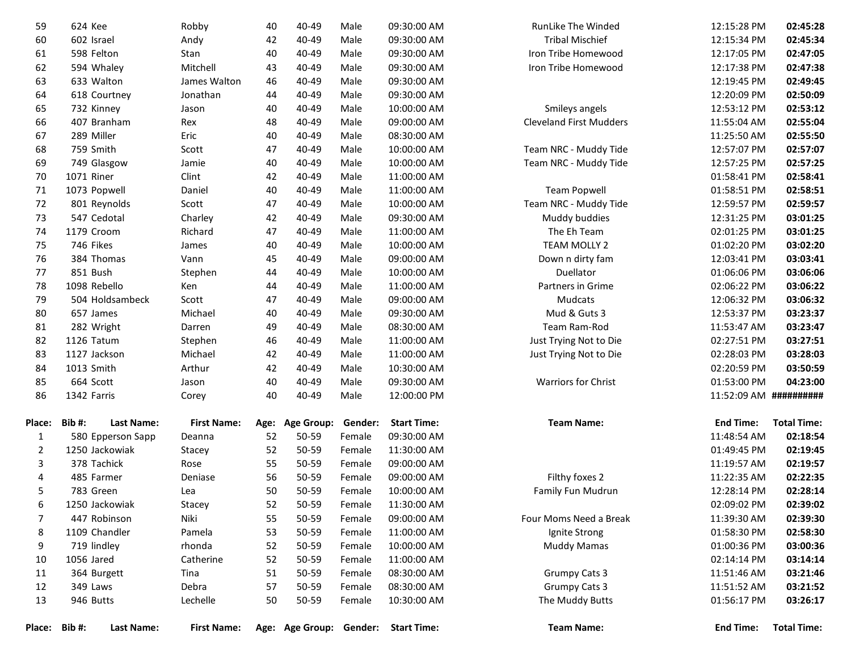| Place:         | Bib#:<br>Last Name:        | <b>First Name:</b>       |          |                   |                  | Age: Age Group: Gender: Start Time: | <b>Team Name:</b>              | <b>End Time:</b>           | <b>Total Time:</b>   |
|----------------|----------------------------|--------------------------|----------|-------------------|------------------|-------------------------------------|--------------------------------|----------------------------|----------------------|
|                |                            |                          |          |                   |                  |                                     |                                |                            |                      |
| 13             | 946 Butts                  | Lechelle                 | 50       | 50-59             | Female           | 10:30:00 AM                         | The Muddy Butts                | 01:56:17 PM                | 03:26:17             |
| 12             | 349 Laws                   | Debra                    | 57       | 50-59             | Female           | 08:30:00 AM                         | <b>Grumpy Cats 3</b>           | 11:51:52 AM                | 03:21:52             |
| 11             | 364 Burgett                | Tina                     | 51       | 50-59             | Female           | 08:30:00 AM                         | <b>Grumpy Cats 3</b>           | 11:51:46 AM                | 03:21:46             |
| 10             | 1056 Jared                 | Catherine                | 52       | 50-59             | Female           | 11:00:00 AM                         |                                | 02:14:14 PM                | 03:14:14             |
| 9              | 719 lindley                | rhonda                   | 52       | 50-59             | Female           | 10:00:00 AM                         | <b>Muddy Mamas</b>             | 01:00:36 PM                | 03:00:36             |
| 8              | 1109 Chandler              | Pamela                   | 53       | 50-59             | Female           | 11:00:00 AM                         | Ignite Strong                  | 01:58:30 PM                | 02:58:30             |
| 6<br>7         | 447 Robinson               | Niki                     | 52<br>55 | 50-59             | Female           | 09:00:00 AM                         | Four Moms Need a Break         | 11:39:30 AM                | 02:39:30             |
|                | 1250 Jackowiak             | Lea<br>Stacey            |          | 50-59             | Female<br>Female | 11:30:00 AM                         |                                | 02:09:02 PM                | 02:39:02             |
| 5              | 783 Green                  | Deniase                  | 56<br>50 | 50-59<br>50-59    |                  | 10:00:00 AM                         | Family Fun Mudrun              | 12:28:14 PM                | 02:28:14             |
| 3<br>4         | 378 Tachick<br>485 Farmer  | Rose                     | 55       | 50-59             | Female<br>Female | 09:00:00 AM<br>09:00:00 AM          | Filthy foxes 2                 | 11:19:57 AM<br>11:22:35 AM | 02:19:57<br>02:22:35 |
| $\overline{2}$ | 1250 Jackowiak             | Stacey                   | 52       | 50-59             | Female           | 11:30:00 AM                         |                                | 01:49:45 PM                | 02:19:45             |
| $\mathbf{1}$   | 580 Epperson Sapp          | Deanna                   | 52       | 50-59             | Female           | 09:30:00 AM                         |                                | 11:48:54 AM                | 02:18:54             |
| Place:         | Bib#:<br>Last Name:        | <b>First Name:</b>       | Age:     | <b>Age Group:</b> | Gender:          | <b>Start Time:</b>                  | <b>Team Name:</b>              | <b>End Time:</b>           | <b>Total Time:</b>   |
|                |                            |                          |          |                   |                  |                                     |                                |                            |                      |
| 86             | 1342 Farris                | Corey                    | 40       | 40-49             | Male             | 12:00:00 PM                         |                                | 11:52:09 AM ##########     |                      |
| 85             | 664 Scott                  | Jason                    | 40       | 40-49             | Male             | 09:30:00 AM                         | Warriors for Christ            | 01:53:00 PM                | 04:23:00             |
| 84             | 1013 Smith                 | Arthur                   | 42       | 40-49             | Male             | 10:30:00 AM                         |                                | 02:20:59 PM                | 03:50:59             |
| 83             | 1127 Jackson               | Michael                  | 42       | 40-49             | Male             | 11:00:00 AM                         | Just Trying Not to Die         | 02:28:03 PM                | 03:28:03             |
| 82             | 1126 Tatum                 | Stephen                  | 46       | 40-49             | Male             | 11:00:00 AM                         | Just Trying Not to Die         | 02:27:51 PM                | 03:27:51             |
| 81             | 282 Wright                 | Darren                   | 49       | 40-49             | Male             | 08:30:00 AM                         | Team Ram-Rod                   | 11:53:47 AM                | 03:23:47             |
| 80             | 657 James                  | Michael                  | 40       | 40-49             | Male             | 09:30:00 AM                         | Mud & Guts 3                   | 12:53:37 PM                | 03:23:37             |
| 79             | 504 Holdsambeck            | Scott                    | 47       | 40-49             | Male             | 09:00:00 AM                         | Mudcats                        | 12:06:32 PM                | 03:06:32             |
| 78             | 1098 Rebello               | Ken                      | 44       | 40-49             | Male             | 11:00:00 AM                         | Partners in Grime              | 02:06:22 PM                | 03:06:22             |
| 77             | 851 Bush                   | Stephen                  | 44       | 40-49             | Male             | 10:00:00 AM                         | Duellator                      | 01:06:06 PM                | 03:06:06             |
| 76             | 384 Thomas                 | Vann                     | 45       | 40-49             | Male             | 09:00:00 AM                         | Down n dirty fam               | 12:03:41 PM                | 03:03:41             |
| 75             | 746 Fikes                  | James                    | 40       | 40-49             | Male             | 10:00:00 AM                         | TEAM MOLLY 2                   | 01:02:20 PM                | 03:02:20             |
| 74             | 1179 Croom                 | Richard                  | 47       | 40-49             | Male             | 11:00:00 AM                         | The Eh Team                    | 02:01:25 PM                | 03:01:25             |
| 73             | 547 Cedotal                | Charley                  | 42       | 40-49             | Male             | 09:30:00 AM                         | Muddy buddies                  | 12:31:25 PM                | 03:01:25             |
| 72             | 801 Reynolds               | Scott                    | 47       | 40-49             | Male             | 10:00:00 AM                         | Team NRC - Muddy Tide          | 12:59:57 PM                | 02:59:57             |
| 71             | 1073 Popwell               | Daniel                   | 40       | 40-49             | Male             | 11:00:00 AM                         | <b>Team Popwell</b>            | 01:58:51 PM                | 02:58:51             |
| 70             | 1071 Riner                 | Clint                    | 42       | 40-49             | Male             | 11:00:00 AM                         |                                | 01:58:41 PM                | 02:58:41             |
| 69             | 749 Glasgow                | Jamie                    | 40       | 40-49             | Male             | 10:00:00 AM                         | Team NRC - Muddy Tide          | 12:57:25 PM                | 02:57:25             |
| 68             | 759 Smith                  | Scott                    | 47       | 40-49             | Male             | 10:00:00 AM                         | Team NRC - Muddy Tide          | 12:57:07 PM                | 02:57:07             |
| 67             | 289 Miller                 | Eric                     | 40       | 40-49             | Male             | 08:30:00 AM                         |                                | 11:25:50 AM                | 02:55:50             |
| 66             | 407 Branham                | Rex                      | 48       | 40-49             | Male             | 09:00:00 AM                         | <b>Cleveland First Mudders</b> | 11:55:04 AM                | 02:55:04             |
| 65             | 732 Kinney                 | Jason                    | 40       | 40-49             | Male<br>Male     | 10:00:00 AM                         | Smileys angels                 | 12:53:12 PM                | 02:53:12             |
| 63<br>64       | 633 Walton<br>618 Courtney | James Walton<br>Jonathan | 46<br>44 | 40-49<br>40-49    | Male             | 09:30:00 AM<br>09:30:00 AM          |                                | 12:19:45 PM<br>12:20:09 PM | 02:49:45<br>02:50:09 |
| 62             | 594 Whaley                 | Mitchell                 | 43       | 40-49             | Male             | 09:30:00 AM                         | Iron Tribe Homewood            | 12:17:38 PM                | 02:47:38             |
| 61             | 598 Felton                 | Stan                     | 40       | 40-49             | Male             | 09:30:00 AM                         | Iron Tribe Homewood            | 12:17:05 PM                | 02:47:05             |
| 60             | 602 Israel                 | Andy                     | 42       | 40-49             | Male             | 09:30:00 AM                         | <b>Tribal Mischief</b>         | 12:15:34 PM                | 02:45:34             |
| 59             | 624 Kee                    | Robby                    | 40       | 40-49             | Male             | 09:30:00 AM                         | RunLike The Winded             | 12:15:28 PM                | 02:45:28             |
|                |                            |                          |          |                   |                  |                                     |                                |                            |                      |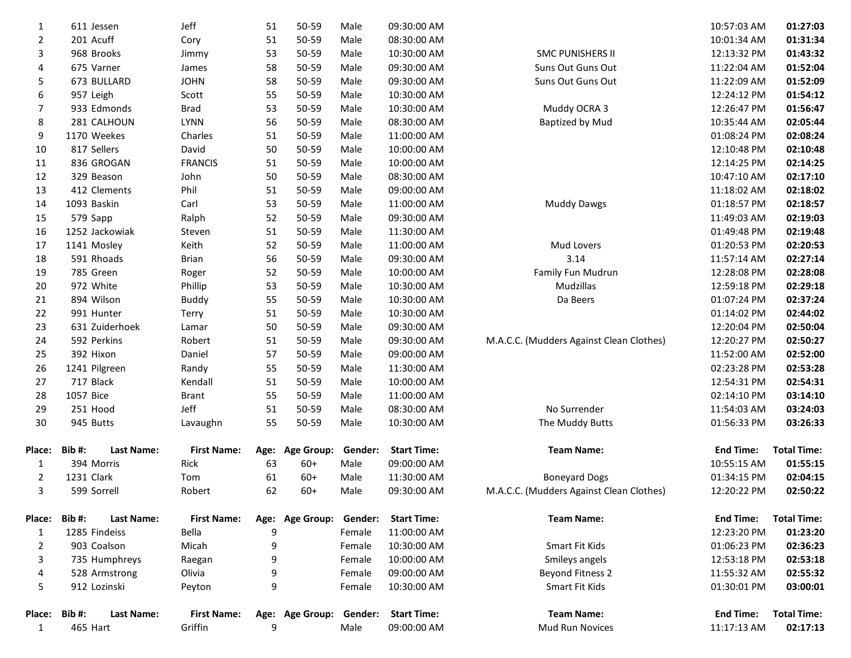| 1              | 611 Jessen                        | Jeff               | 51 | 50-59                   | Male    | 09:30:00 AM        |                                          | 10:57:03 AM      | 01:27:03           |
|----------------|-----------------------------------|--------------------|----|-------------------------|---------|--------------------|------------------------------------------|------------------|--------------------|
| $\overline{2}$ | 201 Acuff                         | Cory               | 51 | 50-59                   | Male    | 08:30:00 AM        |                                          | 10:01:34 AM      | 01:31:34           |
| 3              | 968 Brooks                        | Jimmy              | 53 | 50-59                   | Male    | 10:30:00 AM        | <b>SMC PUNISHERS II</b>                  | 12:13:32 PM      | 01:43:32           |
| 4              | 675 Varner                        | James              | 58 | 50-59                   | Male    | 09:30:00 AM        | Suns Out Guns Out                        | 11:22:04 AM      | 01:52:04           |
| 5              | 673 BULLARD                       | <b>JOHN</b>        | 58 | 50-59                   | Male    | 09:30:00 AM        | Suns Out Guns Out                        | 11:22:09 AM      | 01:52:09           |
| 6              | 957 Leigh                         | Scott              | 55 | 50-59                   | Male    | 10:30:00 AM        |                                          | 12:24:12 PM      | 01:54:12           |
| 7              | 933 Edmonds                       | Brad               | 53 | 50-59                   | Male    | 10:30:00 AM        | Muddy OCRA 3                             | 12:26:47 PM      | 01:56:47           |
| 8              | 281 CALHOUN                       | <b>LYNN</b>        | 56 | 50-59                   | Male    | 08:30:00 AM        | <b>Baptized by Mud</b>                   | 10:35:44 AM      | 02:05:44           |
| 9              | 1170 Weekes                       | Charles            | 51 | 50-59                   | Male    | 11:00:00 AM        |                                          | 01:08:24 PM      | 02:08:24           |
| 10             | 817 Sellers                       | David              | 50 | 50-59                   | Male    | 10:00:00 AM        |                                          | 12:10:48 PM      | 02:10:48           |
| 11             | 836 GROGAN                        | <b>FRANCIS</b>     | 51 | 50-59                   | Male    | 10:00:00 AM        |                                          | 12:14:25 PM      | 02:14:25           |
| 12             | 329 Beason                        | John               | 50 | 50-59                   | Male    | 08:30:00 AM        |                                          | 10:47:10 AM      | 02:17:10           |
| 13             | 412 Clements                      | Phil               | 51 | 50-59                   | Male    | 09:00:00 AM        |                                          | 11:18:02 AM      | 02:18:02           |
| 14             | 1093 Baskin                       | Carl               | 53 | 50-59                   | Male    | 11:00:00 AM        | <b>Muddy Dawgs</b>                       | 01:18:57 PM      | 02:18:57           |
| 15             | 579 Sapp                          | Ralph              | 52 | 50-59                   | Male    | 09:30:00 AM        |                                          | 11:49:03 AM      | 02:19:03           |
| 16             | 1252 Jackowiak                    | Steven             | 51 | 50-59                   | Male    | 11:30:00 AM        |                                          | 01:49:48 PM      | 02:19:48           |
| 17             | 1141 Mosley                       | Keith              | 52 | 50-59                   | Male    | 11:00:00 AM        | Mud Lovers                               | 01:20:53 PM      | 02:20:53           |
| 18             | 591 Rhoads                        | <b>Brian</b>       | 56 | 50-59                   | Male    | 09:30:00 AM        | 3.14                                     | 11:57:14 AM      | 02:27:14           |
| 19             | 785 Green                         | Roger              | 52 | 50-59                   | Male    | 10:00:00 AM        | Family Fun Mudrun                        | 12:28:08 PM      | 02:28:08           |
| 20             | 972 White                         | Phillip            | 53 | 50-59                   | Male    | 10:30:00 AM        | Mudzillas                                | 12:59:18 PM      | 02:29:18           |
| 21             | 894 Wilson                        | <b>Buddy</b>       | 55 | 50-59                   | Male    | 10:30:00 AM        | Da Beers                                 | 01:07:24 PM      | 02:37:24           |
| 22             | 991 Hunter                        | Terry              | 51 | 50-59                   | Male    | 10:30:00 AM        |                                          | 01:14:02 PM      | 02:44:02           |
| 23             | 631 Zuiderhoek                    | Lamar              | 50 | 50-59                   | Male    | 09:30:00 AM        |                                          | 12:20:04 PM      | 02:50:04           |
| 24             | 592 Perkins                       | Robert             | 51 | 50-59                   | Male    | 09:30:00 AM        | M.A.C.C. (Mudders Against Clean Clothes) | 12:20:27 PM      | 02:50:27           |
| 25             | 392 Hixon                         | Daniel             | 57 | 50-59                   | Male    | 09:00:00 AM        |                                          | 11:52:00 AM      | 02:52:00           |
| 26             | 1241 Pilgreen                     | Randy              | 55 | 50-59                   | Male    | 11:30:00 AM        |                                          | 02:23:28 PM      | 02:53:28           |
| 27             | 717 Black                         | Kendall            | 51 | 50-59                   | Male    | 10:00:00 AM        |                                          | 12:54:31 PM      | 02:54:31           |
| 28             | 1057 Bice                         | <b>Brant</b>       | 55 | 50-59                   | Male    | 11:00:00 AM        |                                          | 02:14:10 PM      | 03:14:10           |
| 29             | 251 Hood                          | Jeff               | 51 | 50-59                   | Male    | 08:30:00 AM        | No Surrender                             | 11:54:03 AM      | 03:24:03           |
| 30             | 945 Butts                         | Lavaughn           | 55 | 50-59                   | Male    | 10:30:00 AM        | The Muddy Butts                          | 01:56:33 PM      | 03:26:33           |
| <b>Place:</b>  | Bib#:<br>Last Name:               | <b>First Name:</b> |    | Age: Age Group: Gender: |         | <b>Start Time:</b> | <b>Team Name:</b>                        | <b>End Time:</b> | <b>Total Time:</b> |
| 1              | 394 Morris                        | Rick               | 63 | $60+$                   | Male    | 09:00:00 AM        |                                          | 10:55:15 AM      | 01:55:15           |
| 2              | 1231 Clark                        | Tom                | 61 | $60+$                   | Male    | 11:30:00 AM        | <b>Boneyard Dogs</b>                     | 01:34:15 PM      | 02:04:15           |
| 3              | 599 Sorrell                       | Robert             | 62 | $60+$                   | Male    | 09:30:00 AM        | M.A.C.C. (Mudders Against Clean Clothes) | 12:20:22 PM      | 02:50:22           |
| <b>Place:</b>  | <b>Bib#:</b><br><b>Last Name:</b> | <b>First Name:</b> |    | Age: Age Group:         | Gender: | <b>Start Time:</b> | <b>Team Name:</b>                        | <b>End Time:</b> | <b>Total Time:</b> |
| 1              | 1285 Findeiss                     | Bella              | 9  |                         | Female  | 11:00:00 AM        |                                          | 12:23:20 PM      | 01:23:20           |
| $\overline{2}$ | 903 Coalson                       | Micah              | 9  |                         | Female  | 10:30:00 AM        | Smart Fit Kids                           | 01:06:23 PM      | 02:36:23           |
| 3              | 735 Humphreys                     | Raegan             | 9  |                         | Female  | 10:00:00 AM        | Smileys angels                           | 12:53:18 PM      | 02:53:18           |
| 4              | 528 Armstrong                     | Olivia             | 9  |                         | Female  | 09:00:00 AM        | <b>Beyond Fitness 2</b>                  | 11:55:32 AM      | 02:55:32           |
| 5              | 912 Lozinski                      | Peyton             | 9  |                         | Female  | 10:30:00 AM        | Smart Fit Kids                           | 01:30:01 PM      | 03:00:01           |
| Place:         | Bib#:<br>Last Name:               | <b>First Name:</b> |    | Age: Age Group:         | Gender: | <b>Start Time:</b> | <b>Team Name:</b>                        | <b>End Time:</b> | <b>Total Time:</b> |
| 1              | 465 Hart                          | Griffin            | 9  |                         | Male    | 09:00:00 AM        | Mud Run Novices                          | 11:17:13 AM      | 02:17:13           |
|                |                                   |                    |    |                         |         |                    |                                          |                  |                    |